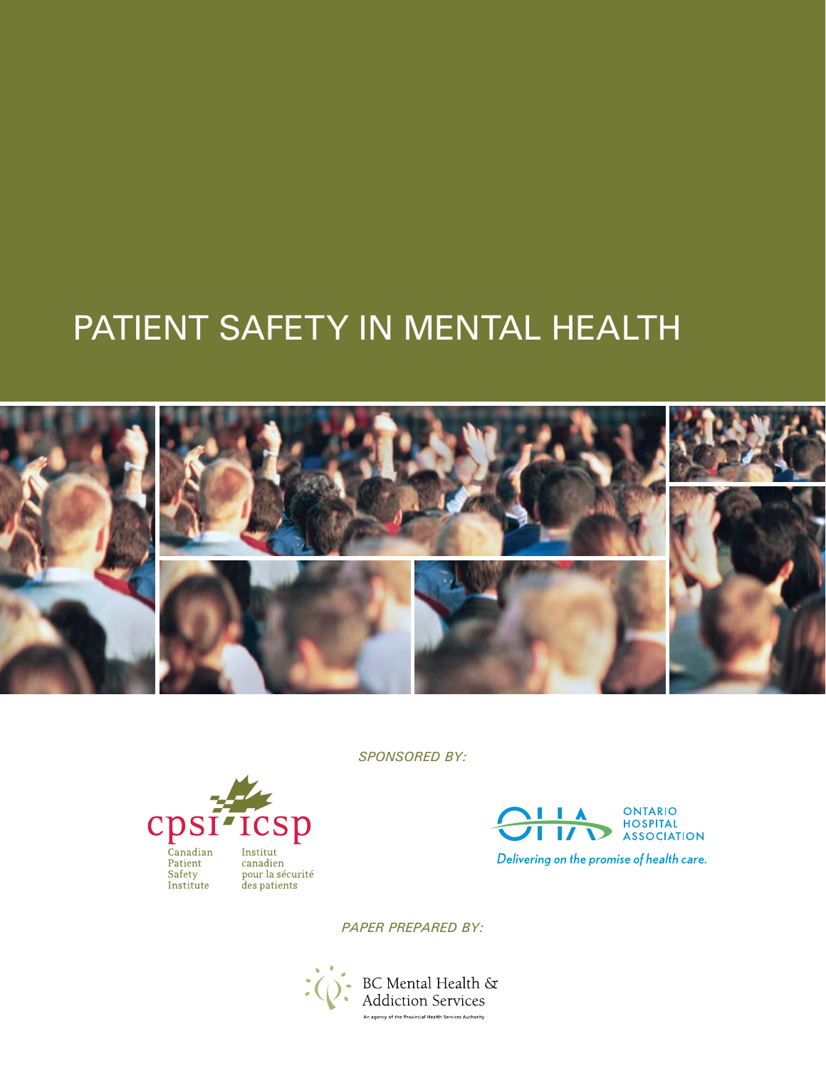# PATIENT SAFETY IN MENTAL HEALTH



*SPONSORED BY:*





*PAPER PREPARED BY:*

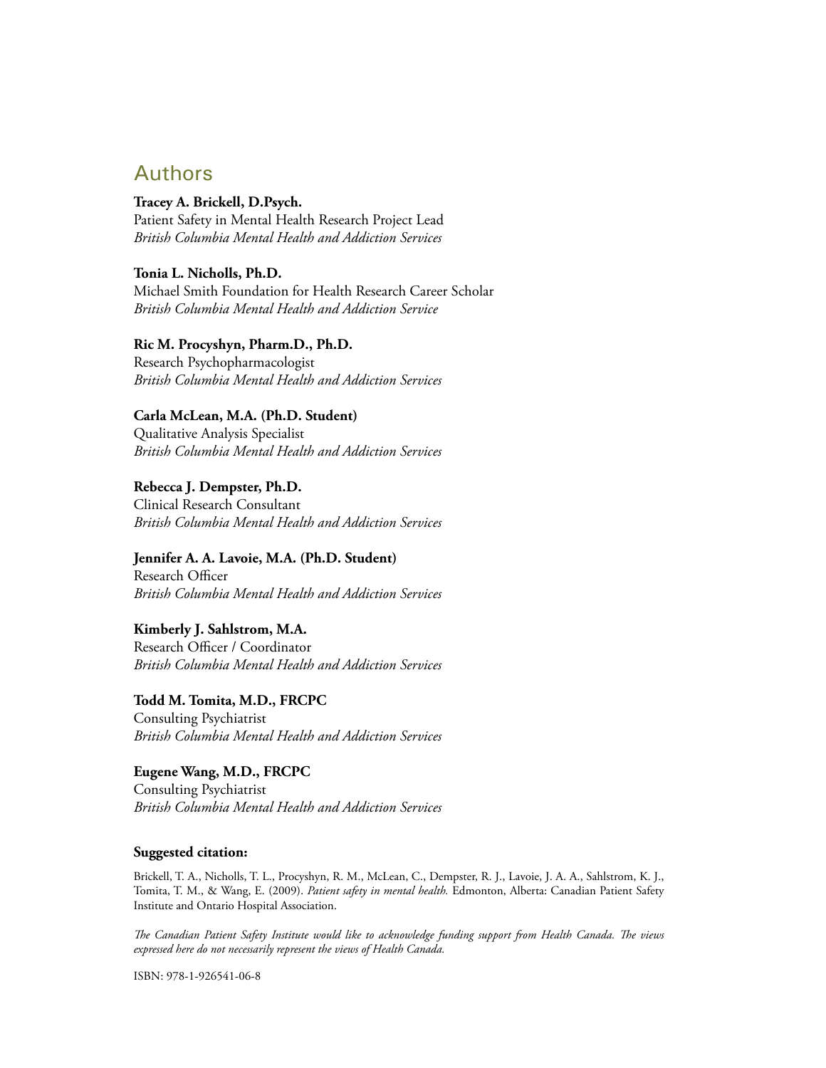## Authors

**Tracey A. Brickell, D.Psych.** Patient Safety in Mental Health Research Project Lead *British Columbia Mental Health and Addiction Services*

**Tonia L. Nicholls, Ph.D.** Michael Smith Foundation for Health Research Career Scholar *British Columbia Mental Health and Addiction Service*

**Ric M. Procyshyn, Pharm.D., Ph.D.**

Research Psychopharmacologist *British Columbia Mental Health and Addiction Services*

#### **Carla McLean, M.A. (Ph.D. Student)**

Qualitative Analysis Specialist *British Columbia Mental Health and Addiction Services*

**Rebecca J. Dempster, Ph.D.** Clinical Research Consultant *British Columbia Mental Health and Addiction Services*

**Jennifer A. A. Lavoie, M.A. (Ph.D. Student)**

Research Officer *British Columbia Mental Health and Addiction Services*

#### **Kimberly J. Sahlstrom, M.A.**

Research Officer / Coordinator *British Columbia Mental Health and Addiction Services*

**Todd M. Tomita, M.D., FRCPC**

Consulting Psychiatrist *British Columbia Mental Health and Addiction Services*

**Eugene Wang, M.D., FRCPC** Consulting Psychiatrist *British Columbia Mental Health and Addiction Services*

#### **Suggested citation:**

Brickell, T. A., Nicholls, T. L., Procyshyn, R. M., McLean, C., Dempster, R. J., Lavoie, J. A. A., Sahlstrom, K. J., Tomita, T. M., & Wang, E. (2009). *Patient safety in mental health.* Edmonton, Alberta: Canadian Patient Safety Institute and Ontario Hospital Association.

*The Canadian Patient Safety Institute would like to acknowledge funding support from Health Canada. The views expressed here do not necessarily represent the views of Health Canada.*

ISBN: 978-1-926541-06-8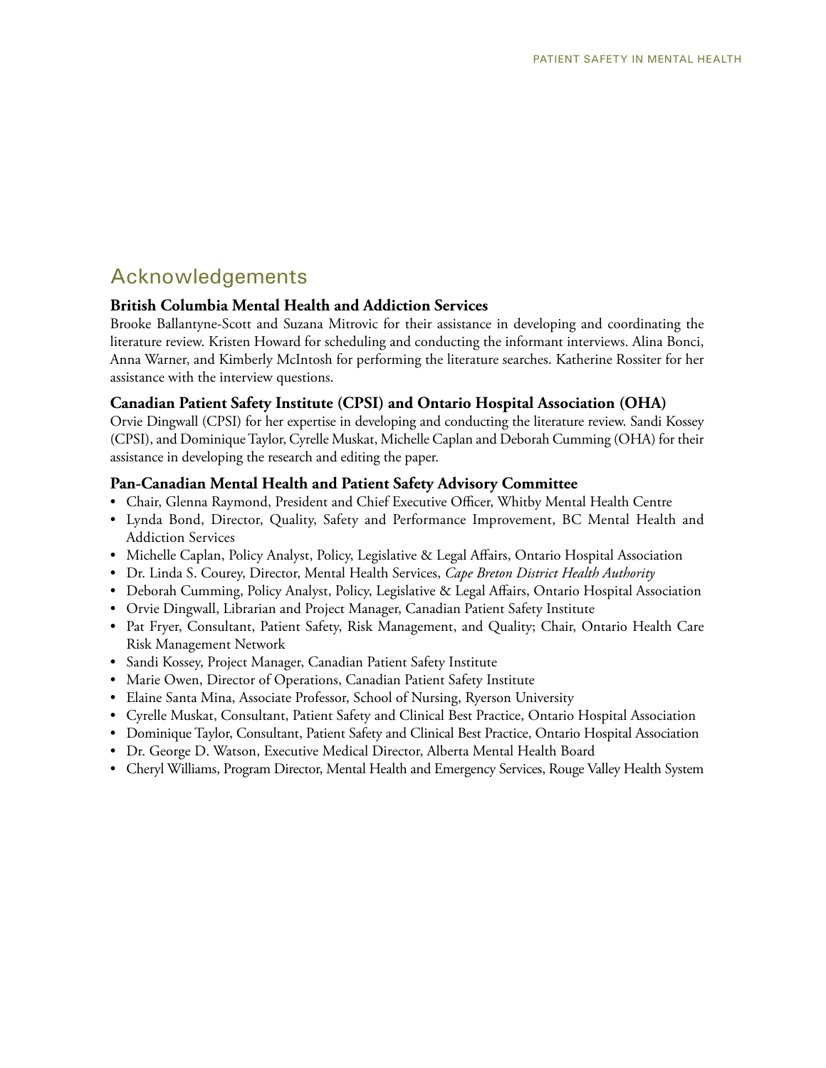## Acknowledgements

#### **British Columbia Mental Health and Addiction Services**

Brooke Ballantyne-Scott and Suzana Mitrovic for their assistance in developing and coordinating the literature review. Kristen Howard for scheduling and conducting the informant interviews. Alina Bonci, Anna Warner, and Kimberly McIntosh for performing the literature searches. Katherine Rossiter for her assistance with the interview questions.

#### **Canadian Patient Safety Institute (CPSI) and Ontario Hospital Association (OHA)**

Orvie Dingwall (CPSI) for her expertise in developing and conducting the literature review. Sandi Kossey (CPSI), and Dominique Taylor, Cyrelle Muskat, Michelle Caplan and Deborah Cumming (OHA) for their assistance in developing the research and editing the paper.

#### **Pan-Canadian Mental Health and Patient Safety Advisory Committee**

- Chair, Glenna Raymond, President and Chief Executive Officer, Whitby Mental Health Centre
- Lynda Bond, Director, Quality, Safety and Performance Improvement, BC Mental Health and Addiction Services
- Michelle Caplan, Policy Analyst, Policy, Legislative & Legal Affairs, Ontario Hospital Association
- Dr. Linda S. Courey, Director, Mental Health Services, *Cape Breton District Health Authority*
- Deborah Cumming, Policy Analyst, Policy, Legislative & Legal Affairs, Ontario Hospital Association
- Orvie Dingwall, Librarian and Project Manager, Canadian Patient Safety Institute
- Pat Fryer, Consultant, Patient Safety, Risk Management, and Quality; Chair, Ontario Health Care Risk Management Network
- Sandi Kossey, Project Manager, Canadian Patient Safety Institute
- Marie Owen, Director of Operations, Canadian Patient Safety Institute
- Elaine Santa Mina, Associate Professor, School of Nursing, Ryerson University
- Cyrelle Muskat, Consultant, Patient Safety and Clinical Best Practice, Ontario Hospital Association
- Dominique Taylor, Consultant, Patient Safety and Clinical Best Practice, Ontario Hospital Association
- Dr. George D. Watson, Executive Medical Director, Alberta Mental Health Board
- Cheryl Williams, Program Director, Mental Health and Emergency Services, Rouge Valley Health System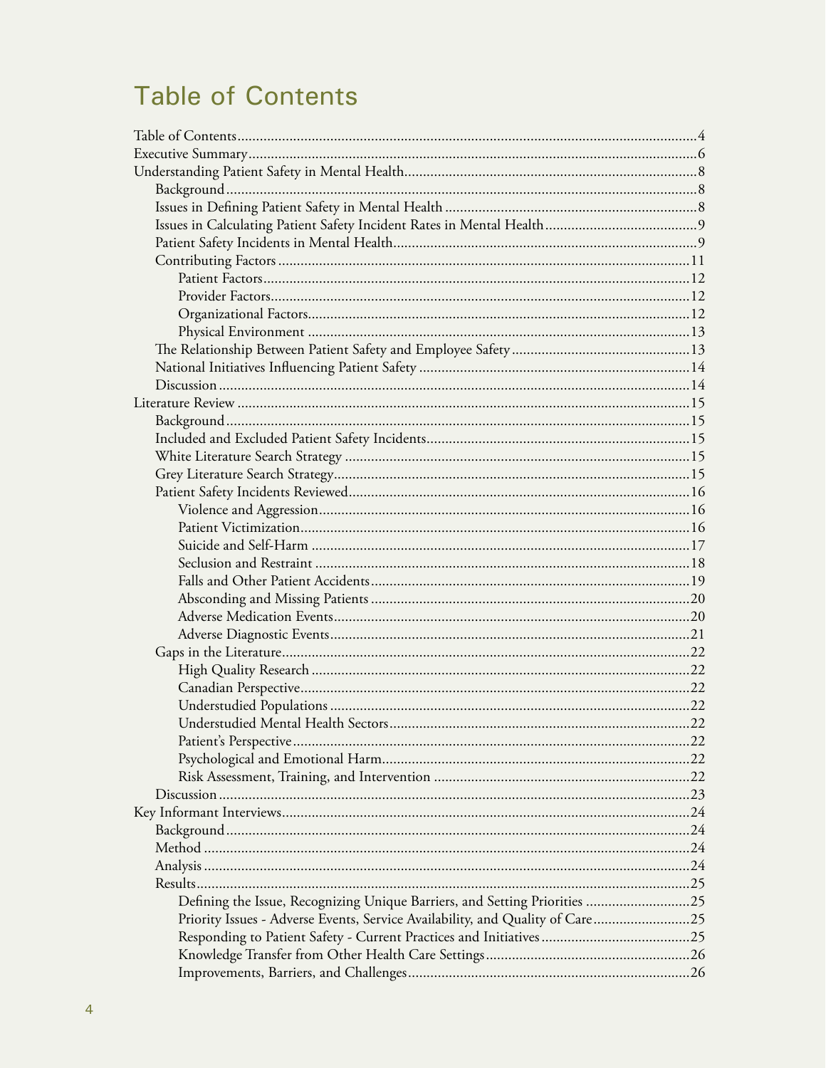# **Table of Contents**

| Defining the Issue, Recognizing Unique Barriers, and Setting Priorities 25    |  |
|-------------------------------------------------------------------------------|--|
| Priority Issues - Adverse Events, Service Availability, and Quality of Care25 |  |
|                                                                               |  |
|                                                                               |  |
|                                                                               |  |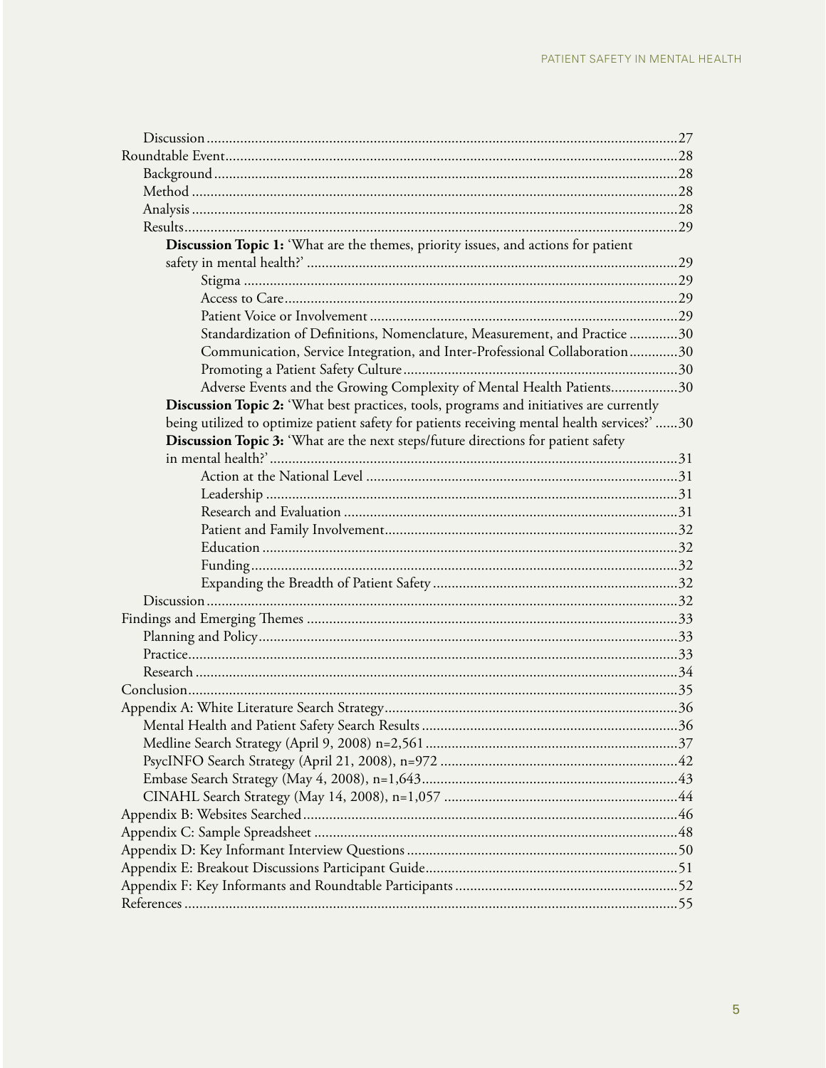| Discussion Topic 1: 'What are the themes, priority issues, and actions for patient           |  |
|----------------------------------------------------------------------------------------------|--|
|                                                                                              |  |
|                                                                                              |  |
|                                                                                              |  |
|                                                                                              |  |
| Standardization of Definitions, Nomenclature, Measurement, and Practice 30                   |  |
| Communication, Service Integration, and Inter-Professional Collaboration30                   |  |
|                                                                                              |  |
| Adverse Events and the Growing Complexity of Mental Health Patients30                        |  |
| Discussion Topic 2: 'What best practices, tools, programs and initiatives are currently      |  |
| being utilized to optimize patient safety for patients receiving mental health services?' 30 |  |
| Discussion Topic 3: 'What are the next steps/future directions for patient safety            |  |
|                                                                                              |  |
|                                                                                              |  |
|                                                                                              |  |
|                                                                                              |  |
|                                                                                              |  |
|                                                                                              |  |
|                                                                                              |  |
|                                                                                              |  |
|                                                                                              |  |
|                                                                                              |  |
|                                                                                              |  |
|                                                                                              |  |
|                                                                                              |  |
|                                                                                              |  |
|                                                                                              |  |
|                                                                                              |  |
|                                                                                              |  |
|                                                                                              |  |
|                                                                                              |  |
|                                                                                              |  |
|                                                                                              |  |
|                                                                                              |  |
|                                                                                              |  |
|                                                                                              |  |
|                                                                                              |  |
|                                                                                              |  |
|                                                                                              |  |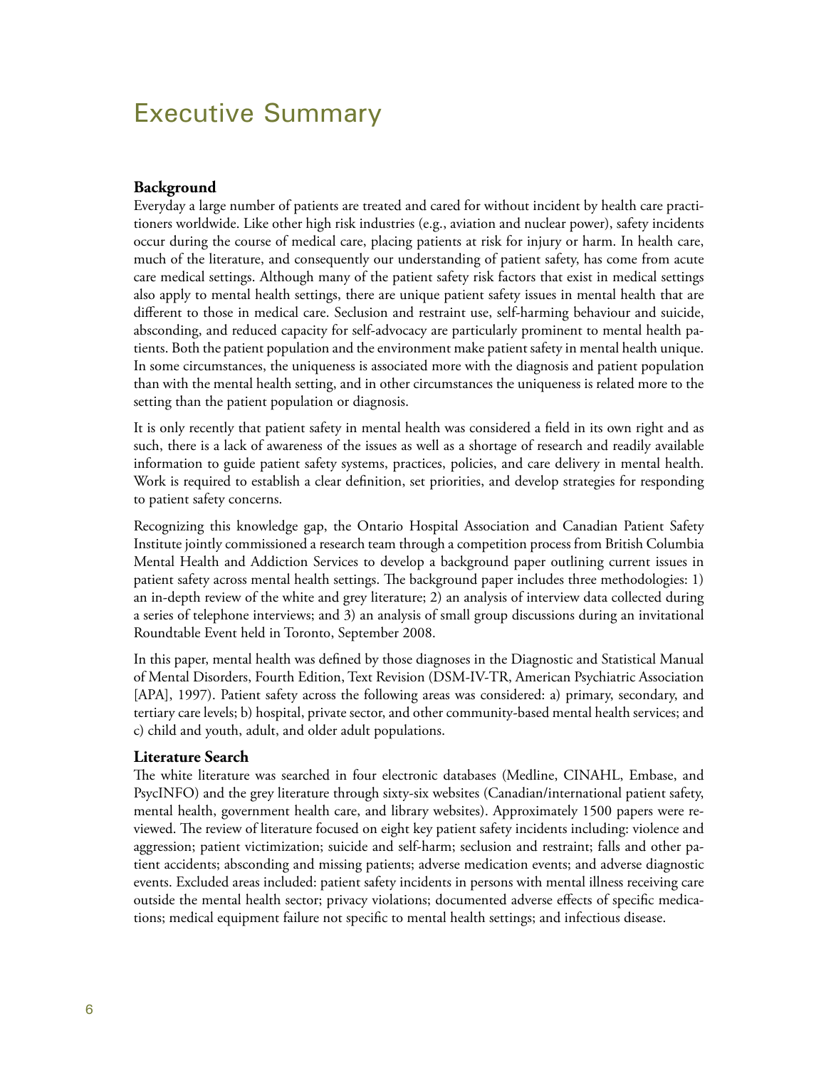# Executive Summary

#### **Background**

Everyday a large number of patients are treated and cared for without incident by health care practitioners worldwide. Like other high risk industries (e.g., aviation and nuclear power), safety incidents occur during the course of medical care, placing patients at risk for injury or harm. In health care, much of the literature, and consequently our understanding of patient safety, has come from acute care medical settings. Although many of the patient safety risk factors that exist in medical settings also apply to mental health settings, there are unique patient safety issues in mental health that are different to those in medical care. Seclusion and restraint use, self-harming behaviour and suicide, absconding, and reduced capacity for self-advocacy are particularly prominent to mental health patients. Both the patient population and the environment make patient safety in mental health unique. In some circumstances, the uniqueness is associated more with the diagnosis and patient population than with the mental health setting, and in other circumstances the uniqueness is related more to the setting than the patient population or diagnosis.

It is only recently that patient safety in mental health was considered a field in its own right and as such, there is a lack of awareness of the issues as well as a shortage of research and readily available information to guide patient safety systems, practices, policies, and care delivery in mental health. Work is required to establish a clear definition, set priorities, and develop strategies for responding to patient safety concerns.

Recognizing this knowledge gap, the Ontario Hospital Association and Canadian Patient Safety Institute jointly commissioned a research team through a competition process from British Columbia Mental Health and Addiction Services to develop a background paper outlining current issues in patient safety across mental health settings. The background paper includes three methodologies: 1) an in-depth review of the white and grey literature; 2) an analysis of interview data collected during a series of telephone interviews; and 3) an analysis of small group discussions during an invitational Roundtable Event held in Toronto, September 2008.

In this paper, mental health was defined by those diagnoses in the Diagnostic and Statistical Manual of Mental Disorders, Fourth Edition, Text Revision (DSM-IV-TR, American Psychiatric Association [APA], 1997). Patient safety across the following areas was considered: a) primary, secondary, and tertiary care levels; b) hospital, private sector, and other community-based mental health services; and c) child and youth, adult, and older adult populations.

#### **Literature Search**

The white literature was searched in four electronic databases (Medline, CINAHL, Embase, and PsycINFO) and the grey literature through sixty-six websites (Canadian/international patient safety, mental health, government health care, and library websites). Approximately 1500 papers were reviewed. The review of literature focused on eight key patient safety incidents including: violence and aggression; patient victimization; suicide and self-harm; seclusion and restraint; falls and other patient accidents; absconding and missing patients; adverse medication events; and adverse diagnostic events. Excluded areas included: patient safety incidents in persons with mental illness receiving care outside the mental health sector; privacy violations; documented adverse effects of specific medications; medical equipment failure not specific to mental health settings; and infectious disease.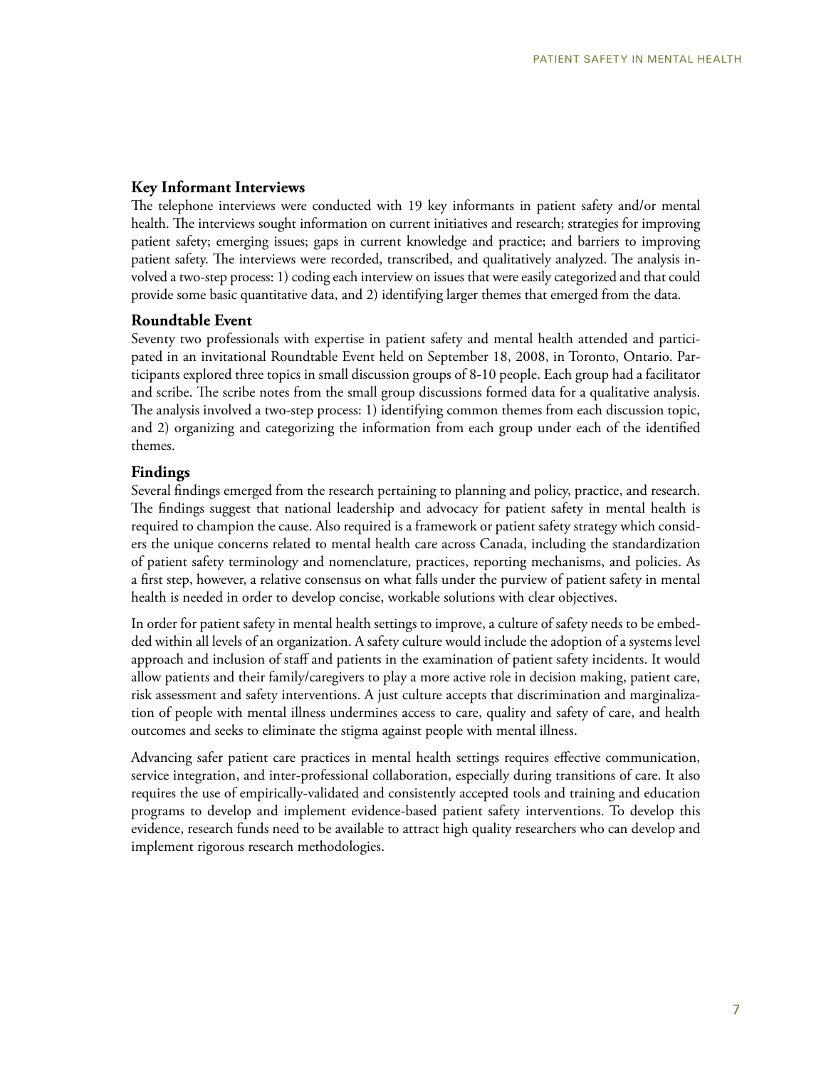#### **Key Informant Interviews**

The telephone interviews were conducted with 19 key informants in patient safety and/or mental health. The interviews sought information on current initiatives and research; strategies for improving patient safety; emerging issues; gaps in current knowledge and practice; and barriers to improving patient safety. The interviews were recorded, transcribed, and qualitatively analyzed. The analysis involved a two-step process: 1) coding each interview on issues that were easily categorized and that could provide some basic quantitative data, and 2) identifying larger themes that emerged from the data.

#### **Roundtable Event**

Seventy two professionals with expertise in patient safety and mental health attended and participated in an invitational Roundtable Event held on September 18, 2008, in Toronto, Ontario. Participants explored three topics in small discussion groups of 8-10 people. Each group had a facilitator and scribe. The scribe notes from the small group discussions formed data for a qualitative analysis. The analysis involved a two-step process: 1) identifying common themes from each discussion topic, and 2) organizing and categorizing the information from each group under each of the identified themes.

#### **Findings**

Several findings emerged from the research pertaining to planning and policy, practice, and research. The findings suggest that national leadership and advocacy for patient safety in mental health is required to champion the cause. Also required is a framework or patient safety strategy which considers the unique concerns related to mental health care across Canada, including the standardization of patient safety terminology and nomenclature, practices, reporting mechanisms, and policies. As a first step, however, a relative consensus on what falls under the purview of patient safety in mental health is needed in order to develop concise, workable solutions with clear objectives.

In order for patient safety in mental health settings to improve, a culture of safety needs to be embedded within all levels of an organization. A safety culture would include the adoption of a systems level approach and inclusion of staff and patients in the examination of patient safety incidents. It would allow patients and their family/caregivers to play a more active role in decision making, patient care, risk assessment and safety interventions. A just culture accepts that discrimination and marginalization of people with mental illness undermines access to care, quality and safety of care, and health outcomes and seeks to eliminate the stigma against people with mental illness.

Advancing safer patient care practices in mental health settings requires effective communication, service integration, and inter-professional collaboration, especially during transitions of care. It also requires the use of empirically-validated and consistently accepted tools and training and education programs to develop and implement evidence-based patient safety interventions. To develop this evidence, research funds need to be available to attract high quality researchers who can develop and implement rigorous research methodologies.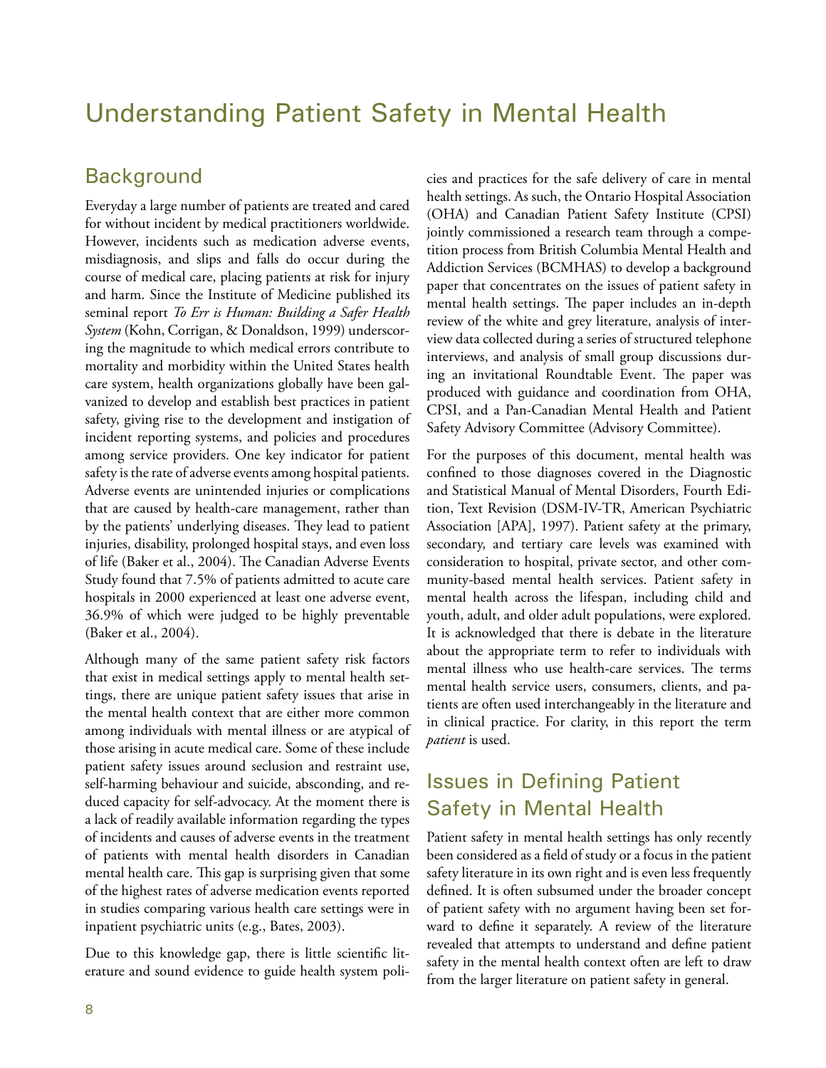# Understanding Patient Safety in Mental Health

## **Background**

Everyday a large number of patients are treated and cared for without incident by medical practitioners worldwide. However, incidents such as medication adverse events, misdiagnosis, and slips and falls do occur during the course of medical care, placing patients at risk for injury and harm. Since the Institute of Medicine published its seminal report *To Err is Human: Building a Safer Health System* (Kohn, Corrigan, & Donaldson, 1999) underscoring the magnitude to which medical errors contribute to mortality and morbidity within the United States health care system, health organizations globally have been galvanized to develop and establish best practices in patient safety, giving rise to the development and instigation of incident reporting systems, and policies and procedures among service providers. One key indicator for patient safety is the rate of adverse events among hospital patients. Adverse events are unintended injuries or complications that are caused by health-care management, rather than by the patients' underlying diseases. They lead to patient injuries, disability, prolonged hospital stays, and even loss of life (Baker et al., 2004). The Canadian Adverse Events Study found that 7.5% of patients admitted to acute care hospitals in 2000 experienced at least one adverse event, 36.9% of which were judged to be highly preventable (Baker et al., 2004).

Although many of the same patient safety risk factors that exist in medical settings apply to mental health settings, there are unique patient safety issues that arise in the mental health context that are either more common among individuals with mental illness or are atypical of those arising in acute medical care. Some of these include patient safety issues around seclusion and restraint use, self-harming behaviour and suicide, absconding, and reduced capacity for self-advocacy. At the moment there is a lack of readily available information regarding the types of incidents and causes of adverse events in the treatment of patients with mental health disorders in Canadian mental health care. This gap is surprising given that some of the highest rates of adverse medication events reported in studies comparing various health care settings were in inpatient psychiatric units (e.g., Bates, 2003).

Due to this knowledge gap, there is little scientific literature and sound evidence to guide health system policies and practices for the safe delivery of care in mental health settings. As such, the Ontario Hospital Association (OHA) and Canadian Patient Safety Institute (CPSI) jointly commissioned a research team through a competition process from British Columbia Mental Health and Addiction Services (BCMHAS) to develop a background paper that concentrates on the issues of patient safety in mental health settings. The paper includes an in-depth review of the white and grey literature, analysis of interview data collected during a series of structured telephone interviews, and analysis of small group discussions during an invitational Roundtable Event. The paper was produced with guidance and coordination from OHA, CPSI, and a Pan-Canadian Mental Health and Patient Safety Advisory Committee (Advisory Committee).

For the purposes of this document, mental health was confined to those diagnoses covered in the Diagnostic and Statistical Manual of Mental Disorders, Fourth Edition, Text Revision (DSM-IV-TR, American Psychiatric Association [APA], 1997). Patient safety at the primary, secondary, and tertiary care levels was examined with consideration to hospital, private sector, and other community-based mental health services. Patient safety in mental health across the lifespan, including child and youth, adult, and older adult populations, were explored. It is acknowledged that there is debate in the literature about the appropriate term to refer to individuals with mental illness who use health-care services. The terms mental health service users, consumers, clients, and patients are often used interchangeably in the literature and in clinical practice. For clarity, in this report the term *patient* is used.

# Issues in Defining Patient Safety in Mental Health

Patient safety in mental health settings has only recently been considered as a field of study or a focus in the patient safety literature in its own right and is even less frequently defined. It is often subsumed under the broader concept of patient safety with no argument having been set forward to define it separately. A review of the literature revealed that attempts to understand and define patient safety in the mental health context often are left to draw from the larger literature on patient safety in general.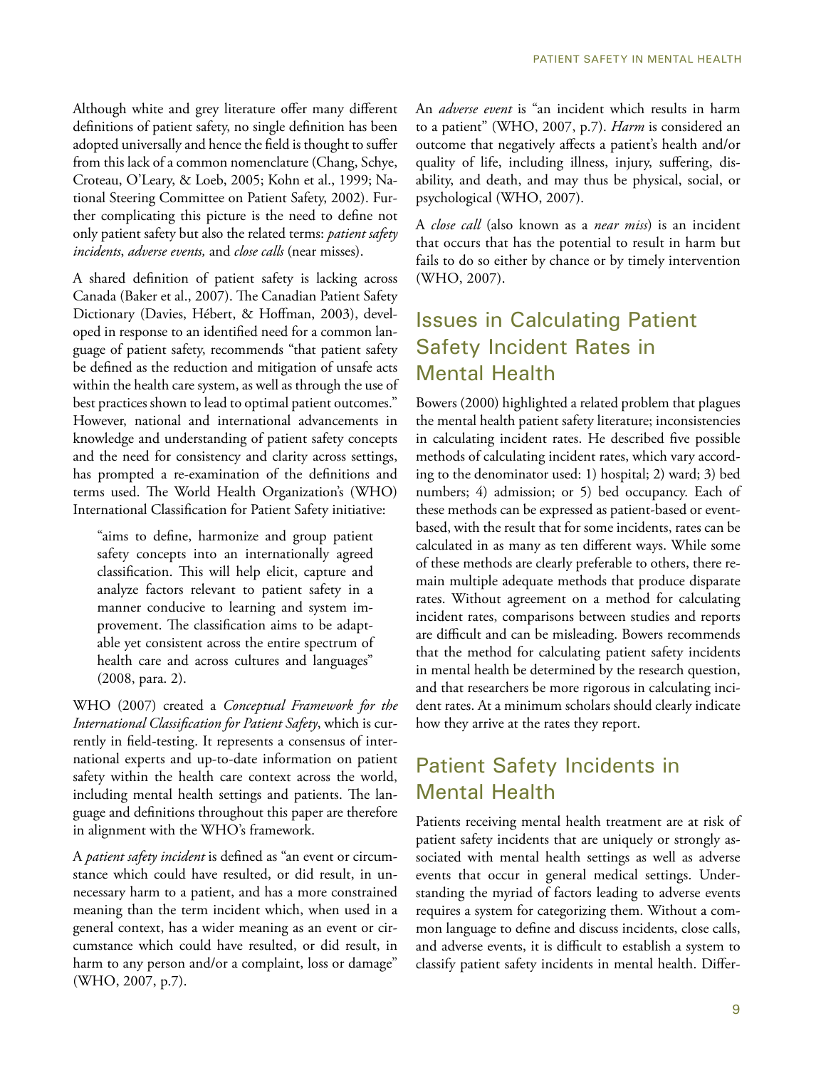Although white and grey literature offer many different definitions of patient safety, no single definition has been adopted universally and hence the field is thought to suffer from this lack of a common nomenclature (Chang, Schye, Croteau, O'Leary, & Loeb, 2005; Kohn et al., 1999; National Steering Committee on Patient Safety, 2002). Further complicating this picture is the need to define not only patient safety but also the related terms: *patient safety incidents*, *adverse events,* and *close calls* (near misses).

A shared definition of patient safety is lacking across Canada (Baker et al., 2007). The Canadian Patient Safety Dictionary (Davies, Hébert, & Hoffman, 2003), developed in response to an identified need for a common language of patient safety, recommends "that patient safety be defined as the reduction and mitigation of unsafe acts within the health care system, as well as through the use of best practices shown to lead to optimal patient outcomes." However, national and international advancements in knowledge and understanding of patient safety concepts and the need for consistency and clarity across settings, has prompted a re-examination of the definitions and terms used. The World Health Organization's (WHO) International Classification for Patient Safety initiative:

"aims to define, harmonize and group patient safety concepts into an internationally agreed classification. This will help elicit, capture and analyze factors relevant to patient safety in a manner conducive to learning and system improvement. The classification aims to be adaptable yet consistent across the entire spectrum of health care and across cultures and languages" (2008, para. 2).

WHO (2007) created a *Conceptual Framework for the International Classification for Patient Safety*, which is currently in field-testing. It represents a consensus of international experts and up-to-date information on patient safety within the health care context across the world, including mental health settings and patients. The language and definitions throughout this paper are therefore in alignment with the WHO's framework.

A *patient safety incident* is defined as "an event or circumstance which could have resulted, or did result, in unnecessary harm to a patient, and has a more constrained meaning than the term incident which, when used in a general context, has a wider meaning as an event or circumstance which could have resulted, or did result, in harm to any person and/or a complaint, loss or damage" (WHO, 2007, p.7).

An *adverse event* is "an incident which results in harm to a patient" (WHO, 2007, p.7). *Harm* is considered an outcome that negatively affects a patient's health and/or quality of life, including illness, injury, suffering, disability, and death, and may thus be physical, social, or psychological (WHO, 2007).

A *close call* (also known as a *near miss*) is an incident that occurs that has the potential to result in harm but fails to do so either by chance or by timely intervention (WHO, 2007).

# Issues in Calculating Patient Safety Incident Rates in Mental Health

Bowers (2000) highlighted a related problem that plagues the mental health patient safety literature; inconsistencies in calculating incident rates. He described five possible methods of calculating incident rates, which vary according to the denominator used: 1) hospital; 2) ward; 3) bed numbers; 4) admission; or 5) bed occupancy. Each of these methods can be expressed as patient-based or eventbased, with the result that for some incidents, rates can be calculated in as many as ten different ways. While some of these methods are clearly preferable to others, there remain multiple adequate methods that produce disparate rates. Without agreement on a method for calculating incident rates, comparisons between studies and reports are difficult and can be misleading. Bowers recommends that the method for calculating patient safety incidents in mental health be determined by the research question, and that researchers be more rigorous in calculating incident rates. At a minimum scholars should clearly indicate how they arrive at the rates they report.

# Patient Safety Incidents in Mental Health

Patients receiving mental health treatment are at risk of patient safety incidents that are uniquely or strongly associated with mental health settings as well as adverse events that occur in general medical settings. Understanding the myriad of factors leading to adverse events requires a system for categorizing them. Without a common language to define and discuss incidents, close calls, and adverse events, it is difficult to establish a system to classify patient safety incidents in mental health. Differ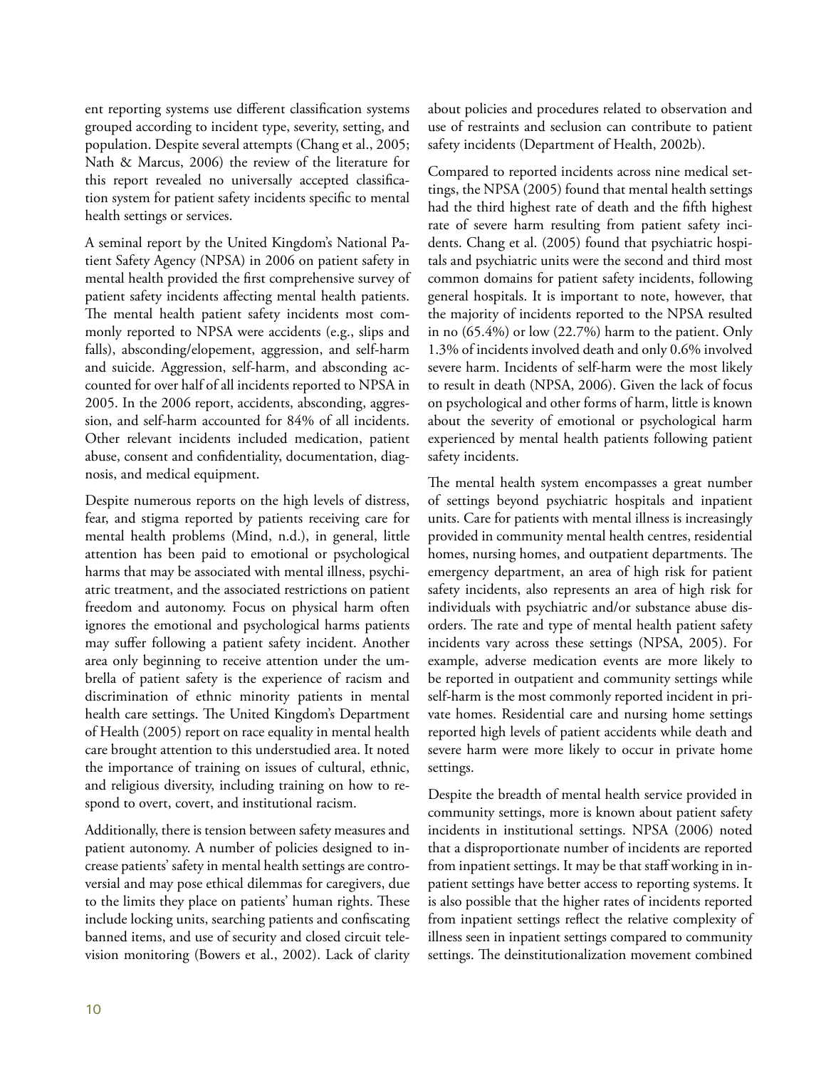ent reporting systems use different classification systems grouped according to incident type, severity, setting, and population. Despite several attempts (Chang et al., 2005; Nath & Marcus, 2006) the review of the literature for this report revealed no universally accepted classification system for patient safety incidents specific to mental health settings or services.

A seminal report by the United Kingdom's National Patient Safety Agency (NPSA) in 2006 on patient safety in mental health provided the first comprehensive survey of patient safety incidents affecting mental health patients. The mental health patient safety incidents most commonly reported to NPSA were accidents (e.g., slips and falls), absconding/elopement, aggression, and self-harm and suicide. Aggression, self-harm, and absconding accounted for over half of all incidents reported to NPSA in 2005. In the 2006 report, accidents, absconding, aggression, and self-harm accounted for 84% of all incidents. Other relevant incidents included medication, patient abuse, consent and confidentiality, documentation, diagnosis, and medical equipment.

Despite numerous reports on the high levels of distress, fear, and stigma reported by patients receiving care for mental health problems (Mind, n.d.), in general, little attention has been paid to emotional or psychological harms that may be associated with mental illness, psychiatric treatment, and the associated restrictions on patient freedom and autonomy. Focus on physical harm often ignores the emotional and psychological harms patients may suffer following a patient safety incident. Another area only beginning to receive attention under the umbrella of patient safety is the experience of racism and discrimination of ethnic minority patients in mental health care settings. The United Kingdom's Department of Health (2005) report on race equality in mental health care brought attention to this understudied area. It noted the importance of training on issues of cultural, ethnic, and religious diversity, including training on how to respond to overt, covert, and institutional racism.

Additionally, there is tension between safety measures and patient autonomy. A number of policies designed to increase patients' safety in mental health settings are controversial and may pose ethical dilemmas for caregivers, due to the limits they place on patients' human rights. These include locking units, searching patients and confiscating banned items, and use of security and closed circuit television monitoring (Bowers et al., 2002). Lack of clarity about policies and procedures related to observation and use of restraints and seclusion can contribute to patient safety incidents (Department of Health, 2002b).

Compared to reported incidents across nine medical settings, the NPSA (2005) found that mental health settings had the third highest rate of death and the fifth highest rate of severe harm resulting from patient safety incidents. Chang et al. (2005) found that psychiatric hospitals and psychiatric units were the second and third most common domains for patient safety incidents, following general hospitals. It is important to note, however, that the majority of incidents reported to the NPSA resulted in no (65.4%) or low (22.7%) harm to the patient. Only 1.3% of incidents involved death and only 0.6% involved severe harm. Incidents of self-harm were the most likely to result in death (NPSA, 2006). Given the lack of focus on psychological and other forms of harm, little is known about the severity of emotional or psychological harm experienced by mental health patients following patient safety incidents.

The mental health system encompasses a great number of settings beyond psychiatric hospitals and inpatient units. Care for patients with mental illness is increasingly provided in community mental health centres, residential homes, nursing homes, and outpatient departments. The emergency department, an area of high risk for patient safety incidents, also represents an area of high risk for individuals with psychiatric and/or substance abuse disorders. The rate and type of mental health patient safety incidents vary across these settings (NPSA, 2005). For example, adverse medication events are more likely to be reported in outpatient and community settings while self-harm is the most commonly reported incident in private homes. Residential care and nursing home settings reported high levels of patient accidents while death and severe harm were more likely to occur in private home settings.

Despite the breadth of mental health service provided in community settings, more is known about patient safety incidents in institutional settings. NPSA (2006) noted that a disproportionate number of incidents are reported from inpatient settings. It may be that staff working in inpatient settings have better access to reporting systems. It is also possible that the higher rates of incidents reported from inpatient settings reflect the relative complexity of illness seen in inpatient settings compared to community settings. The deinstitutionalization movement combined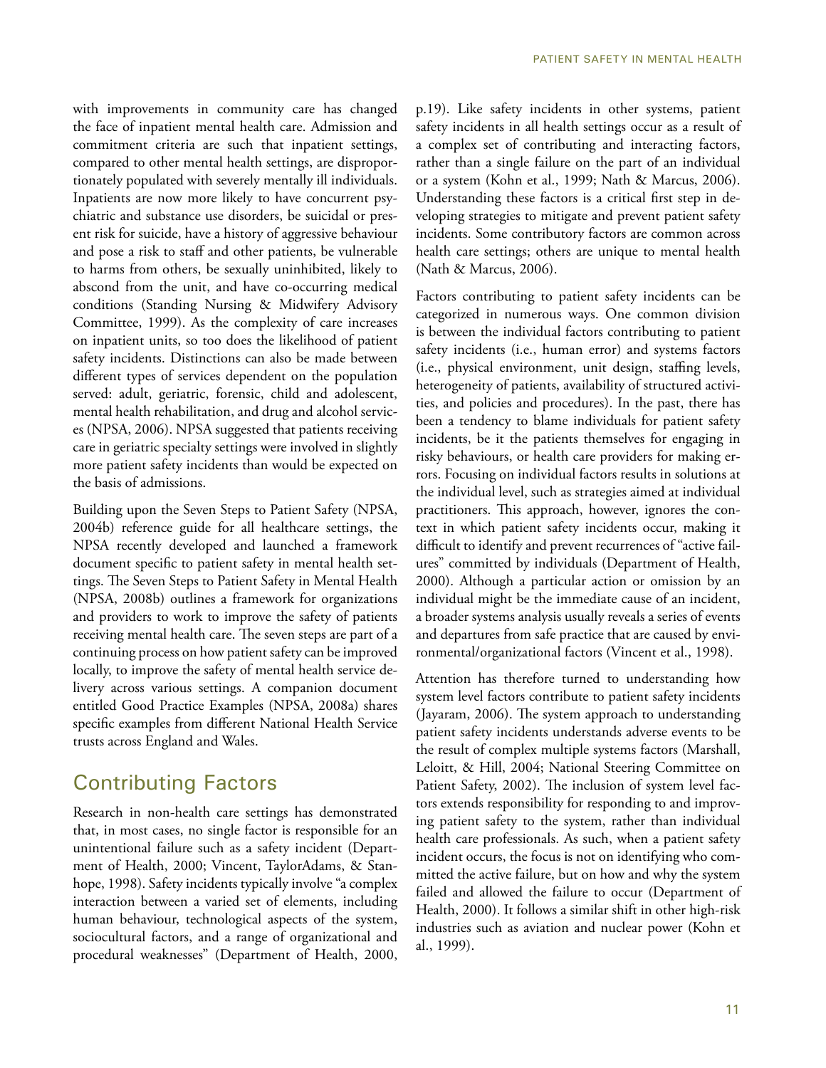with improvements in community care has changed the face of inpatient mental health care. Admission and commitment criteria are such that inpatient settings, compared to other mental health settings, are disproportionately populated with severely mentally ill individuals. Inpatients are now more likely to have concurrent psychiatric and substance use disorders, be suicidal or present risk for suicide, have a history of aggressive behaviour and pose a risk to staff and other patients, be vulnerable to harms from others, be sexually uninhibited, likely to abscond from the unit, and have co-occurring medical conditions (Standing Nursing & Midwifery Advisory Committee, 1999). As the complexity of care increases on inpatient units, so too does the likelihood of patient safety incidents. Distinctions can also be made between different types of services dependent on the population served: adult, geriatric, forensic, child and adolescent, mental health rehabilitation, and drug and alcohol services (NPSA, 2006). NPSA suggested that patients receiving care in geriatric specialty settings were involved in slightly more patient safety incidents than would be expected on the basis of admissions.

Building upon the Seven Steps to Patient Safety (NPSA, 2004b) reference guide for all healthcare settings, the NPSA recently developed and launched a framework document specific to patient safety in mental health settings. The Seven Steps to Patient Safety in Mental Health (NPSA, 2008b) outlines a framework for organizations and providers to work to improve the safety of patients receiving mental health care. The seven steps are part of a continuing process on how patient safety can be improved locally, to improve the safety of mental health service delivery across various settings. A companion document entitled Good Practice Examples (NPSA, 2008a) shares specific examples from different National Health Service trusts across England and Wales.

## Contributing Factors

Research in non-health care settings has demonstrated that, in most cases, no single factor is responsible for an unintentional failure such as a safety incident (Department of Health, 2000; Vincent, TaylorAdams, & Stanhope, 1998). Safety incidents typically involve "a complex interaction between a varied set of elements, including human behaviour, technological aspects of the system, sociocultural factors, and a range of organizational and procedural weaknesses" (Department of Health, 2000,

p.19). Like safety incidents in other systems, patient safety incidents in all health settings occur as a result of a complex set of contributing and interacting factors, rather than a single failure on the part of an individual or a system (Kohn et al., 1999; Nath & Marcus, 2006). Understanding these factors is a critical first step in developing strategies to mitigate and prevent patient safety incidents. Some contributory factors are common across health care settings; others are unique to mental health (Nath & Marcus, 2006).

Factors contributing to patient safety incidents can be categorized in numerous ways. One common division is between the individual factors contributing to patient safety incidents (i.e., human error) and systems factors (i.e., physical environment, unit design, staffing levels, heterogeneity of patients, availability of structured activities, and policies and procedures). In the past, there has been a tendency to blame individuals for patient safety incidents, be it the patients themselves for engaging in risky behaviours, or health care providers for making errors. Focusing on individual factors results in solutions at the individual level, such as strategies aimed at individual practitioners. This approach, however, ignores the context in which patient safety incidents occur, making it difficult to identify and prevent recurrences of "active failures" committed by individuals (Department of Health, 2000). Although a particular action or omission by an individual might be the immediate cause of an incident, a broader systems analysis usually reveals a series of events and departures from safe practice that are caused by environmental/organizational factors (Vincent et al., 1998).

Attention has therefore turned to understanding how system level factors contribute to patient safety incidents (Jayaram, 2006). The system approach to understanding patient safety incidents understands adverse events to be the result of complex multiple systems factors (Marshall, Leloitt, & Hill, 2004; National Steering Committee on Patient Safety, 2002). The inclusion of system level factors extends responsibility for responding to and improving patient safety to the system, rather than individual health care professionals. As such, when a patient safety incident occurs, the focus is not on identifying who committed the active failure, but on how and why the system failed and allowed the failure to occur (Department of Health, 2000). It follows a similar shift in other high-risk industries such as aviation and nuclear power (Kohn et al., 1999).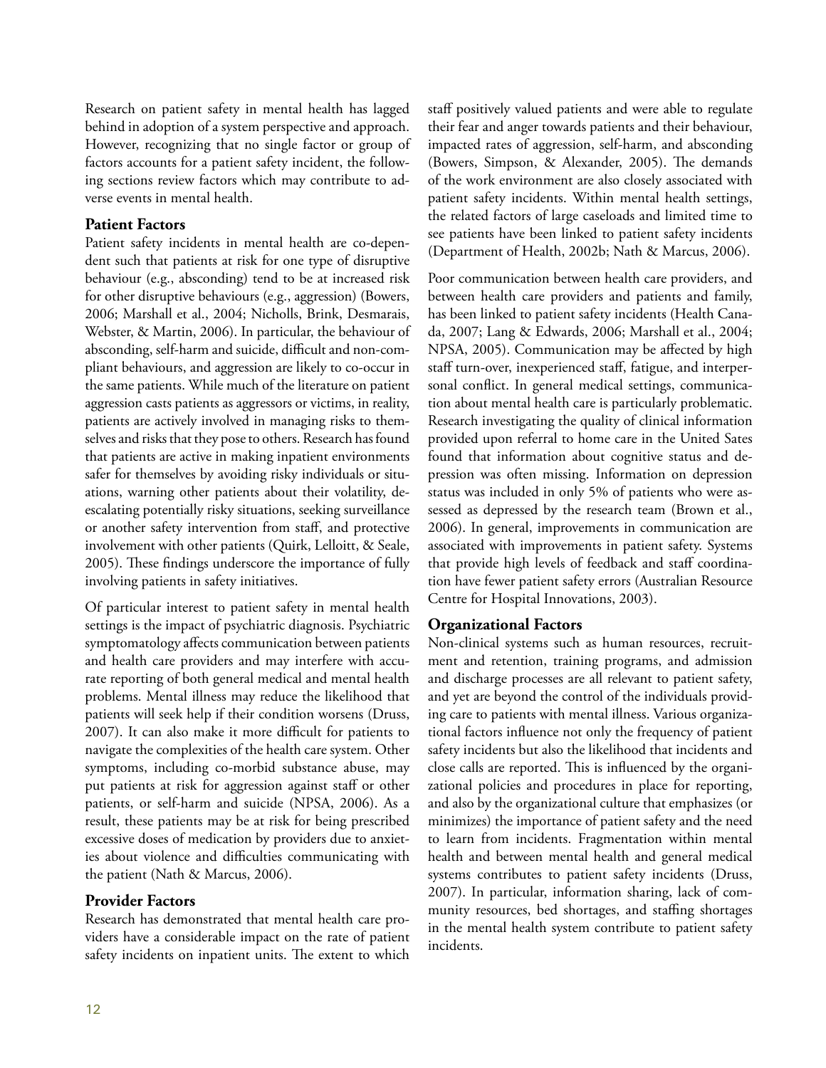Research on patient safety in mental health has lagged behind in adoption of a system perspective and approach. However, recognizing that no single factor or group of factors accounts for a patient safety incident, the following sections review factors which may contribute to adverse events in mental health.

#### **Patient Factors**

Patient safety incidents in mental health are co-dependent such that patients at risk for one type of disruptive behaviour (e.g., absconding) tend to be at increased risk for other disruptive behaviours (e.g., aggression) (Bowers, 2006; Marshall et al., 2004; Nicholls, Brink, Desmarais, Webster, & Martin, 2006). In particular, the behaviour of absconding, self-harm and suicide, difficult and non-compliant behaviours, and aggression are likely to co-occur in the same patients. While much of the literature on patient aggression casts patients as aggressors or victims, in reality, patients are actively involved in managing risks to themselves and risks that they pose to others. Research has found that patients are active in making inpatient environments safer for themselves by avoiding risky individuals or situations, warning other patients about their volatility, deescalating potentially risky situations, seeking surveillance or another safety intervention from staff, and protective involvement with other patients (Quirk, Lelloitt, & Seale, 2005). These findings underscore the importance of fully involving patients in safety initiatives.

Of particular interest to patient safety in mental health settings is the impact of psychiatric diagnosis. Psychiatric symptomatology affects communication between patients and health care providers and may interfere with accurate reporting of both general medical and mental health problems. Mental illness may reduce the likelihood that patients will seek help if their condition worsens (Druss, 2007). It can also make it more difficult for patients to navigate the complexities of the health care system. Other symptoms, including co-morbid substance abuse, may put patients at risk for aggression against staff or other patients, or self-harm and suicide (NPSA, 2006). As a result, these patients may be at risk for being prescribed excessive doses of medication by providers due to anxieties about violence and difficulties communicating with the patient (Nath & Marcus, 2006).

#### **Provider Factors**

Research has demonstrated that mental health care providers have a considerable impact on the rate of patient safety incidents on inpatient units. The extent to which

staff positively valued patients and were able to regulate their fear and anger towards patients and their behaviour, impacted rates of aggression, self-harm, and absconding (Bowers, Simpson, & Alexander, 2005). The demands of the work environment are also closely associated with patient safety incidents. Within mental health settings, the related factors of large caseloads and limited time to see patients have been linked to patient safety incidents (Department of Health, 2002b; Nath & Marcus, 2006).

Poor communication between health care providers, and between health care providers and patients and family, has been linked to patient safety incidents (Health Canada, 2007; Lang & Edwards, 2006; Marshall et al., 2004; NPSA, 2005). Communication may be affected by high staff turn-over, inexperienced staff, fatigue, and interpersonal conflict. In general medical settings, communication about mental health care is particularly problematic. Research investigating the quality of clinical information provided upon referral to home care in the United Sates found that information about cognitive status and depression was often missing. Information on depression status was included in only 5% of patients who were assessed as depressed by the research team (Brown et al., 2006). In general, improvements in communication are associated with improvements in patient safety. Systems that provide high levels of feedback and staff coordination have fewer patient safety errors (Australian Resource Centre for Hospital Innovations, 2003).

#### **Organizational Factors**

Non-clinical systems such as human resources, recruitment and retention, training programs, and admission and discharge processes are all relevant to patient safety, and yet are beyond the control of the individuals providing care to patients with mental illness. Various organizational factors influence not only the frequency of patient safety incidents but also the likelihood that incidents and close calls are reported. This is influenced by the organizational policies and procedures in place for reporting, and also by the organizational culture that emphasizes (or minimizes) the importance of patient safety and the need to learn from incidents. Fragmentation within mental health and between mental health and general medical systems contributes to patient safety incidents (Druss, 2007). In particular, information sharing, lack of community resources, bed shortages, and staffing shortages in the mental health system contribute to patient safety incidents.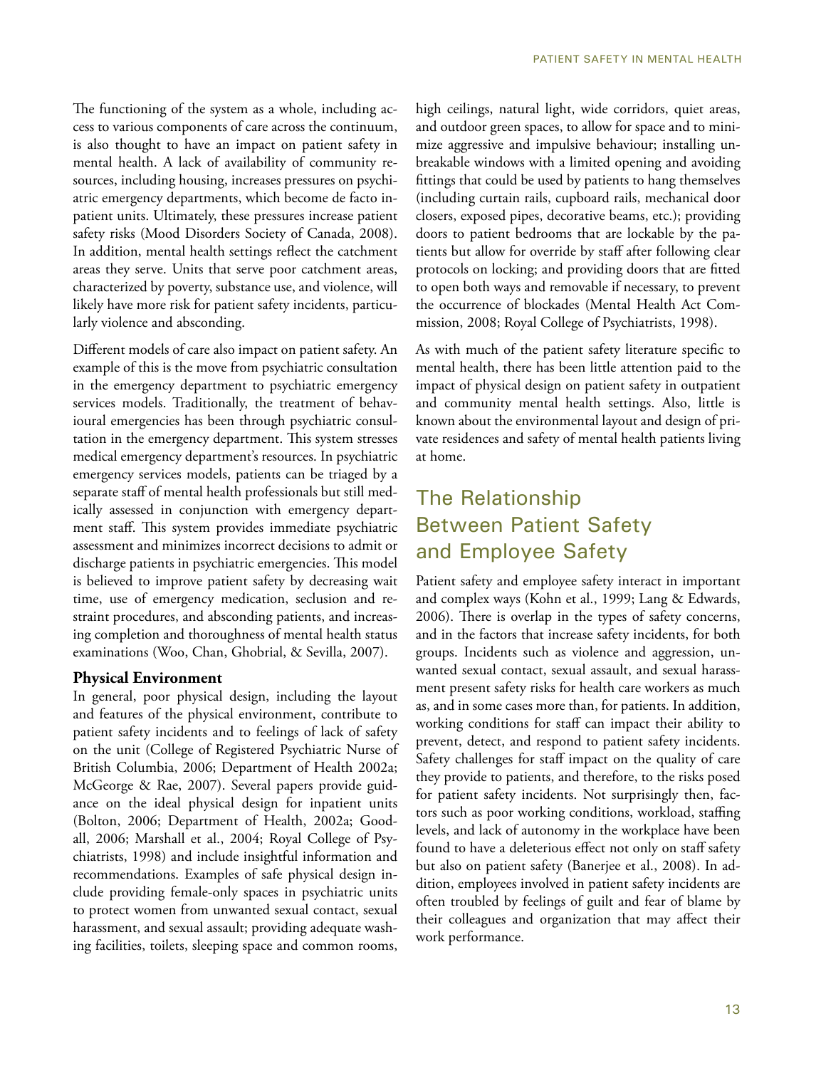The functioning of the system as a whole, including access to various components of care across the continuum, is also thought to have an impact on patient safety in mental health. A lack of availability of community resources, including housing, increases pressures on psychiatric emergency departments, which become de facto inpatient units. Ultimately, these pressures increase patient safety risks (Mood Disorders Society of Canada, 2008). In addition, mental health settings reflect the catchment areas they serve. Units that serve poor catchment areas, characterized by poverty, substance use, and violence, will likely have more risk for patient safety incidents, particularly violence and absconding.

Different models of care also impact on patient safety. An example of this is the move from psychiatric consultation in the emergency department to psychiatric emergency services models. Traditionally, the treatment of behavioural emergencies has been through psychiatric consultation in the emergency department. This system stresses medical emergency department's resources. In psychiatric emergency services models, patients can be triaged by a separate staff of mental health professionals but still medically assessed in conjunction with emergency department staff. This system provides immediate psychiatric assessment and minimizes incorrect decisions to admit or discharge patients in psychiatric emergencies. This model is believed to improve patient safety by decreasing wait time, use of emergency medication, seclusion and restraint procedures, and absconding patients, and increasing completion and thoroughness of mental health status examinations (Woo, Chan, Ghobrial, & Sevilla, 2007).

#### **Physical Environment**

In general, poor physical design, including the layout and features of the physical environment, contribute to patient safety incidents and to feelings of lack of safety on the unit (College of Registered Psychiatric Nurse of British Columbia, 2006; Department of Health 2002a; McGeorge & Rae, 2007). Several papers provide guidance on the ideal physical design for inpatient units (Bolton, 2006; Department of Health, 2002a; Goodall, 2006; Marshall et al., 2004; Royal College of Psychiatrists, 1998) and include insightful information and recommendations. Examples of safe physical design include providing female-only spaces in psychiatric units to protect women from unwanted sexual contact, sexual harassment, and sexual assault; providing adequate washing facilities, toilets, sleeping space and common rooms,

high ceilings, natural light, wide corridors, quiet areas, and outdoor green spaces, to allow for space and to minimize aggressive and impulsive behaviour; installing unbreakable windows with a limited opening and avoiding fittings that could be used by patients to hang themselves (including curtain rails, cupboard rails, mechanical door closers, exposed pipes, decorative beams, etc.); providing doors to patient bedrooms that are lockable by the patients but allow for override by staff after following clear protocols on locking; and providing doors that are fitted to open both ways and removable if necessary, to prevent the occurrence of blockades (Mental Health Act Commission, 2008; Royal College of Psychiatrists, 1998).

As with much of the patient safety literature specific to mental health, there has been little attention paid to the impact of physical design on patient safety in outpatient and community mental health settings. Also, little is known about the environmental layout and design of private residences and safety of mental health patients living at home.

# The Relationship Between Patient Safety and Employee Safety

Patient safety and employee safety interact in important and complex ways (Kohn et al., 1999; Lang & Edwards, 2006). There is overlap in the types of safety concerns, and in the factors that increase safety incidents, for both groups. Incidents such as violence and aggression, unwanted sexual contact, sexual assault, and sexual harassment present safety risks for health care workers as much as, and in some cases more than, for patients. In addition, working conditions for staff can impact their ability to prevent, detect, and respond to patient safety incidents. Safety challenges for staff impact on the quality of care they provide to patients, and therefore, to the risks posed for patient safety incidents. Not surprisingly then, factors such as poor working conditions, workload, staffing levels, and lack of autonomy in the workplace have been found to have a deleterious effect not only on staff safety but also on patient safety (Banerjee et al., 2008). In addition, employees involved in patient safety incidents are often troubled by feelings of guilt and fear of blame by their colleagues and organization that may affect their work performance.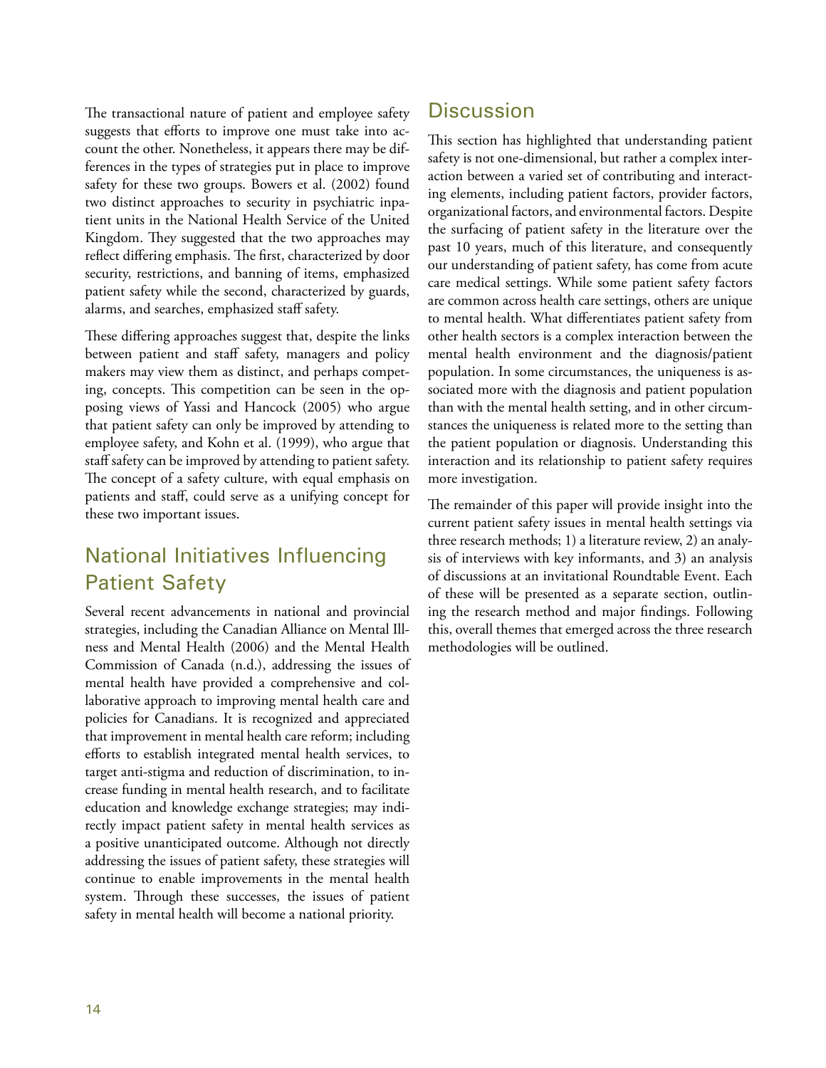The transactional nature of patient and employee safety suggests that efforts to improve one must take into account the other. Nonetheless, it appears there may be differences in the types of strategies put in place to improve safety for these two groups. Bowers et al. (2002) found two distinct approaches to security in psychiatric inpatient units in the National Health Service of the United Kingdom. They suggested that the two approaches may reflect differing emphasis. The first, characterized by door security, restrictions, and banning of items, emphasized patient safety while the second, characterized by guards, alarms, and searches, emphasized staff safety.

These differing approaches suggest that, despite the links between patient and staff safety, managers and policy makers may view them as distinct, and perhaps competing, concepts. This competition can be seen in the opposing views of Yassi and Hancock (2005) who argue that patient safety can only be improved by attending to employee safety, and Kohn et al. (1999), who argue that staff safety can be improved by attending to patient safety. The concept of a safety culture, with equal emphasis on patients and staff, could serve as a unifying concept for these two important issues.

# National Initiatives Influencing Patient Safety

Several recent advancements in national and provincial strategies, including the Canadian Alliance on Mental Illness and Mental Health (2006) and the Mental Health Commission of Canada (n.d.), addressing the issues of mental health have provided a comprehensive and collaborative approach to improving mental health care and policies for Canadians. It is recognized and appreciated that improvement in mental health care reform; including efforts to establish integrated mental health services, to target anti-stigma and reduction of discrimination, to increase funding in mental health research, and to facilitate education and knowledge exchange strategies; may indirectly impact patient safety in mental health services as a positive unanticipated outcome. Although not directly addressing the issues of patient safety, these strategies will continue to enable improvements in the mental health system. Through these successes, the issues of patient safety in mental health will become a national priority.

## **Discussion**

This section has highlighted that understanding patient safety is not one-dimensional, but rather a complex interaction between a varied set of contributing and interacting elements, including patient factors, provider factors, organizational factors, and environmental factors. Despite the surfacing of patient safety in the literature over the past 10 years, much of this literature, and consequently our understanding of patient safety, has come from acute care medical settings. While some patient safety factors are common across health care settings, others are unique to mental health. What differentiates patient safety from other health sectors is a complex interaction between the mental health environment and the diagnosis/patient population. In some circumstances, the uniqueness is associated more with the diagnosis and patient population than with the mental health setting, and in other circumstances the uniqueness is related more to the setting than the patient population or diagnosis. Understanding this interaction and its relationship to patient safety requires more investigation.

The remainder of this paper will provide insight into the current patient safety issues in mental health settings via three research methods; 1) a literature review, 2) an analysis of interviews with key informants, and 3) an analysis of discussions at an invitational Roundtable Event. Each of these will be presented as a separate section, outlining the research method and major findings. Following this, overall themes that emerged across the three research methodologies will be outlined.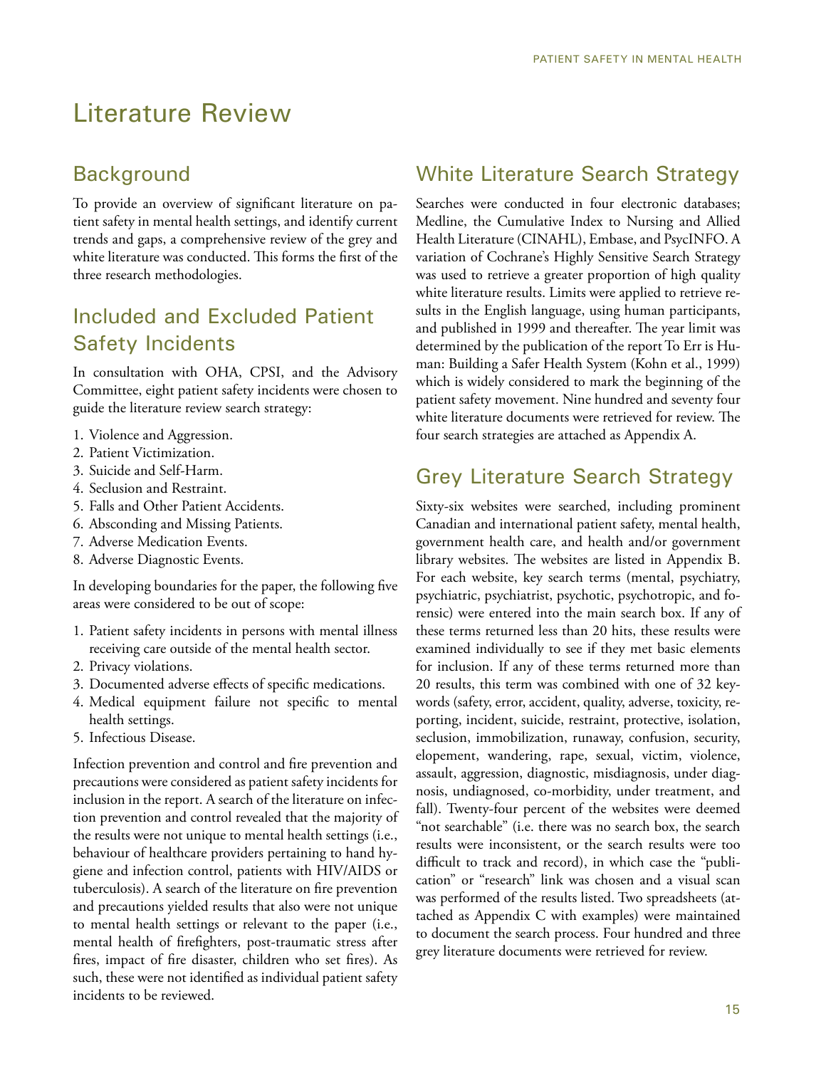# Literature Review

## **Background**

To provide an overview of significant literature on patient safety in mental health settings, and identify current trends and gaps, a comprehensive review of the grey and white literature was conducted. This forms the first of the three research methodologies.

# Included and Excluded Patient Safety Incidents

In consultation with OHA, CPSI, and the Advisory Committee, eight patient safety incidents were chosen to guide the literature review search strategy:

- 1. Violence and Aggression.
- 2. Patient Victimization.
- 3. Suicide and Self-Harm.
- 4. Seclusion and Restraint.
- 5. Falls and Other Patient Accidents.
- 6. Absconding and Missing Patients.
- 7. Adverse Medication Events.
- 8. Adverse Diagnostic Events.

In developing boundaries for the paper, the following five areas were considered to be out of scope:

- 1. Patient safety incidents in persons with mental illness receiving care outside of the mental health sector.
- 2. Privacy violations.
- 3. Documented adverse effects of specific medications.
- 4. Medical equipment failure not specific to mental health settings.
- 5. Infectious Disease.

Infection prevention and control and fire prevention and precautions were considered as patient safety incidents for inclusion in the report. A search of the literature on infection prevention and control revealed that the majority of the results were not unique to mental health settings (i.e., behaviour of healthcare providers pertaining to hand hygiene and infection control, patients with HIV/AIDS or tuberculosis). A search of the literature on fire prevention and precautions yielded results that also were not unique to mental health settings or relevant to the paper (i.e., mental health of firefighters, post-traumatic stress after fires, impact of fire disaster, children who set fires). As such, these were not identified as individual patient safety incidents to be reviewed.

## White Literature Search Strategy

Searches were conducted in four electronic databases; Medline, the Cumulative Index to Nursing and Allied Health Literature (CINAHL), Embase, and PsycINFO. A variation of Cochrane's Highly Sensitive Search Strategy was used to retrieve a greater proportion of high quality white literature results. Limits were applied to retrieve results in the English language, using human participants, and published in 1999 and thereafter. The year limit was determined by the publication of the report To Err is Human: Building a Safer Health System (Kohn et al., 1999) which is widely considered to mark the beginning of the patient safety movement. Nine hundred and seventy four white literature documents were retrieved for review. The four search strategies are attached as Appendix A.

## Grey Literature Search Strategy

Sixty-six websites were searched, including prominent Canadian and international patient safety, mental health, government health care, and health and/or government library websites. The websites are listed in Appendix B. For each website, key search terms (mental, psychiatry, psychiatric, psychiatrist, psychotic, psychotropic, and forensic) were entered into the main search box. If any of these terms returned less than 20 hits, these results were examined individually to see if they met basic elements for inclusion. If any of these terms returned more than 20 results, this term was combined with one of 32 keywords (safety, error, accident, quality, adverse, toxicity, reporting, incident, suicide, restraint, protective, isolation, seclusion, immobilization, runaway, confusion, security, elopement, wandering, rape, sexual, victim, violence, assault, aggression, diagnostic, misdiagnosis, under diagnosis, undiagnosed, co-morbidity, under treatment, and fall). Twenty-four percent of the websites were deemed "not searchable" (i.e. there was no search box, the search results were inconsistent, or the search results were too difficult to track and record), in which case the "publication" or "research" link was chosen and a visual scan was performed of the results listed. Two spreadsheets (attached as Appendix C with examples) were maintained to document the search process. Four hundred and three grey literature documents were retrieved for review.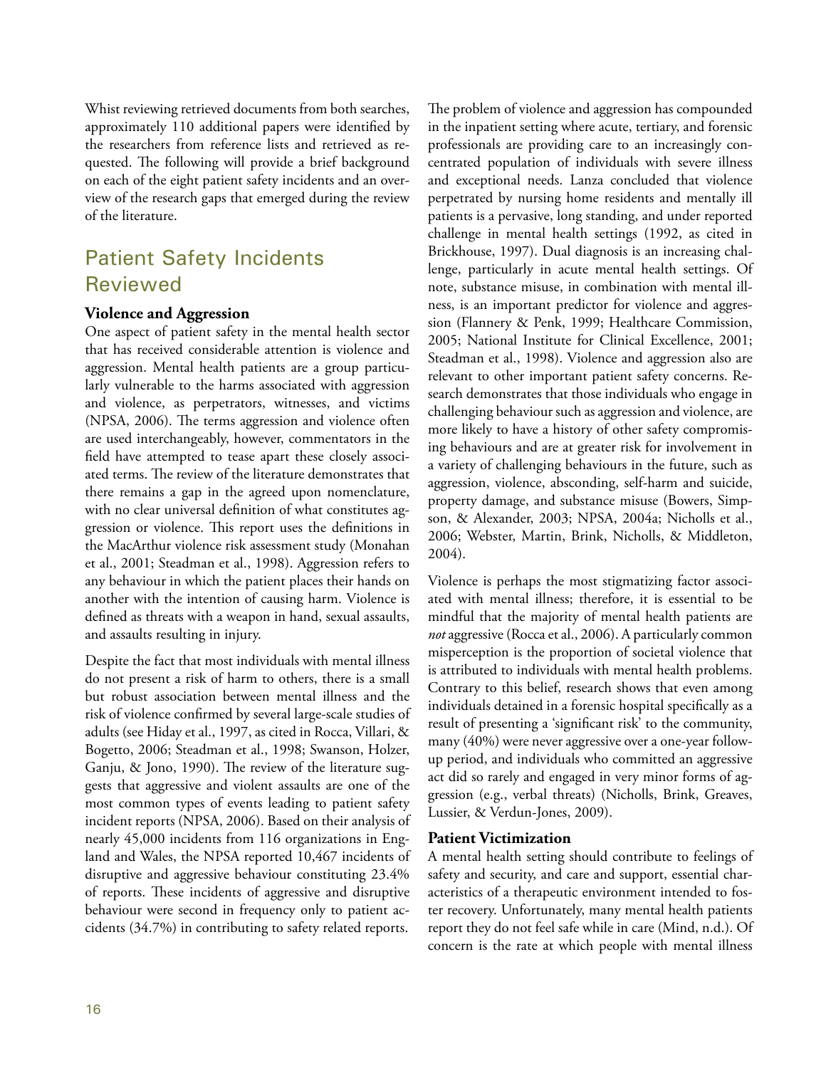Whist reviewing retrieved documents from both searches, approximately 110 additional papers were identified by the researchers from reference lists and retrieved as requested. The following will provide a brief background on each of the eight patient safety incidents and an overview of the research gaps that emerged during the review of the literature.

# Patient Safety Incidents Reviewed

#### **Violence and Aggression**

One aspect of patient safety in the mental health sector that has received considerable attention is violence and aggression. Mental health patients are a group particularly vulnerable to the harms associated with aggression and violence, as perpetrators, witnesses, and victims (NPSA, 2006). The terms aggression and violence often are used interchangeably, however, commentators in the field have attempted to tease apart these closely associated terms. The review of the literature demonstrates that there remains a gap in the agreed upon nomenclature, with no clear universal definition of what constitutes aggression or violence. This report uses the definitions in the MacArthur violence risk assessment study (Monahan et al., 2001; Steadman et al., 1998). Aggression refers to any behaviour in which the patient places their hands on another with the intention of causing harm. Violence is defined as threats with a weapon in hand, sexual assaults, and assaults resulting in injury.

Despite the fact that most individuals with mental illness do not present a risk of harm to others, there is a small but robust association between mental illness and the risk of violence confirmed by several large-scale studies of adults (see Hiday et al., 1997, as cited in Rocca, Villari, & Bogetto, 2006; Steadman et al., 1998; Swanson, Holzer, Ganju, & Jono, 1990). The review of the literature suggests that aggressive and violent assaults are one of the most common types of events leading to patient safety incident reports (NPSA, 2006). Based on their analysis of nearly 45,000 incidents from 116 organizations in England and Wales, the NPSA reported 10,467 incidents of disruptive and aggressive behaviour constituting 23.4% of reports. These incidents of aggressive and disruptive behaviour were second in frequency only to patient accidents (34.7%) in contributing to safety related reports.

The problem of violence and aggression has compounded in the inpatient setting where acute, tertiary, and forensic professionals are providing care to an increasingly concentrated population of individuals with severe illness and exceptional needs. Lanza concluded that violence perpetrated by nursing home residents and mentally ill patients is a pervasive, long standing, and under reported challenge in mental health settings (1992, as cited in Brickhouse, 1997). Dual diagnosis is an increasing challenge, particularly in acute mental health settings. Of note, substance misuse, in combination with mental illness, is an important predictor for violence and aggression (Flannery & Penk, 1999; Healthcare Commission, 2005; National Institute for Clinical Excellence, 2001; Steadman et al., 1998). Violence and aggression also are relevant to other important patient safety concerns. Research demonstrates that those individuals who engage in challenging behaviour such as aggression and violence, are more likely to have a history of other safety compromising behaviours and are at greater risk for involvement in a variety of challenging behaviours in the future, such as aggression, violence, absconding, self-harm and suicide, property damage, and substance misuse (Bowers, Simpson, & Alexander, 2003; NPSA, 2004a; Nicholls et al., 2006; Webster, Martin, Brink, Nicholls, & Middleton, 2004).

Violence is perhaps the most stigmatizing factor associated with mental illness; therefore, it is essential to be mindful that the majority of mental health patients are *not* aggressive (Rocca et al., 2006). A particularly common misperception is the proportion of societal violence that is attributed to individuals with mental health problems. Contrary to this belief, research shows that even among individuals detained in a forensic hospital specifically as a result of presenting a 'significant risk' to the community, many (40%) were never aggressive over a one-year followup period, and individuals who committed an aggressive act did so rarely and engaged in very minor forms of aggression (e.g., verbal threats) (Nicholls, Brink, Greaves, Lussier, & Verdun-Jones, 2009).

#### **Patient Victimization**

A mental health setting should contribute to feelings of safety and security, and care and support, essential characteristics of a therapeutic environment intended to foster recovery. Unfortunately, many mental health patients report they do not feel safe while in care (Mind, n.d.). Of concern is the rate at which people with mental illness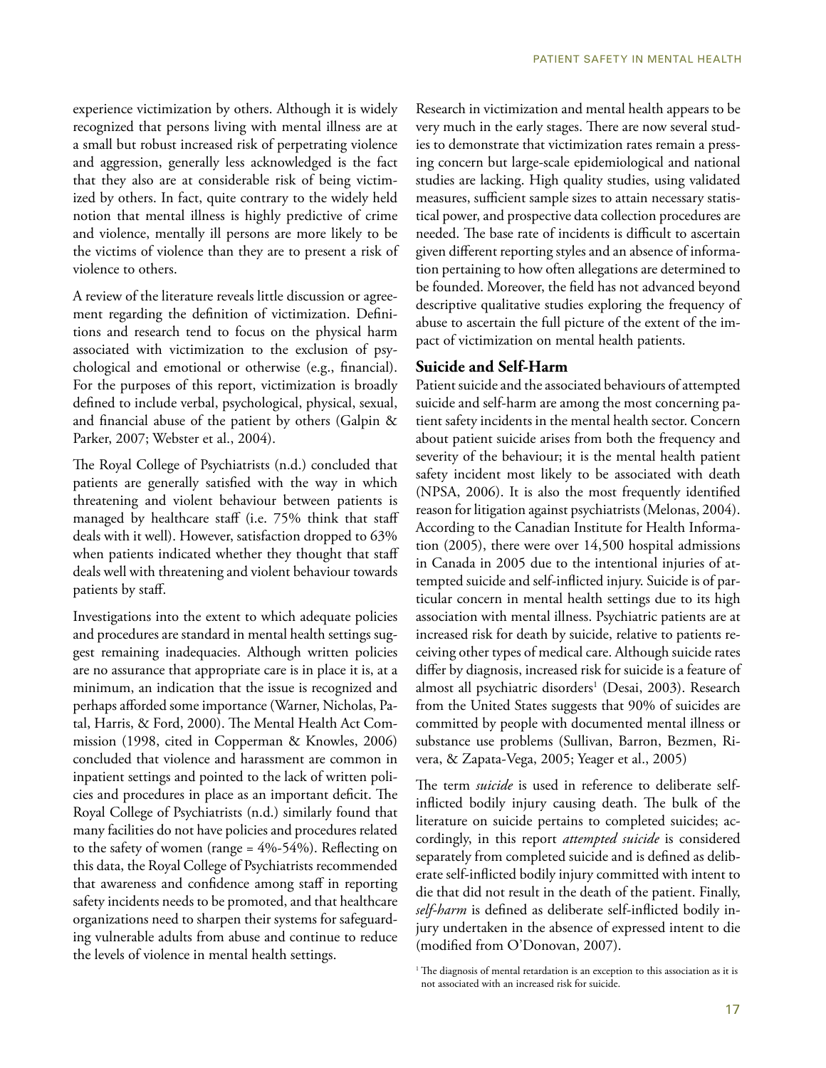experience victimization by others. Although it is widely recognized that persons living with mental illness are at a small but robust increased risk of perpetrating violence and aggression, generally less acknowledged is the fact that they also are at considerable risk of being victimized by others. In fact, quite contrary to the widely held notion that mental illness is highly predictive of crime and violence, mentally ill persons are more likely to be the victims of violence than they are to present a risk of violence to others.

A review of the literature reveals little discussion or agreement regarding the definition of victimization. Definitions and research tend to focus on the physical harm associated with victimization to the exclusion of psychological and emotional or otherwise (e.g., financial). For the purposes of this report, victimization is broadly defined to include verbal, psychological, physical, sexual, and financial abuse of the patient by others (Galpin & Parker, 2007; Webster et al., 2004).

The Royal College of Psychiatrists (n.d.) concluded that patients are generally satisfied with the way in which threatening and violent behaviour between patients is managed by healthcare staff (i.e. 75% think that staff deals with it well). However, satisfaction dropped to 63% when patients indicated whether they thought that staff deals well with threatening and violent behaviour towards patients by staff.

Investigations into the extent to which adequate policies and procedures are standard in mental health settings suggest remaining inadequacies. Although written policies are no assurance that appropriate care is in place it is, at a minimum, an indication that the issue is recognized and perhaps afforded some importance (Warner, Nicholas, Patal, Harris, & Ford, 2000). The Mental Health Act Commission (1998, cited in Copperman & Knowles, 2006) concluded that violence and harassment are common in inpatient settings and pointed to the lack of written policies and procedures in place as an important deficit. The Royal College of Psychiatrists (n.d.) similarly found that many facilities do not have policies and procedures related to the safety of women (range = 4%-54%). Reflecting on this data, the Royal College of Psychiatrists recommended that awareness and confidence among staff in reporting safety incidents needs to be promoted, and that healthcare organizations need to sharpen their systems for safeguarding vulnerable adults from abuse and continue to reduce the levels of violence in mental health settings.

Research in victimization and mental health appears to be very much in the early stages. There are now several studies to demonstrate that victimization rates remain a pressing concern but large-scale epidemiological and national studies are lacking. High quality studies, using validated measures, sufficient sample sizes to attain necessary statistical power, and prospective data collection procedures are needed. The base rate of incidents is difficult to ascertain given different reporting styles and an absence of information pertaining to how often allegations are determined to be founded. Moreover, the field has not advanced beyond descriptive qualitative studies exploring the frequency of abuse to ascertain the full picture of the extent of the impact of victimization on mental health patients.

#### **Suicide and Self-Harm**

Patient suicide and the associated behaviours of attempted suicide and self-harm are among the most concerning patient safety incidents in the mental health sector. Concern about patient suicide arises from both the frequency and severity of the behaviour; it is the mental health patient safety incident most likely to be associated with death (NPSA, 2006). It is also the most frequently identified reason for litigation against psychiatrists (Melonas, 2004). According to the Canadian Institute for Health Information (2005), there were over 14,500 hospital admissions in Canada in 2005 due to the intentional injuries of attempted suicide and self-inflicted injury. Suicide is of particular concern in mental health settings due to its high association with mental illness. Psychiatric patients are at increased risk for death by suicide, relative to patients receiving other types of medical care. Although suicide rates differ by diagnosis, increased risk for suicide is a feature of almost all psychiatric disorders<sup>1</sup> (Desai, 2003). Research from the United States suggests that 90% of suicides are committed by people with documented mental illness or substance use problems (Sullivan, Barron, Bezmen, Rivera, & Zapata-Vega, 2005; Yeager et al., 2005)

The term *suicide* is used in reference to deliberate selfinflicted bodily injury causing death. The bulk of the literature on suicide pertains to completed suicides; accordingly, in this report *attempted suicide* is considered separately from completed suicide and is defined as deliberate self-inflicted bodily injury committed with intent to die that did not result in the death of the patient. Finally, *self-harm* is defined as deliberate self-inflicted bodily injury undertaken in the absence of expressed intent to die (modified from O'Donovan, 2007).

<sup>&</sup>lt;sup>1</sup> The diagnosis of mental retardation is an exception to this association as it is not associated with an increased risk for suicide.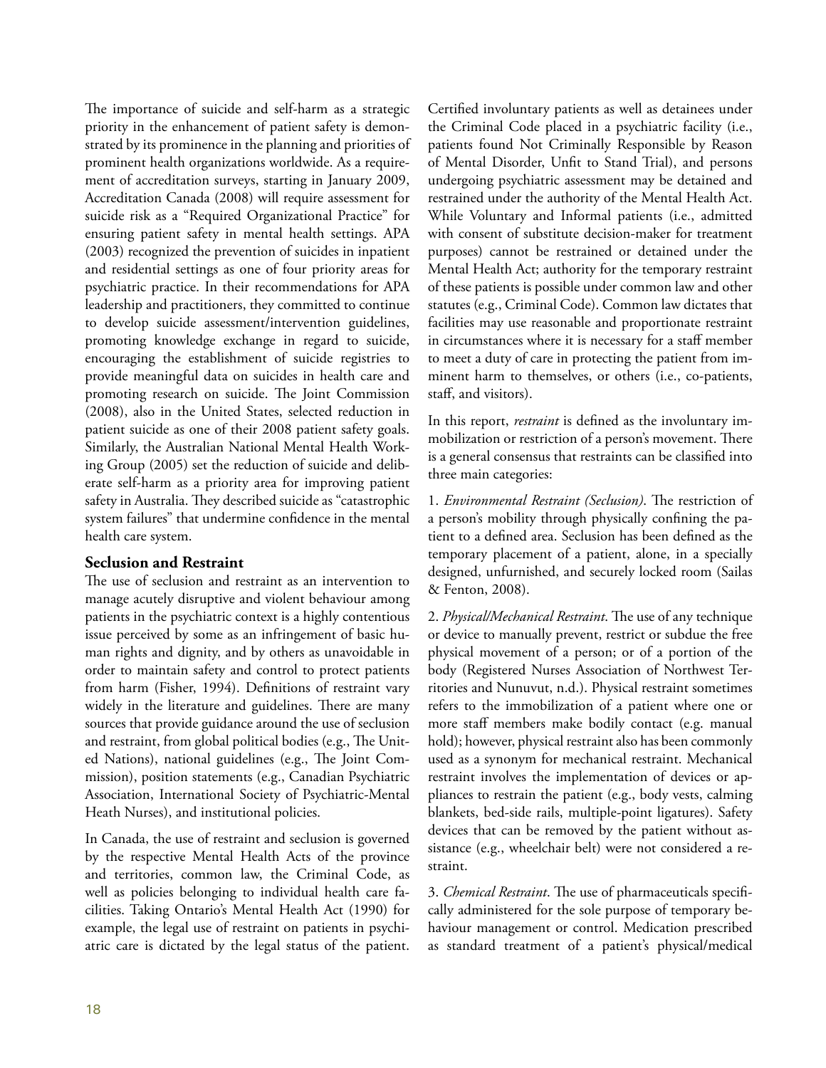The importance of suicide and self-harm as a strategic priority in the enhancement of patient safety is demonstrated by its prominence in the planning and priorities of prominent health organizations worldwide. As a requirement of accreditation surveys, starting in January 2009, Accreditation Canada (2008) will require assessment for suicide risk as a "Required Organizational Practice" for ensuring patient safety in mental health settings. APA (2003) recognized the prevention of suicides in inpatient and residential settings as one of four priority areas for psychiatric practice. In their recommendations for APA leadership and practitioners, they committed to continue to develop suicide assessment/intervention guidelines, promoting knowledge exchange in regard to suicide, encouraging the establishment of suicide registries to provide meaningful data on suicides in health care and promoting research on suicide. The Joint Commission (2008), also in the United States, selected reduction in patient suicide as one of their 2008 patient safety goals. Similarly, the Australian National Mental Health Working Group (2005) set the reduction of suicide and deliberate self-harm as a priority area for improving patient safety in Australia. They described suicide as "catastrophic system failures" that undermine confidence in the mental health care system.

#### **Seclusion and Restraint**

The use of seclusion and restraint as an intervention to manage acutely disruptive and violent behaviour among patients in the psychiatric context is a highly contentious issue perceived by some as an infringement of basic human rights and dignity, and by others as unavoidable in order to maintain safety and control to protect patients from harm (Fisher, 1994). Definitions of restraint vary widely in the literature and guidelines. There are many sources that provide guidance around the use of seclusion and restraint, from global political bodies (e.g., The United Nations), national guidelines (e.g., The Joint Commission), position statements (e.g., Canadian Psychiatric Association, International Society of Psychiatric-Mental Heath Nurses), and institutional policies.

In Canada, the use of restraint and seclusion is governed by the respective Mental Health Acts of the province and territories, common law, the Criminal Code, as well as policies belonging to individual health care facilities. Taking Ontario's Mental Health Act (1990) for example, the legal use of restraint on patients in psychiatric care is dictated by the legal status of the patient.

Certified involuntary patients as well as detainees under the Criminal Code placed in a psychiatric facility (i.e., patients found Not Criminally Responsible by Reason of Mental Disorder, Unfit to Stand Trial), and persons undergoing psychiatric assessment may be detained and restrained under the authority of the Mental Health Act. While Voluntary and Informal patients (i.e., admitted with consent of substitute decision-maker for treatment purposes) cannot be restrained or detained under the Mental Health Act; authority for the temporary restraint of these patients is possible under common law and other statutes (e.g., Criminal Code). Common law dictates that facilities may use reasonable and proportionate restraint in circumstances where it is necessary for a staff member to meet a duty of care in protecting the patient from imminent harm to themselves, or others (i.e., co-patients, staff, and visitors).

In this report, *restraint* is defined as the involuntary immobilization or restriction of a person's movement. There is a general consensus that restraints can be classified into three main categories:

1. *Environmental Restraint (Seclusion)*. The restriction of a person's mobility through physically confining the patient to a defined area. Seclusion has been defined as the temporary placement of a patient, alone, in a specially designed, unfurnished, and securely locked room (Sailas & Fenton, 2008).

2. *Physical/Mechanical Restraint*. The use of any technique or device to manually prevent, restrict or subdue the free physical movement of a person; or of a portion of the body (Registered Nurses Association of Northwest Territories and Nunuvut, n.d.). Physical restraint sometimes refers to the immobilization of a patient where one or more staff members make bodily contact (e.g. manual hold); however, physical restraint also has been commonly used as a synonym for mechanical restraint. Mechanical restraint involves the implementation of devices or appliances to restrain the patient (e.g., body vests, calming blankets, bed-side rails, multiple-point ligatures). Safety devices that can be removed by the patient without assistance (e.g., wheelchair belt) were not considered a restraint.

3. *Chemical Restraint*. The use of pharmaceuticals specifically administered for the sole purpose of temporary behaviour management or control. Medication prescribed as standard treatment of a patient's physical/medical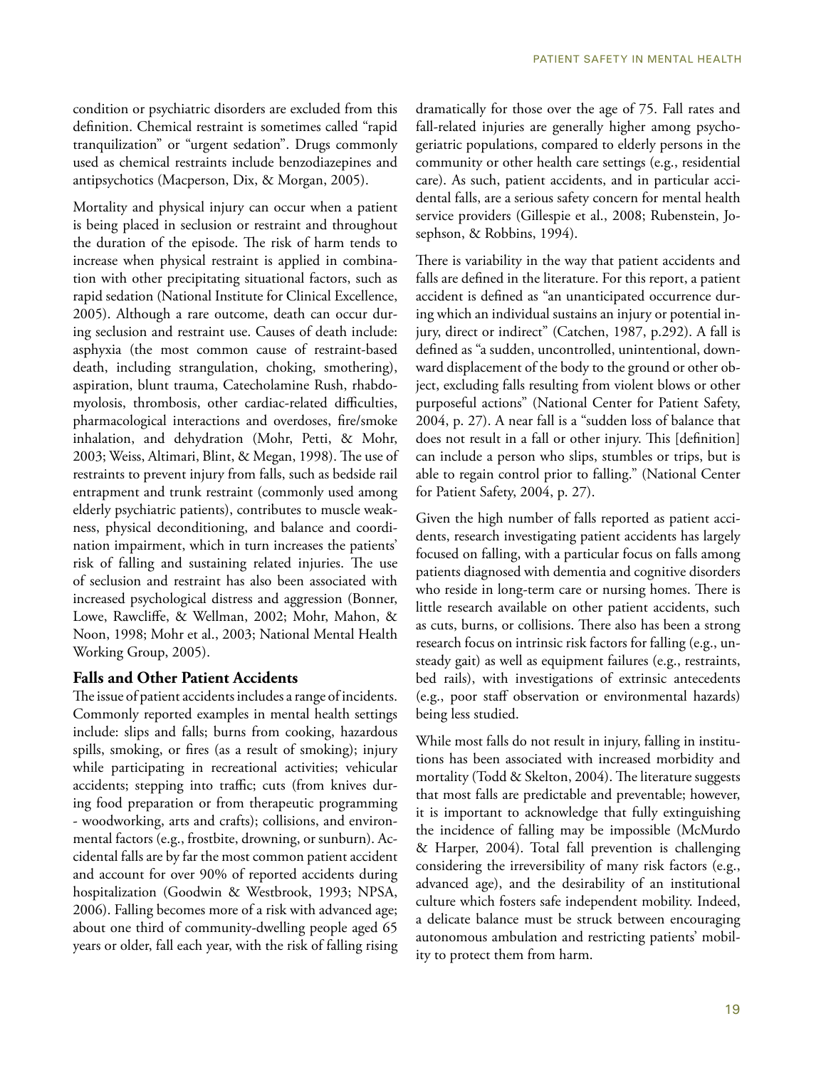condition or psychiatric disorders are excluded from this definition. Chemical restraint is sometimes called "rapid tranquilization" or "urgent sedation". Drugs commonly used as chemical restraints include benzodiazepines and antipsychotics (Macperson, Dix, & Morgan, 2005).

Mortality and physical injury can occur when a patient is being placed in seclusion or restraint and throughout the duration of the episode. The risk of harm tends to increase when physical restraint is applied in combination with other precipitating situational factors, such as rapid sedation (National Institute for Clinical Excellence, 2005). Although a rare outcome, death can occur during seclusion and restraint use. Causes of death include: asphyxia (the most common cause of restraint-based death, including strangulation, choking, smothering), aspiration, blunt trauma, Catecholamine Rush, rhabdomyolosis, thrombosis, other cardiac-related difficulties, pharmacological interactions and overdoses, fire/smoke inhalation, and dehydration (Mohr, Petti, & Mohr, 2003; Weiss, Altimari, Blint, & Megan, 1998). The use of restraints to prevent injury from falls, such as bedside rail entrapment and trunk restraint (commonly used among elderly psychiatric patients), contributes to muscle weakness, physical deconditioning, and balance and coordination impairment, which in turn increases the patients' risk of falling and sustaining related injuries. The use of seclusion and restraint has also been associated with increased psychological distress and aggression (Bonner, Lowe, Rawcliffe, & Wellman, 2002; Mohr, Mahon, & Noon, 1998; Mohr et al., 2003; National Mental Health Working Group, 2005).

#### **Falls and Other Patient Accidents**

The issue of patient accidents includes a range of incidents. Commonly reported examples in mental health settings include: slips and falls; burns from cooking, hazardous spills, smoking, or fires (as a result of smoking); injury while participating in recreational activities; vehicular accidents; stepping into traffic; cuts (from knives during food preparation or from therapeutic programming - woodworking, arts and crafts); collisions, and environmental factors (e.g., frostbite, drowning, or sunburn). Accidental falls are by far the most common patient accident and account for over 90% of reported accidents during hospitalization (Goodwin & Westbrook, 1993; NPSA, 2006). Falling becomes more of a risk with advanced age; about one third of community-dwelling people aged 65 years or older, fall each year, with the risk of falling rising

dramatically for those over the age of 75. Fall rates and fall-related injuries are generally higher among psychogeriatric populations, compared to elderly persons in the community or other health care settings (e.g., residential care). As such, patient accidents, and in particular accidental falls, are a serious safety concern for mental health service providers (Gillespie et al., 2008; Rubenstein, Josephson, & Robbins, 1994).

There is variability in the way that patient accidents and falls are defined in the literature. For this report, a patient accident is defined as "an unanticipated occurrence during which an individual sustains an injury or potential injury, direct or indirect" (Catchen, 1987, p.292). A fall is defined as "a sudden, uncontrolled, unintentional, downward displacement of the body to the ground or other object, excluding falls resulting from violent blows or other purposeful actions" (National Center for Patient Safety, 2004, p. 27). A near fall is a "sudden loss of balance that does not result in a fall or other injury. This [definition] can include a person who slips, stumbles or trips, but is able to regain control prior to falling." (National Center for Patient Safety, 2004, p. 27).

Given the high number of falls reported as patient accidents, research investigating patient accidents has largely focused on falling, with a particular focus on falls among patients diagnosed with dementia and cognitive disorders who reside in long-term care or nursing homes. There is little research available on other patient accidents, such as cuts, burns, or collisions. There also has been a strong research focus on intrinsic risk factors for falling (e.g., unsteady gait) as well as equipment failures (e.g., restraints, bed rails), with investigations of extrinsic antecedents (e.g., poor staff observation or environmental hazards) being less studied.

While most falls do not result in injury, falling in institutions has been associated with increased morbidity and mortality (Todd & Skelton, 2004). The literature suggests that most falls are predictable and preventable; however, it is important to acknowledge that fully extinguishing the incidence of falling may be impossible (McMurdo & Harper, 2004). Total fall prevention is challenging considering the irreversibility of many risk factors (e.g., advanced age), and the desirability of an institutional culture which fosters safe independent mobility. Indeed, a delicate balance must be struck between encouraging autonomous ambulation and restricting patients' mobility to protect them from harm.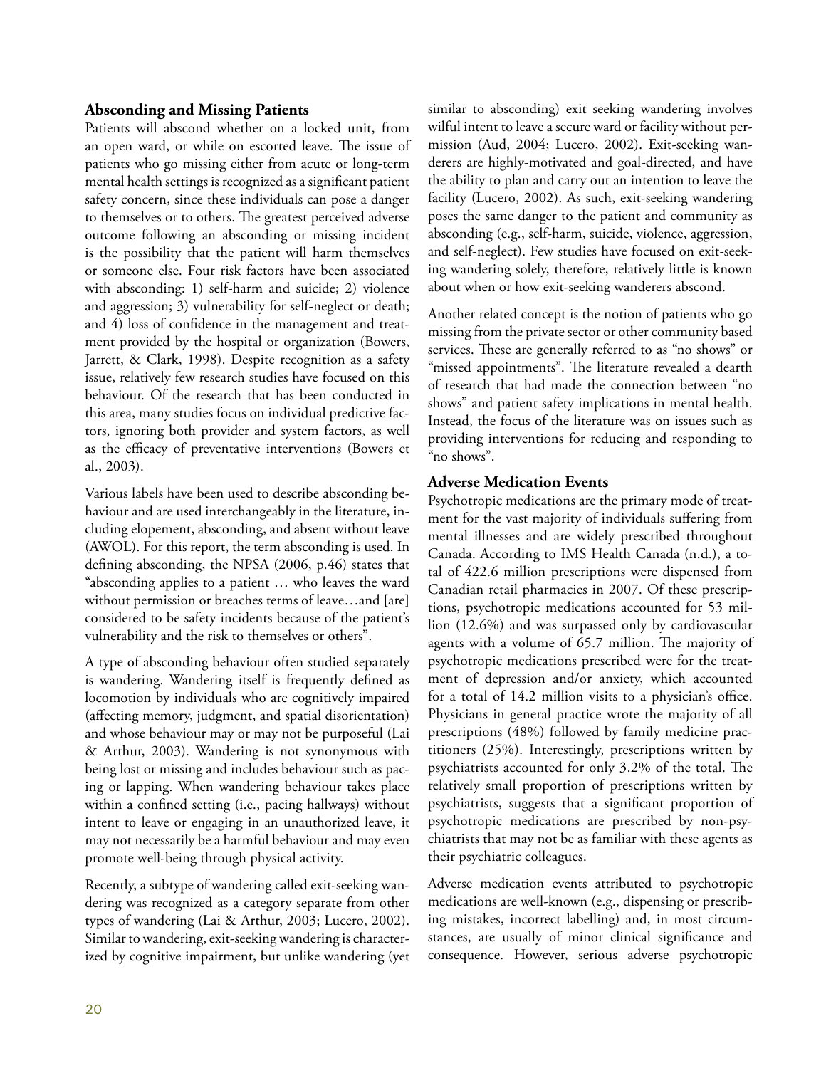#### **Absconding and Missing Patients**

Patients will abscond whether on a locked unit, from an open ward, or while on escorted leave. The issue of patients who go missing either from acute or long-term mental health settings is recognized as a significant patient safety concern, since these individuals can pose a danger to themselves or to others. The greatest perceived adverse outcome following an absconding or missing incident is the possibility that the patient will harm themselves or someone else. Four risk factors have been associated with absconding: 1) self-harm and suicide; 2) violence and aggression; 3) vulnerability for self-neglect or death; and 4) loss of confidence in the management and treatment provided by the hospital or organization (Bowers, Jarrett, & Clark, 1998). Despite recognition as a safety issue, relatively few research studies have focused on this behaviour. Of the research that has been conducted in this area, many studies focus on individual predictive factors, ignoring both provider and system factors, as well as the efficacy of preventative interventions (Bowers et al., 2003).

Various labels have been used to describe absconding behaviour and are used interchangeably in the literature, including elopement, absconding, and absent without leave (AWOL). For this report, the term absconding is used. In defining absconding, the NPSA (2006, p.46) states that "absconding applies to a patient … who leaves the ward without permission or breaches terms of leave…and [are] considered to be safety incidents because of the patient's vulnerability and the risk to themselves or others".

A type of absconding behaviour often studied separately is wandering. Wandering itself is frequently defined as locomotion by individuals who are cognitively impaired (affecting memory, judgment, and spatial disorientation) and whose behaviour may or may not be purposeful (Lai & Arthur, 2003). Wandering is not synonymous with being lost or missing and includes behaviour such as pacing or lapping. When wandering behaviour takes place within a confined setting (i.e., pacing hallways) without intent to leave or engaging in an unauthorized leave, it may not necessarily be a harmful behaviour and may even promote well-being through physical activity.

Recently, a subtype of wandering called exit-seeking wandering was recognized as a category separate from other types of wandering (Lai & Arthur, 2003; Lucero, 2002). Similar to wandering, exit-seeking wandering is characterized by cognitive impairment, but unlike wandering (yet similar to absconding) exit seeking wandering involves wilful intent to leave a secure ward or facility without permission (Aud, 2004; Lucero, 2002). Exit-seeking wanderers are highly-motivated and goal-directed, and have the ability to plan and carry out an intention to leave the facility (Lucero, 2002). As such, exit-seeking wandering poses the same danger to the patient and community as absconding (e.g., self-harm, suicide, violence, aggression, and self-neglect). Few studies have focused on exit-seeking wandering solely, therefore, relatively little is known about when or how exit-seeking wanderers abscond.

Another related concept is the notion of patients who go missing from the private sector or other community based services. These are generally referred to as "no shows" or "missed appointments". The literature revealed a dearth of research that had made the connection between "no shows" and patient safety implications in mental health. Instead, the focus of the literature was on issues such as providing interventions for reducing and responding to "no shows".

#### **Adverse Medication Events**

Psychotropic medications are the primary mode of treatment for the vast majority of individuals suffering from mental illnesses and are widely prescribed throughout Canada. According to IMS Health Canada (n.d.), a total of 422.6 million prescriptions were dispensed from Canadian retail pharmacies in 2007. Of these prescriptions, psychotropic medications accounted for 53 million (12.6%) and was surpassed only by cardiovascular agents with a volume of 65.7 million. The majority of psychotropic medications prescribed were for the treatment of depression and/or anxiety, which accounted for a total of 14.2 million visits to a physician's office. Physicians in general practice wrote the majority of all prescriptions (48%) followed by family medicine practitioners (25%). Interestingly, prescriptions written by psychiatrists accounted for only 3.2% of the total. The relatively small proportion of prescriptions written by psychiatrists, suggests that a significant proportion of psychotropic medications are prescribed by non-psychiatrists that may not be as familiar with these agents as their psychiatric colleagues.

Adverse medication events attributed to psychotropic medications are well-known (e.g., dispensing or prescribing mistakes, incorrect labelling) and, in most circumstances, are usually of minor clinical significance and consequence. However, serious adverse psychotropic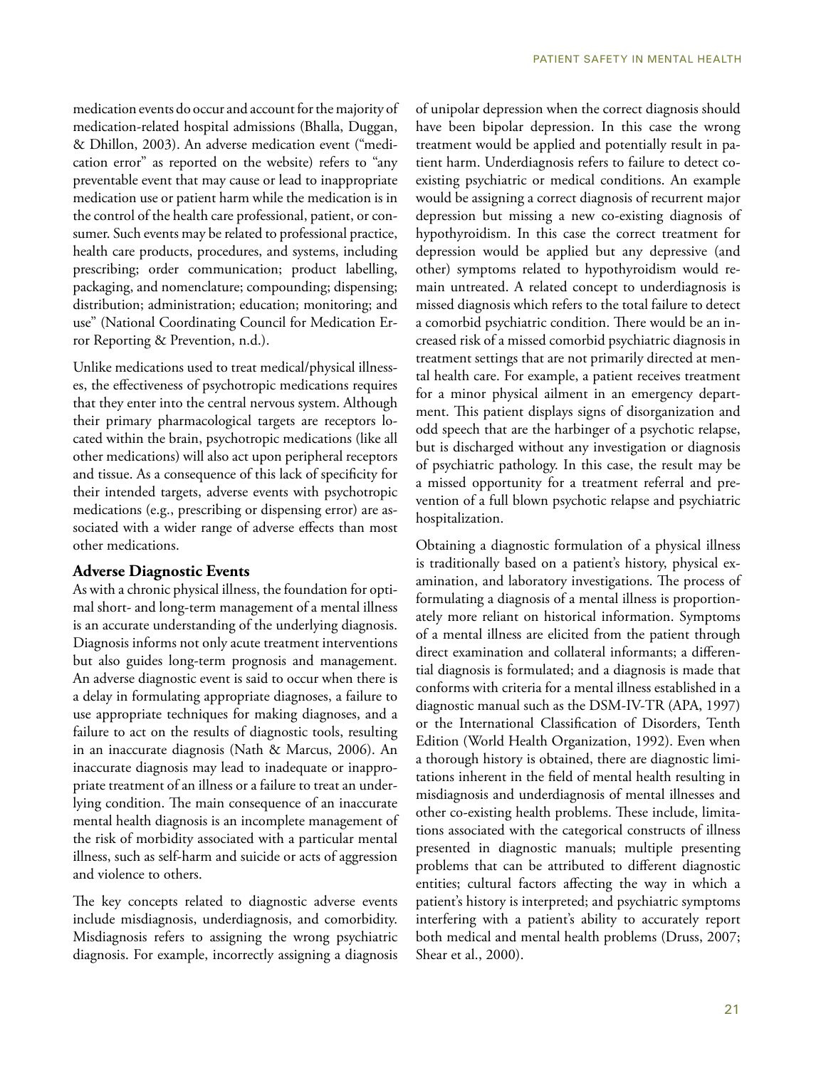medication events do occur and account for the majority of medication-related hospital admissions (Bhalla, Duggan, & Dhillon, 2003). An adverse medication event ("medication error" as reported on the website) refers to "any preventable event that may cause or lead to inappropriate medication use or patient harm while the medication is in the control of the health care professional, patient, or consumer. Such events may be related to professional practice, health care products, procedures, and systems, including prescribing; order communication; product labelling, packaging, and nomenclature; compounding; dispensing; distribution; administration; education; monitoring; and use" (National Coordinating Council for Medication Error Reporting & Prevention, n.d.).

Unlike medications used to treat medical/physical illnesses, the effectiveness of psychotropic medications requires that they enter into the central nervous system. Although their primary pharmacological targets are receptors located within the brain, psychotropic medications (like all other medications) will also act upon peripheral receptors and tissue. As a consequence of this lack of specificity for their intended targets, adverse events with psychotropic medications (e.g., prescribing or dispensing error) are associated with a wider range of adverse effects than most other medications.

#### **Adverse Diagnostic Events**

As with a chronic physical illness, the foundation for optimal short- and long-term management of a mental illness is an accurate understanding of the underlying diagnosis. Diagnosis informs not only acute treatment interventions but also guides long-term prognosis and management. An adverse diagnostic event is said to occur when there is a delay in formulating appropriate diagnoses, a failure to use appropriate techniques for making diagnoses, and a failure to act on the results of diagnostic tools, resulting in an inaccurate diagnosis (Nath & Marcus, 2006). An inaccurate diagnosis may lead to inadequate or inappropriate treatment of an illness or a failure to treat an underlying condition. The main consequence of an inaccurate mental health diagnosis is an incomplete management of the risk of morbidity associated with a particular mental illness, such as self-harm and suicide or acts of aggression and violence to others.

The key concepts related to diagnostic adverse events include misdiagnosis, underdiagnosis, and comorbidity. Misdiagnosis refers to assigning the wrong psychiatric diagnosis. For example, incorrectly assigning a diagnosis of unipolar depression when the correct diagnosis should have been bipolar depression. In this case the wrong treatment would be applied and potentially result in patient harm. Underdiagnosis refers to failure to detect coexisting psychiatric or medical conditions. An example would be assigning a correct diagnosis of recurrent major depression but missing a new co-existing diagnosis of hypothyroidism. In this case the correct treatment for depression would be applied but any depressive (and other) symptoms related to hypothyroidism would remain untreated. A related concept to underdiagnosis is missed diagnosis which refers to the total failure to detect a comorbid psychiatric condition. There would be an increased risk of a missed comorbid psychiatric diagnosis in treatment settings that are not primarily directed at mental health care. For example, a patient receives treatment for a minor physical ailment in an emergency department. This patient displays signs of disorganization and odd speech that are the harbinger of a psychotic relapse, but is discharged without any investigation or diagnosis of psychiatric pathology. In this case, the result may be a missed opportunity for a treatment referral and prevention of a full blown psychotic relapse and psychiatric hospitalization.

Obtaining a diagnostic formulation of a physical illness is traditionally based on a patient's history, physical examination, and laboratory investigations. The process of formulating a diagnosis of a mental illness is proportionately more reliant on historical information. Symptoms of a mental illness are elicited from the patient through direct examination and collateral informants; a differential diagnosis is formulated; and a diagnosis is made that conforms with criteria for a mental illness established in a diagnostic manual such as the DSM-IV-TR (APA, 1997) or the International Classification of Disorders, Tenth Edition (World Health Organization, 1992). Even when a thorough history is obtained, there are diagnostic limitations inherent in the field of mental health resulting in misdiagnosis and underdiagnosis of mental illnesses and other co-existing health problems. These include, limitations associated with the categorical constructs of illness presented in diagnostic manuals; multiple presenting problems that can be attributed to different diagnostic entities; cultural factors affecting the way in which a patient's history is interpreted; and psychiatric symptoms interfering with a patient's ability to accurately report both medical and mental health problems (Druss, 2007; Shear et al., 2000).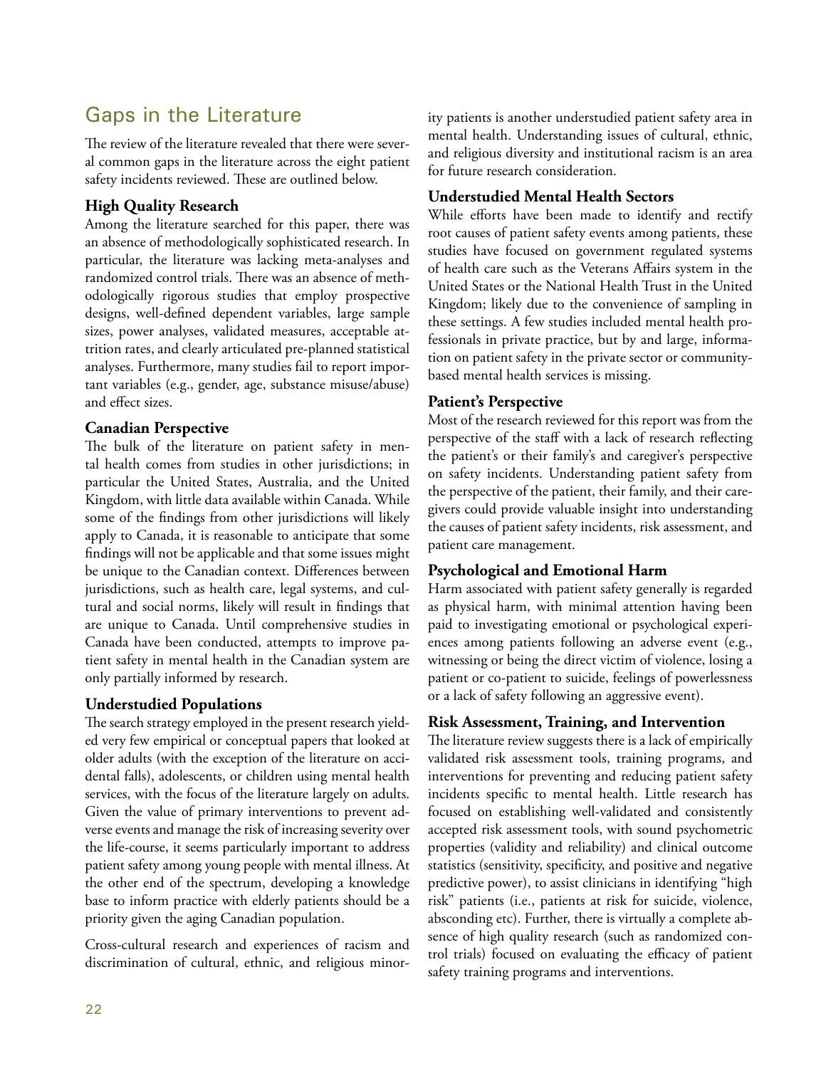# Gaps in the Literature

The review of the literature revealed that there were several common gaps in the literature across the eight patient safety incidents reviewed. These are outlined below.

#### **High Quality Research**

Among the literature searched for this paper, there was an absence of methodologically sophisticated research. In particular, the literature was lacking meta-analyses and randomized control trials. There was an absence of methodologically rigorous studies that employ prospective designs, well-defined dependent variables, large sample sizes, power analyses, validated measures, acceptable attrition rates, and clearly articulated pre-planned statistical analyses. Furthermore, many studies fail to report important variables (e.g., gender, age, substance misuse/abuse) and effect sizes.

#### **Canadian Perspective**

The bulk of the literature on patient safety in mental health comes from studies in other jurisdictions; in particular the United States, Australia, and the United Kingdom, with little data available within Canada. While some of the findings from other jurisdictions will likely apply to Canada, it is reasonable to anticipate that some findings will not be applicable and that some issues might be unique to the Canadian context. Differences between jurisdictions, such as health care, legal systems, and cultural and social norms, likely will result in findings that are unique to Canada. Until comprehensive studies in Canada have been conducted, attempts to improve patient safety in mental health in the Canadian system are only partially informed by research.

#### **Understudied Populations**

The search strategy employed in the present research yielded very few empirical or conceptual papers that looked at older adults (with the exception of the literature on accidental falls), adolescents, or children using mental health services, with the focus of the literature largely on adults. Given the value of primary interventions to prevent adverse events and manage the risk of increasing severity over the life-course, it seems particularly important to address patient safety among young people with mental illness. At the other end of the spectrum, developing a knowledge base to inform practice with elderly patients should be a priority given the aging Canadian population.

Cross-cultural research and experiences of racism and discrimination of cultural, ethnic, and religious minority patients is another understudied patient safety area in mental health. Understanding issues of cultural, ethnic, and religious diversity and institutional racism is an area for future research consideration.

#### **Understudied Mental Health Sectors**

While efforts have been made to identify and rectify root causes of patient safety events among patients, these studies have focused on government regulated systems of health care such as the Veterans Affairs system in the United States or the National Health Trust in the United Kingdom; likely due to the convenience of sampling in these settings. A few studies included mental health professionals in private practice, but by and large, information on patient safety in the private sector or communitybased mental health services is missing.

#### **Patient's Perspective**

Most of the research reviewed for this report was from the perspective of the staff with a lack of research reflecting the patient's or their family's and caregiver's perspective on safety incidents. Understanding patient safety from the perspective of the patient, their family, and their caregivers could provide valuable insight into understanding the causes of patient safety incidents, risk assessment, and patient care management.

#### **Psychological and Emotional Harm**

Harm associated with patient safety generally is regarded as physical harm, with minimal attention having been paid to investigating emotional or psychological experiences among patients following an adverse event (e.g., witnessing or being the direct victim of violence, losing a patient or co-patient to suicide, feelings of powerlessness or a lack of safety following an aggressive event).

#### **Risk Assessment, Training, and Intervention**

The literature review suggests there is a lack of empirically validated risk assessment tools, training programs, and interventions for preventing and reducing patient safety incidents specific to mental health. Little research has focused on establishing well-validated and consistently accepted risk assessment tools, with sound psychometric properties (validity and reliability) and clinical outcome statistics (sensitivity, specificity, and positive and negative predictive power), to assist clinicians in identifying "high risk" patients (i.e., patients at risk for suicide, violence, absconding etc). Further, there is virtually a complete absence of high quality research (such as randomized control trials) focused on evaluating the efficacy of patient safety training programs and interventions.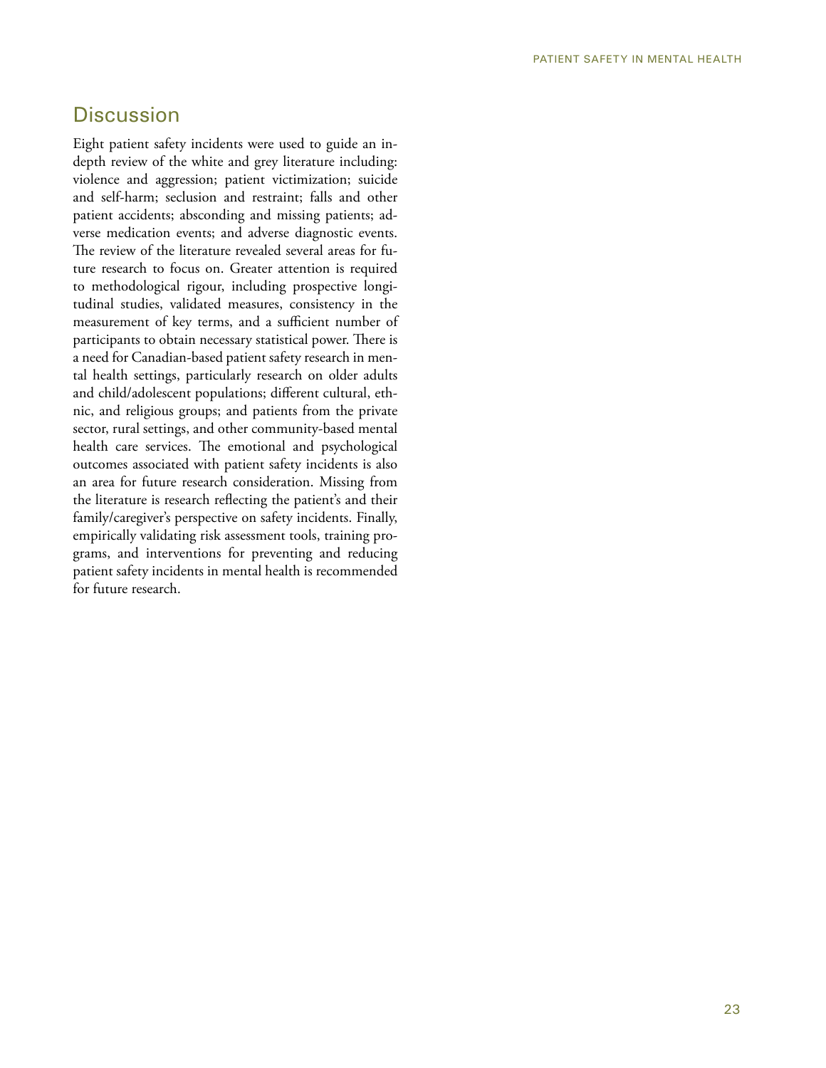## **Discussion**

Eight patient safety incidents were used to guide an indepth review of the white and grey literature including: violence and aggression; patient victimization; suicide and self-harm; seclusion and restraint; falls and other patient accidents; absconding and missing patients; adverse medication events; and adverse diagnostic events. The review of the literature revealed several areas for future research to focus on. Greater attention is required to methodological rigour, including prospective longitudinal studies, validated measures, consistency in the measurement of key terms, and a sufficient number of participants to obtain necessary statistical power. There is a need for Canadian-based patient safety research in mental health settings, particularly research on older adults and child/adolescent populations; different cultural, ethnic, and religious groups; and patients from the private sector, rural settings, and other community-based mental health care services. The emotional and psychological outcomes associated with patient safety incidents is also an area for future research consideration. Missing from the literature is research reflecting the patient's and their family/caregiver's perspective on safety incidents. Finally, empirically validating risk assessment tools, training programs, and interventions for preventing and reducing patient safety incidents in mental health is recommended for future research.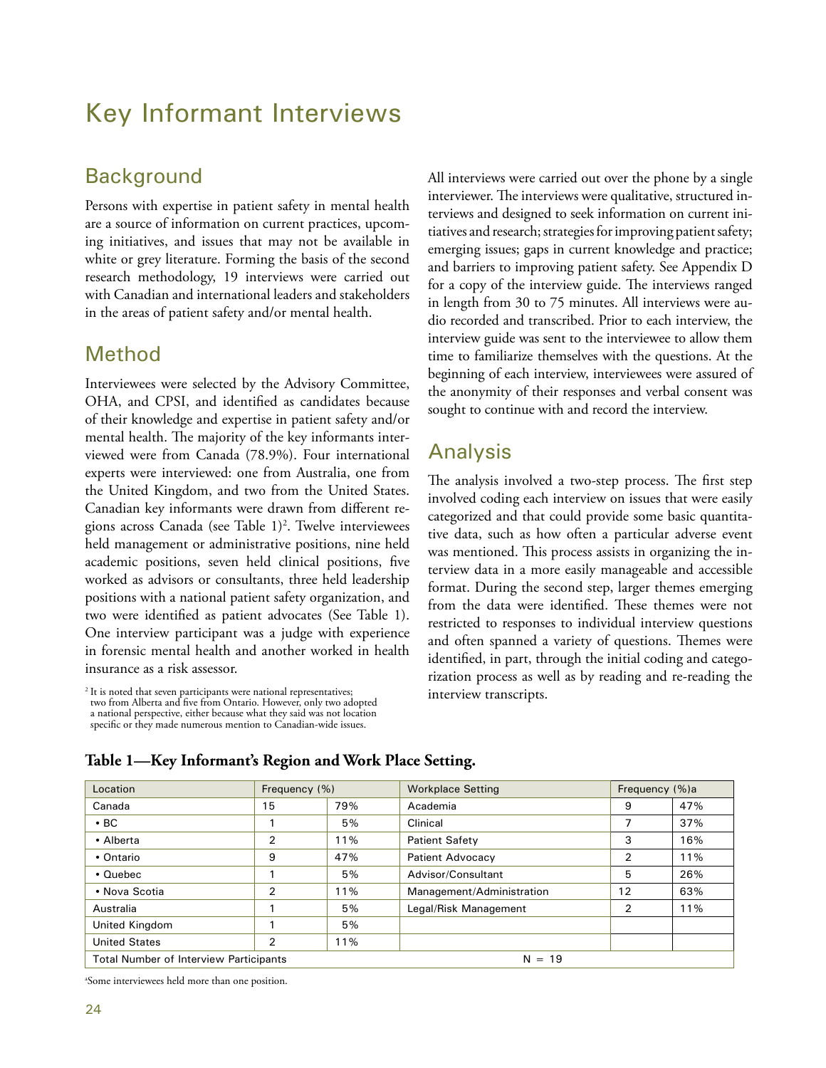# Key Informant Interviews

# **Background**

Persons with expertise in patient safety in mental health are a source of information on current practices, upcoming initiatives, and issues that may not be available in white or grey literature. Forming the basis of the second research methodology, 19 interviews were carried out with Canadian and international leaders and stakeholders in the areas of patient safety and/or mental health.

## Method

Interviewees were selected by the Advisory Committee, OHA, and CPSI, and identified as candidates because of their knowledge and expertise in patient safety and/or mental health. The majority of the key informants interviewed were from Canada (78.9%). Four international experts were interviewed: one from Australia, one from the United Kingdom, and two from the United States. Canadian key informants were drawn from different regions across Canada (see Table 1)2 . Twelve interviewees held management or administrative positions, nine held academic positions, seven held clinical positions, five worked as advisors or consultants, three held leadership positions with a national patient safety organization, and two were identified as patient advocates (See Table 1). One interview participant was a judge with experience in forensic mental health and another worked in health insurance as a risk assessor.

<sup>2</sup> It is noted that seven participants were national representatives; two from Alberta and five from Ontario. However, only two adopted a national perspective, either because what they said was not location specific or they made numerous mention to Canadian-wide issues. All interviews were carried out over the phone by a single interviewer. The interviews were qualitative, structured interviews and designed to seek information on current initiatives and research; strategies for improving patient safety; emerging issues; gaps in current knowledge and practice; and barriers to improving patient safety. See Appendix D for a copy of the interview guide. The interviews ranged in length from 30 to 75 minutes. All interviews were audio recorded and transcribed. Prior to each interview, the interview guide was sent to the interviewee to allow them time to familiarize themselves with the questions. At the beginning of each interview, interviewees were assured of the anonymity of their responses and verbal consent was sought to continue with and record the interview.

## Analysis

The analysis involved a two-step process. The first step involved coding each interview on issues that were easily categorized and that could provide some basic quantitative data, such as how often a particular adverse event was mentioned. This process assists in organizing the interview data in a more easily manageable and accessible format. During the second step, larger themes emerging from the data were identified. These themes were not restricted to responses to individual interview questions and often spanned a variety of questions. Themes were identified, in part, through the initial coding and categorization process as well as by reading and re-reading the interview transcripts.

| Location                                                  | Frequency (%)  |     | <b>Workplace Setting</b>  | Frequency (%)a |     |
|-----------------------------------------------------------|----------------|-----|---------------------------|----------------|-----|
| Canada                                                    | 15             | 79% | Academia                  | 9              | 47% |
| $\cdot$ BC                                                |                | 5%  | Clinical                  | 7              | 37% |
| • Alberta                                                 | $\overline{2}$ | 11% | <b>Patient Safety</b>     | 3              | 16% |
| • Ontario                                                 | 9              | 47% | Patient Advocacy          | 2              | 11% |
| $\cdot$ Quebec                                            |                | 5%  | Advisor/Consultant        | 5              | 26% |
| • Nova Scotia                                             | $\overline{2}$ | 11% | Management/Administration | 12             | 63% |
| Australia                                                 |                | 5%  | Legal/Risk Management     | 2              | 11% |
| United Kingdom                                            |                | 5%  |                           |                |     |
| <b>United States</b>                                      | 2              | 11% |                           |                |     |
| <b>Total Number of Interview Participants</b><br>$N = 19$ |                |     |                           |                |     |

#### **Table 1—Key Informant's Region and Work Place Setting.**

a Some interviewees held more than one position.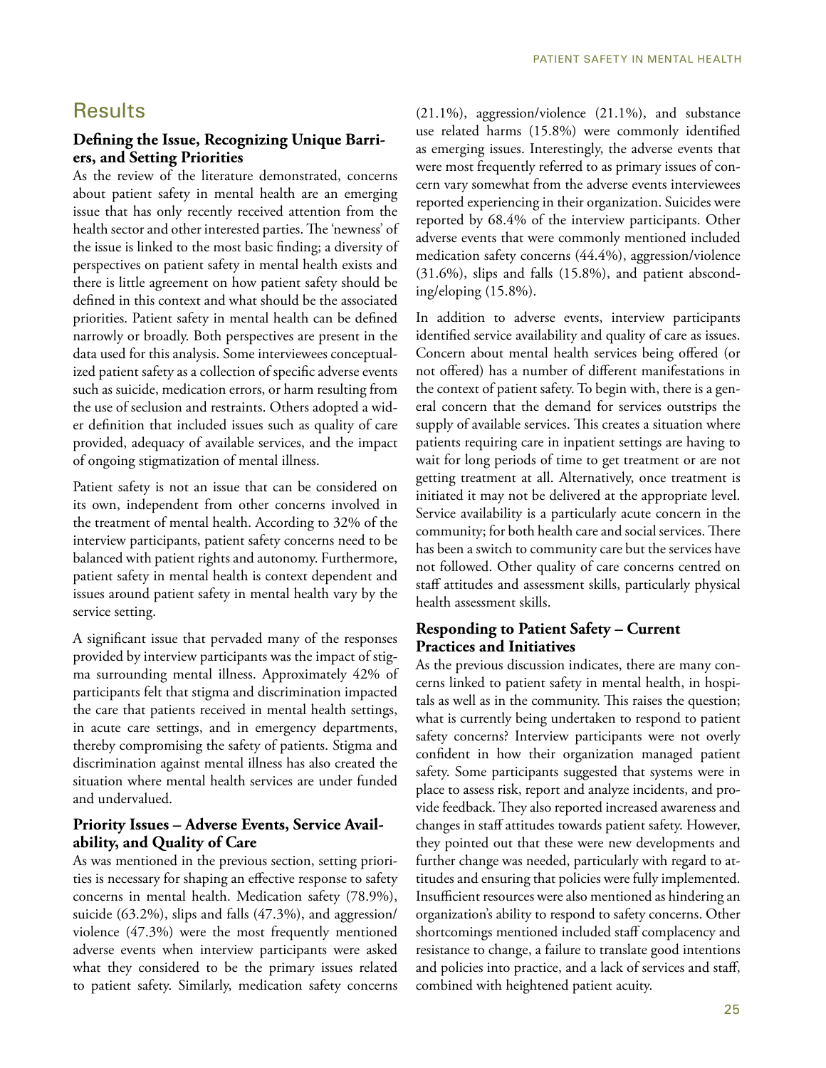## **Results**

#### **Defining the Issue, Recognizing Unique Barriers, and Setting Priorities**

As the review of the literature demonstrated, concerns about patient safety in mental health are an emerging issue that has only recently received attention from the health sector and other interested parties. The 'newness' of the issue is linked to the most basic finding; a diversity of perspectives on patient safety in mental health exists and there is little agreement on how patient safety should be defined in this context and what should be the associated priorities. Patient safety in mental health can be defined narrowly or broadly. Both perspectives are present in the data used for this analysis. Some interviewees conceptualized patient safety as a collection of specific adverse events such as suicide, medication errors, or harm resulting from the use of seclusion and restraints. Others adopted a wider definition that included issues such as quality of care provided, adequacy of available services, and the impact of ongoing stigmatization of mental illness.

Patient safety is not an issue that can be considered on its own, independent from other concerns involved in the treatment of mental health. According to 32% of the interview participants, patient safety concerns need to be balanced with patient rights and autonomy. Furthermore, patient safety in mental health is context dependent and issues around patient safety in mental health vary by the service setting.

A significant issue that pervaded many of the responses provided by interview participants was the impact of stigma surrounding mental illness. Approximately 42% of participants felt that stigma and discrimination impacted the care that patients received in mental health settings, in acute care settings, and in emergency departments, thereby compromising the safety of patients. Stigma and discrimination against mental illness has also created the situation where mental health services are under funded and undervalued.

#### **Priority Issues – Adverse Events, Service Availability, and Quality of Care**

As was mentioned in the previous section, setting priorities is necessary for shaping an effective response to safety concerns in mental health. Medication safety (78.9%), suicide (63.2%), slips and falls (47.3%), and aggression/ violence (47.3%) were the most frequently mentioned adverse events when interview participants were asked what they considered to be the primary issues related to patient safety. Similarly, medication safety concerns

(21.1%), aggression/violence (21.1%), and substance use related harms (15.8%) were commonly identified as emerging issues. Interestingly, the adverse events that were most frequently referred to as primary issues of concern vary somewhat from the adverse events interviewees reported experiencing in their organization. Suicides were reported by 68.4% of the interview participants. Other adverse events that were commonly mentioned included medication safety concerns (44.4%), aggression/violence (31.6%), slips and falls (15.8%), and patient absconding/eloping (15.8%).

In addition to adverse events, interview participants identified service availability and quality of care as issues. Concern about mental health services being offered (or not offered) has a number of different manifestations in the context of patient safety. To begin with, there is a general concern that the demand for services outstrips the supply of available services. This creates a situation where patients requiring care in inpatient settings are having to wait for long periods of time to get treatment or are not getting treatment at all. Alternatively, once treatment is initiated it may not be delivered at the appropriate level. Service availability is a particularly acute concern in the community; for both health care and social services. There has been a switch to community care but the services have not followed. Other quality of care concerns centred on staff attitudes and assessment skills, particularly physical health assessment skills.

#### **Responding to Patient Safety – Current Practices and Initiatives**

As the previous discussion indicates, there are many concerns linked to patient safety in mental health, in hospitals as well as in the community. This raises the question; what is currently being undertaken to respond to patient safety concerns? Interview participants were not overly confident in how their organization managed patient safety. Some participants suggested that systems were in place to assess risk, report and analyze incidents, and provide feedback. They also reported increased awareness and changes in staff attitudes towards patient safety. However, they pointed out that these were new developments and further change was needed, particularly with regard to attitudes and ensuring that policies were fully implemented. Insufficient resources were also mentioned as hindering an organization's ability to respond to safety concerns. Other shortcomings mentioned included staff complacency and resistance to change, a failure to translate good intentions and policies into practice, and a lack of services and staff, combined with heightened patient acuity.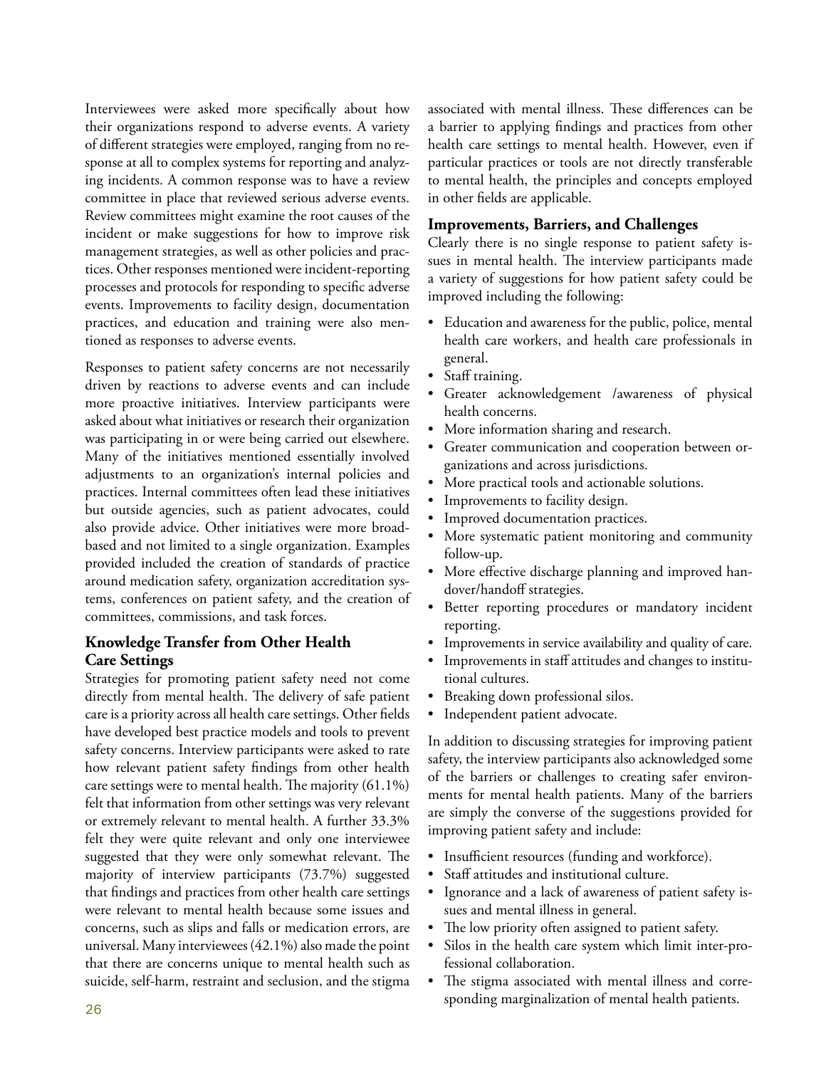Interviewees were asked more specifically about how their organizations respond to adverse events. A variety of different strategies were employed, ranging from no response at all to complex systems for reporting and analyzing incidents. A common response was to have a review committee in place that reviewed serious adverse events. Review committees might examine the root causes of the incident or make suggestions for how to improve risk management strategies, as well as other policies and practices. Other responses mentioned were incident-reporting processes and protocols for responding to specific adverse events. Improvements to facility design, documentation practices, and education and training were also mentioned as responses to adverse events.

Responses to patient safety concerns are not necessarily driven by reactions to adverse events and can include more proactive initiatives. Interview participants were asked about what initiatives or research their organization was participating in or were being carried out elsewhere. Many of the initiatives mentioned essentially involved adjustments to an organization's internal policies and practices. Internal committees often lead these initiatives but outside agencies, such as patient advocates, could also provide advice. Other initiatives were more broadbased and not limited to a single organization. Examples provided included the creation of standards of practice around medication safety, organization accreditation systems, conferences on patient safety, and the creation of committees, commissions, and task forces.

#### **Knowledge Transfer from Other Health Care Settings**

Strategies for promoting patient safety need not come directly from mental health. The delivery of safe patient care is a priority across all health care settings. Other fields have developed best practice models and tools to prevent safety concerns. Interview participants were asked to rate how relevant patient safety findings from other health care settings were to mental health. The majority (61.1%) felt that information from other settings was very relevant or extremely relevant to mental health. A further 33.3% felt they were quite relevant and only one interviewee suggested that they were only somewhat relevant. The majority of interview participants (73.7%) suggested that findings and practices from other health care settings were relevant to mental health because some issues and concerns, such as slips and falls or medication errors, are universal. Many interviewees (42.1%) also made the point that there are concerns unique to mental health such as suicide, self-harm, restraint and seclusion, and the stigma

associated with mental illness. These differences can be a barrier to applying findings and practices from other health care settings to mental health. However, even if particular practices or tools are not directly transferable to mental health, the principles and concepts employed in other fields are applicable.

#### **Improvements, Barriers, and Challenges**

Clearly there is no single response to patient safety issues in mental health. The interview participants made a variety of suggestions for how patient safety could be improved including the following:

- Education and awareness for the public, police, mental health care workers, and health care professionals in general.
- Staff training.
- Greater acknowledgement /awareness of physical health concerns.
- More information sharing and research.
- Greater communication and cooperation between organizations and across jurisdictions.
- More practical tools and actionable solutions.
- Improvements to facility design.
- Improved documentation practices.
- More systematic patient monitoring and community follow-up.
- More effective discharge planning and improved handover/handoff strategies.
- Better reporting procedures or mandatory incident reporting.
- Improvements in service availability and quality of care.
- Improvements in staff attitudes and changes to institutional cultures.
- Breaking down professional silos.
- Independent patient advocate.

In addition to discussing strategies for improving patient safety, the interview participants also acknowledged some of the barriers or challenges to creating safer environments for mental health patients. Many of the barriers are simply the converse of the suggestions provided for improving patient safety and include:

- Insufficient resources (funding and workforce).
- Staff attitudes and institutional culture.
- Ignorance and a lack of awareness of patient safety issues and mental illness in general.
- The low priority often assigned to patient safety.
- Silos in the health care system which limit inter-professional collaboration.
- The stigma associated with mental illness and corresponding marginalization of mental health patients.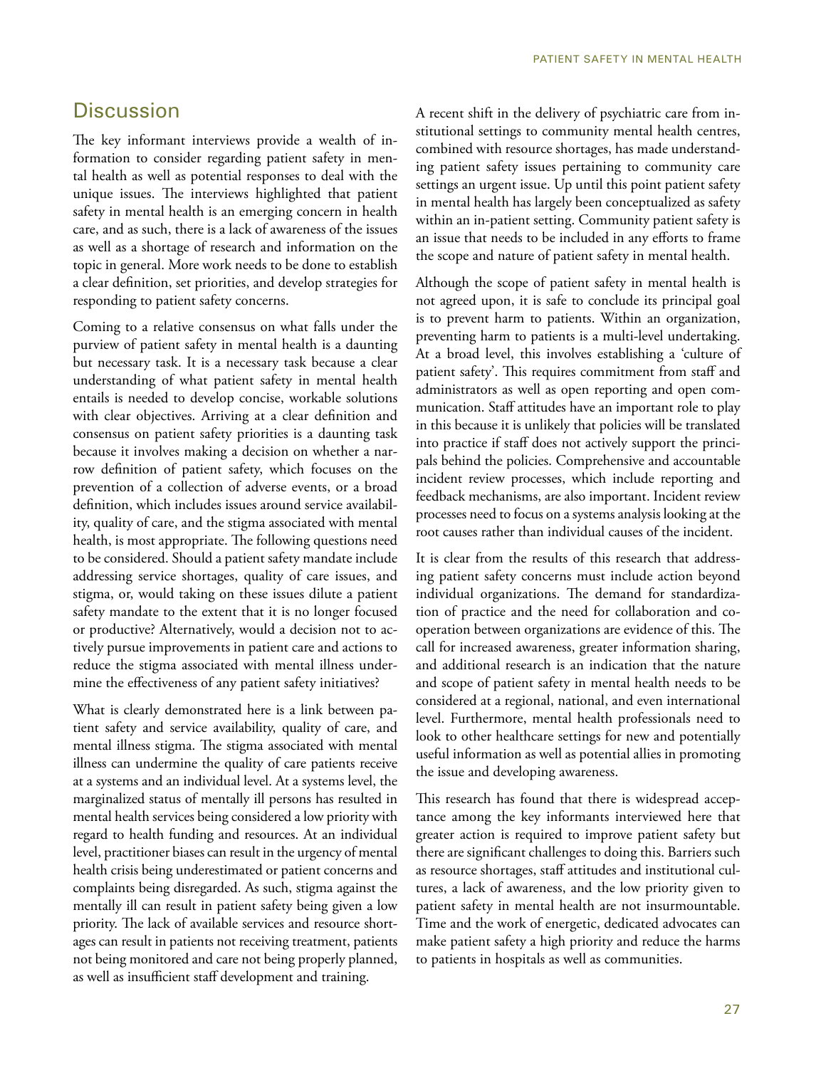## **Discussion**

The key informant interviews provide a wealth of information to consider regarding patient safety in mental health as well as potential responses to deal with the unique issues. The interviews highlighted that patient safety in mental health is an emerging concern in health care, and as such, there is a lack of awareness of the issues as well as a shortage of research and information on the topic in general. More work needs to be done to establish a clear definition, set priorities, and develop strategies for responding to patient safety concerns.

Coming to a relative consensus on what falls under the purview of patient safety in mental health is a daunting but necessary task. It is a necessary task because a clear understanding of what patient safety in mental health entails is needed to develop concise, workable solutions with clear objectives. Arriving at a clear definition and consensus on patient safety priorities is a daunting task because it involves making a decision on whether a narrow definition of patient safety, which focuses on the prevention of a collection of adverse events, or a broad definition, which includes issues around service availability, quality of care, and the stigma associated with mental health, is most appropriate. The following questions need to be considered. Should a patient safety mandate include addressing service shortages, quality of care issues, and stigma, or, would taking on these issues dilute a patient safety mandate to the extent that it is no longer focused or productive? Alternatively, would a decision not to actively pursue improvements in patient care and actions to reduce the stigma associated with mental illness undermine the effectiveness of any patient safety initiatives?

What is clearly demonstrated here is a link between patient safety and service availability, quality of care, and mental illness stigma. The stigma associated with mental illness can undermine the quality of care patients receive at a systems and an individual level. At a systems level, the marginalized status of mentally ill persons has resulted in mental health services being considered a low priority with regard to health funding and resources. At an individual level, practitioner biases can result in the urgency of mental health crisis being underestimated or patient concerns and complaints being disregarded. As such, stigma against the mentally ill can result in patient safety being given a low priority. The lack of available services and resource shortages can result in patients not receiving treatment, patients not being monitored and care not being properly planned, as well as insufficient staff development and training.

A recent shift in the delivery of psychiatric care from institutional settings to community mental health centres, combined with resource shortages, has made understanding patient safety issues pertaining to community care settings an urgent issue. Up until this point patient safety in mental health has largely been conceptualized as safety within an in-patient setting. Community patient safety is an issue that needs to be included in any efforts to frame the scope and nature of patient safety in mental health.

Although the scope of patient safety in mental health is not agreed upon, it is safe to conclude its principal goal is to prevent harm to patients. Within an organization, preventing harm to patients is a multi-level undertaking. At a broad level, this involves establishing a 'culture of patient safety'. This requires commitment from staff and administrators as well as open reporting and open communication. Staff attitudes have an important role to play in this because it is unlikely that policies will be translated into practice if staff does not actively support the principals behind the policies. Comprehensive and accountable incident review processes, which include reporting and feedback mechanisms, are also important. Incident review processes need to focus on a systems analysis looking at the root causes rather than individual causes of the incident.

It is clear from the results of this research that addressing patient safety concerns must include action beyond individual organizations. The demand for standardization of practice and the need for collaboration and cooperation between organizations are evidence of this. The call for increased awareness, greater information sharing, and additional research is an indication that the nature and scope of patient safety in mental health needs to be considered at a regional, national, and even international level. Furthermore, mental health professionals need to look to other healthcare settings for new and potentially useful information as well as potential allies in promoting the issue and developing awareness.

This research has found that there is widespread acceptance among the key informants interviewed here that greater action is required to improve patient safety but there are significant challenges to doing this. Barriers such as resource shortages, staff attitudes and institutional cultures, a lack of awareness, and the low priority given to patient safety in mental health are not insurmountable. Time and the work of energetic, dedicated advocates can make patient safety a high priority and reduce the harms to patients in hospitals as well as communities.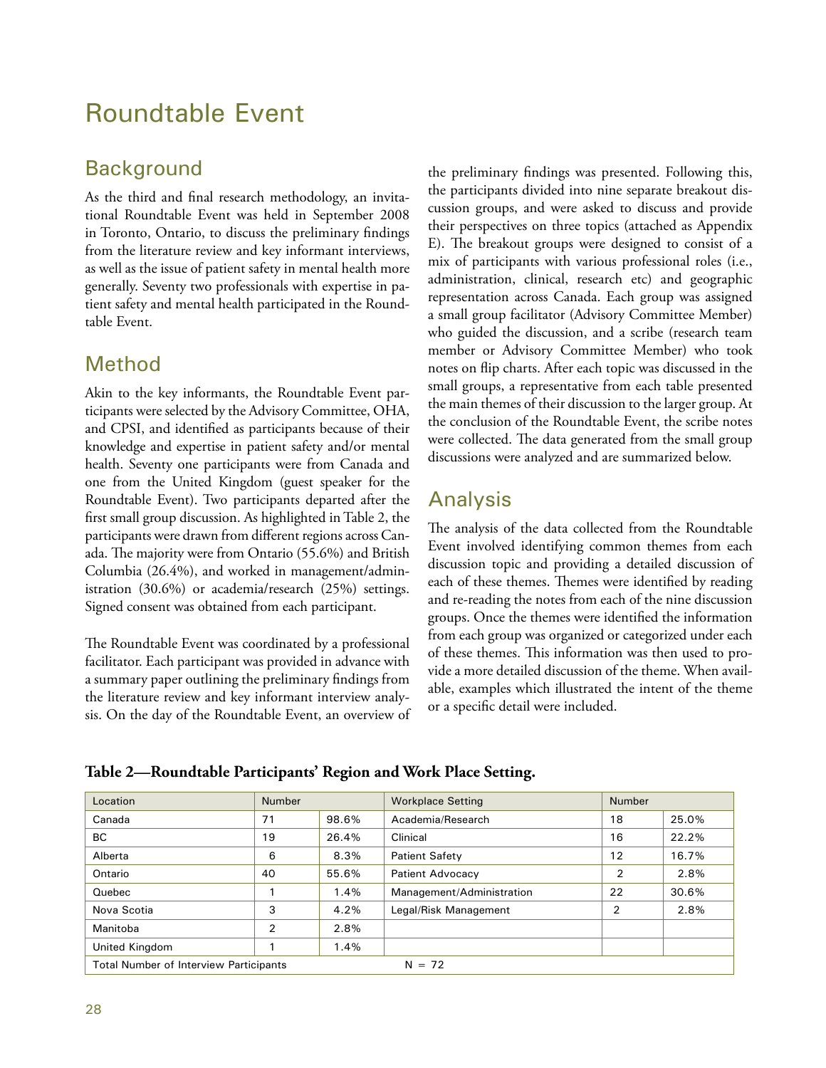# Roundtable Event

# **Background**

As the third and final research methodology, an invitational Roundtable Event was held in September 2008 in Toronto, Ontario, to discuss the preliminary findings from the literature review and key informant interviews, as well as the issue of patient safety in mental health more generally. Seventy two professionals with expertise in patient safety and mental health participated in the Roundtable Event.

# Method

Akin to the key informants, the Roundtable Event participants were selected by the Advisory Committee, OHA, and CPSI, and identified as participants because of their knowledge and expertise in patient safety and/or mental health. Seventy one participants were from Canada and one from the United Kingdom (guest speaker for the Roundtable Event). Two participants departed after the first small group discussion. As highlighted in Table 2, the participants were drawn from different regions across Canada. The majority were from Ontario (55.6%) and British Columbia (26.4%), and worked in management/administration (30.6%) or academia/research (25%) settings. Signed consent was obtained from each participant.

The Roundtable Event was coordinated by a professional facilitator. Each participant was provided in advance with a summary paper outlining the preliminary findings from the literature review and key informant interview analysis. On the day of the Roundtable Event, an overview of

the preliminary findings was presented. Following this, the participants divided into nine separate breakout discussion groups, and were asked to discuss and provide their perspectives on three topics (attached as Appendix E). The breakout groups were designed to consist of a mix of participants with various professional roles (i.e., administration, clinical, research etc) and geographic representation across Canada. Each group was assigned a small group facilitator (Advisory Committee Member) who guided the discussion, and a scribe (research team member or Advisory Committee Member) who took notes on flip charts. After each topic was discussed in the small groups, a representative from each table presented the main themes of their discussion to the larger group. At the conclusion of the Roundtable Event, the scribe notes were collected. The data generated from the small group discussions were analyzed and are summarized below.

# Analysis

The analysis of the data collected from the Roundtable Event involved identifying common themes from each discussion topic and providing a detailed discussion of each of these themes. Themes were identified by reading and re-reading the notes from each of the nine discussion groups. Once the themes were identified the information from each group was organized or categorized under each of these themes. This information was then used to provide a more detailed discussion of the theme. When available, examples which illustrated the intent of the theme or a specific detail were included.

| Location                                                  | <b>Number</b>  |       | <b>Workplace Setting</b>  |    |       | <b>Number</b> |  |
|-----------------------------------------------------------|----------------|-------|---------------------------|----|-------|---------------|--|
| Canada                                                    | 71             | 98.6% | Academia/Research         | 18 | 25.0% |               |  |
| BC.                                                       | 19             | 26.4% | Clinical                  | 16 | 22.2% |               |  |
| Alberta                                                   | 6              | 8.3%  | <b>Patient Safety</b>     | 12 | 16.7% |               |  |
| Ontario                                                   | 40             | 55.6% | <b>Patient Advocacy</b>   | 2  | 2.8%  |               |  |
| Quebec                                                    |                | 1.4%  | Management/Administration | 22 | 30.6% |               |  |
| Nova Scotia                                               | 3              | 4.2%  | Legal/Risk Management     | 2  | 2.8%  |               |  |
| Manitoba                                                  | $\overline{2}$ | 2.8%  |                           |    |       |               |  |
| United Kingdom                                            |                | 1.4%  |                           |    |       |               |  |
| <b>Total Number of Interview Participants</b><br>$N = 72$ |                |       |                           |    |       |               |  |

**Table 2—Roundtable Participants' Region and Work Place Setting.**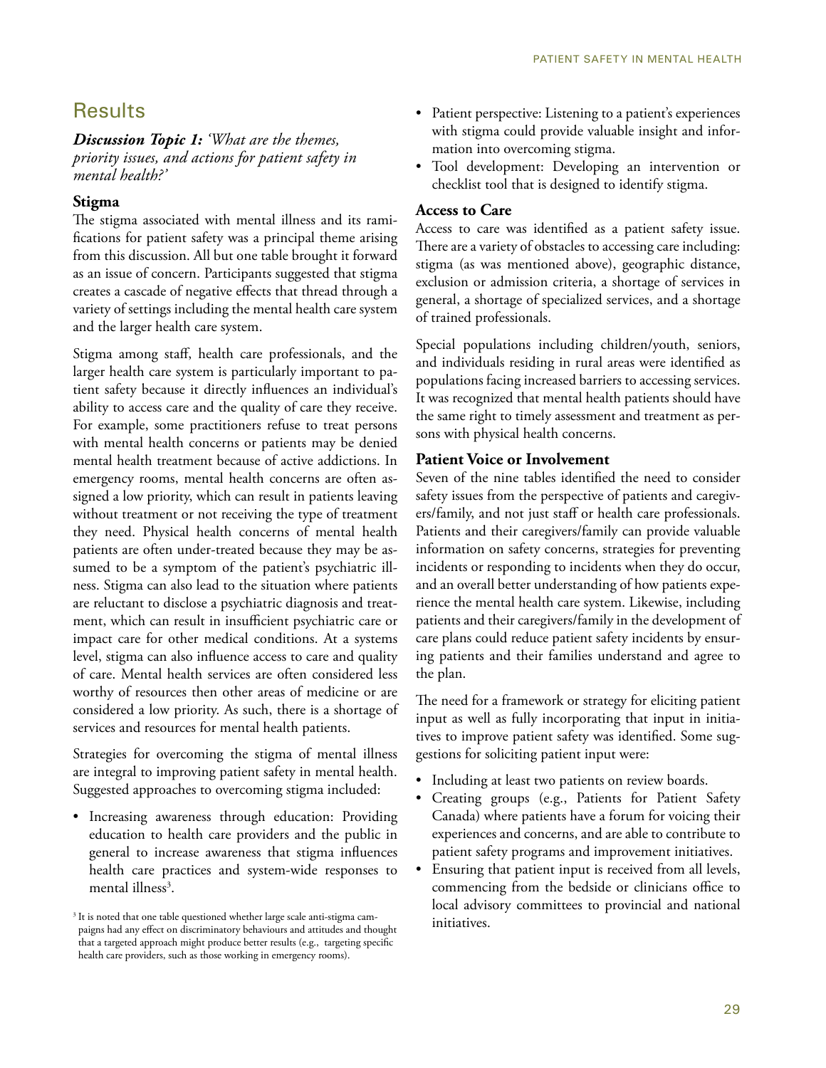## **Results**

*Discussion Topic 1: 'What are the themes, priority issues, and actions for patient safety in mental health?'* 

#### **Stigma**

The stigma associated with mental illness and its ramifications for patient safety was a principal theme arising from this discussion. All but one table brought it forward as an issue of concern. Participants suggested that stigma creates a cascade of negative effects that thread through a variety of settings including the mental health care system and the larger health care system.

Stigma among staff, health care professionals, and the larger health care system is particularly important to patient safety because it directly influences an individual's ability to access care and the quality of care they receive. For example, some practitioners refuse to treat persons with mental health concerns or patients may be denied mental health treatment because of active addictions. In emergency rooms, mental health concerns are often assigned a low priority, which can result in patients leaving without treatment or not receiving the type of treatment they need. Physical health concerns of mental health patients are often under-treated because they may be assumed to be a symptom of the patient's psychiatric illness. Stigma can also lead to the situation where patients are reluctant to disclose a psychiatric diagnosis and treatment, which can result in insufficient psychiatric care or impact care for other medical conditions. At a systems level, stigma can also influence access to care and quality of care. Mental health services are often considered less worthy of resources then other areas of medicine or are considered a low priority. As such, there is a shortage of services and resources for mental health patients.

Strategies for overcoming the stigma of mental illness are integral to improving patient safety in mental health. Suggested approaches to overcoming stigma included:

• Increasing awareness through education: Providing education to health care providers and the public in general to increase awareness that stigma influences health care practices and system-wide responses to mental illness<sup>3</sup>.

- Patient perspective: Listening to a patient's experiences with stigma could provide valuable insight and information into overcoming stigma.
- Tool development: Developing an intervention or checklist tool that is designed to identify stigma.

#### **Access to Care**

Access to care was identified as a patient safety issue. There are a variety of obstacles to accessing care including: stigma (as was mentioned above), geographic distance, exclusion or admission criteria, a shortage of services in general, a shortage of specialized services, and a shortage of trained professionals.

Special populations including children/youth, seniors, and individuals residing in rural areas were identified as populations facing increased barriers to accessing services. It was recognized that mental health patients should have the same right to timely assessment and treatment as persons with physical health concerns.

#### **Patient Voice or Involvement**

Seven of the nine tables identified the need to consider safety issues from the perspective of patients and caregivers/family, and not just staff or health care professionals. Patients and their caregivers/family can provide valuable information on safety concerns, strategies for preventing incidents or responding to incidents when they do occur, and an overall better understanding of how patients experience the mental health care system. Likewise, including patients and their caregivers/family in the development of care plans could reduce patient safety incidents by ensuring patients and their families understand and agree to the plan.

The need for a framework or strategy for eliciting patient input as well as fully incorporating that input in initiatives to improve patient safety was identified. Some suggestions for soliciting patient input were:

- Including at least two patients on review boards.
- Creating groups (e.g., Patients for Patient Safety Canada) where patients have a forum for voicing their experiences and concerns, and are able to contribute to patient safety programs and improvement initiatives.
- Ensuring that patient input is received from all levels, commencing from the bedside or clinicians office to local advisory committees to provincial and national initiatives.

<sup>&</sup>lt;sup>3</sup> It is noted that one table questioned whether large scale anti-stigma campaigns had any effect on discriminatory behaviours and attitudes and thought that a targeted approach might produce better results (e.g., targeting specific health care providers, such as those working in emergency rooms).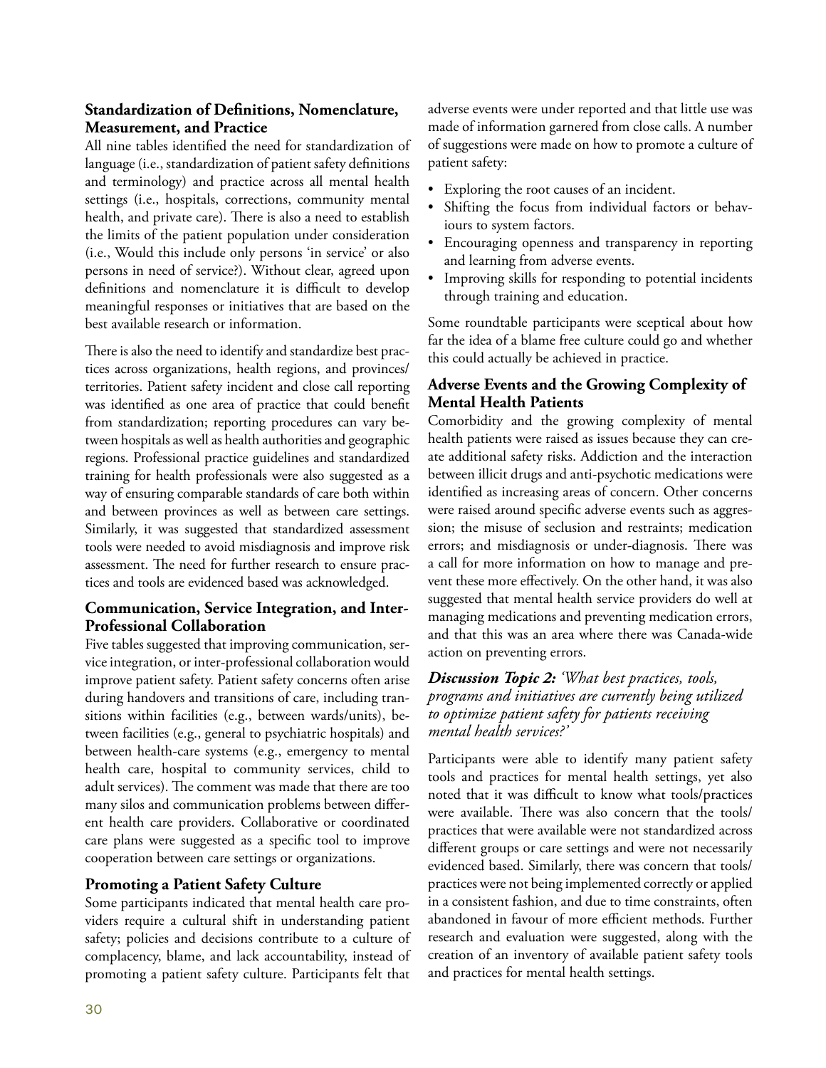#### **Standardization of Definitions, Nomenclature, Measurement, and Practice**

All nine tables identified the need for standardization of language (i.e., standardization of patient safety definitions and terminology) and practice across all mental health settings (i.e., hospitals, corrections, community mental health, and private care). There is also a need to establish the limits of the patient population under consideration (i.e., Would this include only persons 'in service' or also persons in need of service?). Without clear, agreed upon definitions and nomenclature it is difficult to develop meaningful responses or initiatives that are based on the best available research or information.

There is also the need to identify and standardize best practices across organizations, health regions, and provinces/ territories. Patient safety incident and close call reporting was identified as one area of practice that could benefit from standardization; reporting procedures can vary between hospitals as well as health authorities and geographic regions. Professional practice guidelines and standardized training for health professionals were also suggested as a way of ensuring comparable standards of care both within and between provinces as well as between care settings. Similarly, it was suggested that standardized assessment tools were needed to avoid misdiagnosis and improve risk assessment. The need for further research to ensure practices and tools are evidenced based was acknowledged.

#### **Communication, Service Integration, and Inter-Professional Collaboration**

Five tables suggested that improving communication, service integration, or inter-professional collaboration would improve patient safety. Patient safety concerns often arise during handovers and transitions of care, including transitions within facilities (e.g., between wards/units), between facilities (e.g., general to psychiatric hospitals) and between health-care systems (e.g., emergency to mental health care, hospital to community services, child to adult services). The comment was made that there are too many silos and communication problems between different health care providers. Collaborative or coordinated care plans were suggested as a specific tool to improve cooperation between care settings or organizations.

#### **Promoting a Patient Safety Culture**

Some participants indicated that mental health care providers require a cultural shift in understanding patient safety; policies and decisions contribute to a culture of complacency, blame, and lack accountability, instead of promoting a patient safety culture. Participants felt that

adverse events were under reported and that little use was made of information garnered from close calls. A number of suggestions were made on how to promote a culture of patient safety:

- Exploring the root causes of an incident.
- Shifting the focus from individual factors or behaviours to system factors.
- Encouraging openness and transparency in reporting and learning from adverse events.
- Improving skills for responding to potential incidents through training and education.

Some roundtable participants were sceptical about how far the idea of a blame free culture could go and whether this could actually be achieved in practice.

#### **Adverse Events and the Growing Complexity of Mental Health Patients**

Comorbidity and the growing complexity of mental health patients were raised as issues because they can create additional safety risks. Addiction and the interaction between illicit drugs and anti-psychotic medications were identified as increasing areas of concern. Other concerns were raised around specific adverse events such as aggression; the misuse of seclusion and restraints; medication errors; and misdiagnosis or under-diagnosis. There was a call for more information on how to manage and prevent these more effectively. On the other hand, it was also suggested that mental health service providers do well at managing medications and preventing medication errors, and that this was an area where there was Canada-wide action on preventing errors.

#### *Discussion Topic 2: 'What best practices, tools, programs and initiatives are currently being utilized to optimize patient safety for patients receiving mental health services?'*

Participants were able to identify many patient safety tools and practices for mental health settings, yet also noted that it was difficult to know what tools/practices were available. There was also concern that the tools/ practices that were available were not standardized across different groups or care settings and were not necessarily evidenced based. Similarly, there was concern that tools/ practices were not being implemented correctly or applied in a consistent fashion, and due to time constraints, often abandoned in favour of more efficient methods. Further research and evaluation were suggested, along with the creation of an inventory of available patient safety tools and practices for mental health settings.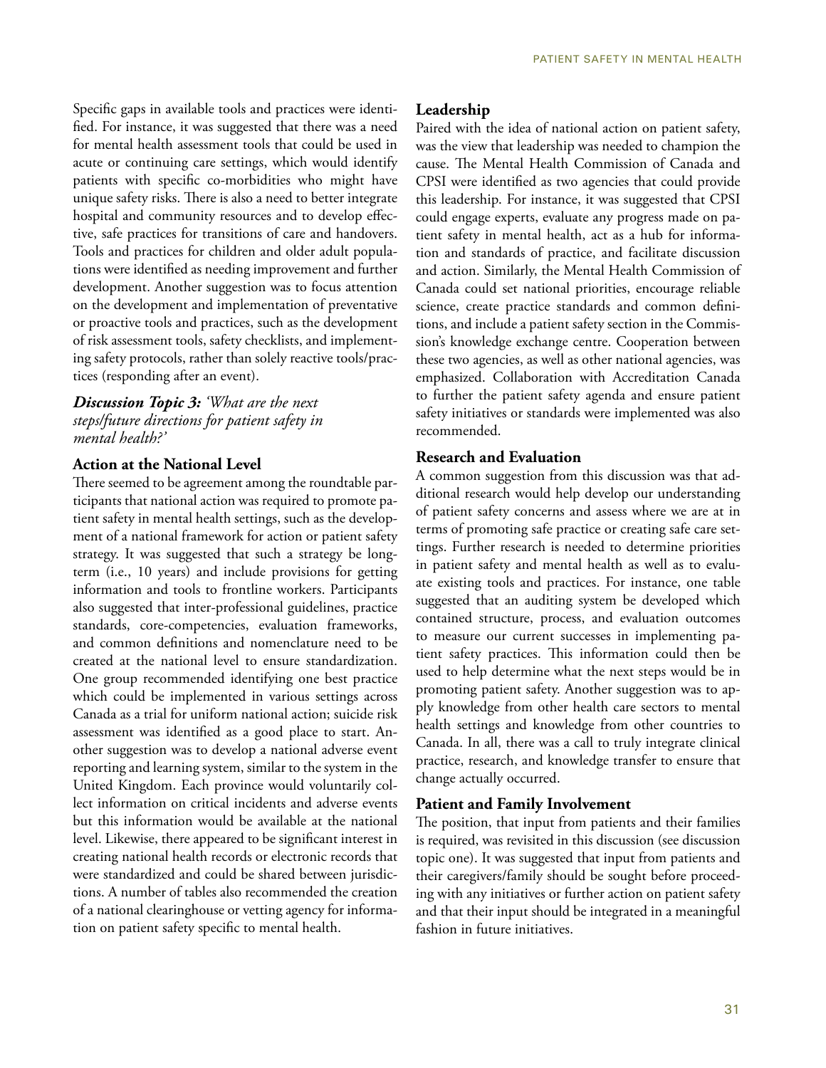Specific gaps in available tools and practices were identified. For instance, it was suggested that there was a need for mental health assessment tools that could be used in acute or continuing care settings, which would identify patients with specific co-morbidities who might have unique safety risks. There is also a need to better integrate hospital and community resources and to develop effective, safe practices for transitions of care and handovers. Tools and practices for children and older adult populations were identified as needing improvement and further development. Another suggestion was to focus attention on the development and implementation of preventative or proactive tools and practices, such as the development of risk assessment tools, safety checklists, and implementing safety protocols, rather than solely reactive tools/practices (responding after an event).

*Discussion Topic 3: 'What are the next steps/future directions for patient safety in mental health?'*

#### **Action at the National Level**

There seemed to be agreement among the roundtable participants that national action was required to promote patient safety in mental health settings, such as the development of a national framework for action or patient safety strategy. It was suggested that such a strategy be longterm (i.e., 10 years) and include provisions for getting information and tools to frontline workers. Participants also suggested that inter-professional guidelines, practice standards, core-competencies, evaluation frameworks, and common definitions and nomenclature need to be created at the national level to ensure standardization. One group recommended identifying one best practice which could be implemented in various settings across Canada as a trial for uniform national action; suicide risk assessment was identified as a good place to start. Another suggestion was to develop a national adverse event reporting and learning system, similar to the system in the United Kingdom. Each province would voluntarily collect information on critical incidents and adverse events but this information would be available at the national level. Likewise, there appeared to be significant interest in creating national health records or electronic records that were standardized and could be shared between jurisdictions. A number of tables also recommended the creation of a national clearinghouse or vetting agency for information on patient safety specific to mental health.

#### **Leadership**

Paired with the idea of national action on patient safety, was the view that leadership was needed to champion the cause. The Mental Health Commission of Canada and CPSI were identified as two agencies that could provide this leadership. For instance, it was suggested that CPSI could engage experts, evaluate any progress made on patient safety in mental health, act as a hub for information and standards of practice, and facilitate discussion and action. Similarly, the Mental Health Commission of Canada could set national priorities, encourage reliable science, create practice standards and common definitions, and include a patient safety section in the Commission's knowledge exchange centre. Cooperation between these two agencies, as well as other national agencies, was emphasized. Collaboration with Accreditation Canada to further the patient safety agenda and ensure patient safety initiatives or standards were implemented was also recommended.

#### **Research and Evaluation**

A common suggestion from this discussion was that additional research would help develop our understanding of patient safety concerns and assess where we are at in terms of promoting safe practice or creating safe care settings. Further research is needed to determine priorities in patient safety and mental health as well as to evaluate existing tools and practices. For instance, one table suggested that an auditing system be developed which contained structure, process, and evaluation outcomes to measure our current successes in implementing patient safety practices. This information could then be used to help determine what the next steps would be in promoting patient safety. Another suggestion was to apply knowledge from other health care sectors to mental health settings and knowledge from other countries to Canada. In all, there was a call to truly integrate clinical practice, research, and knowledge transfer to ensure that change actually occurred.

#### **Patient and Family Involvement**

The position, that input from patients and their families is required, was revisited in this discussion (see discussion topic one). It was suggested that input from patients and their caregivers/family should be sought before proceeding with any initiatives or further action on patient safety and that their input should be integrated in a meaningful fashion in future initiatives.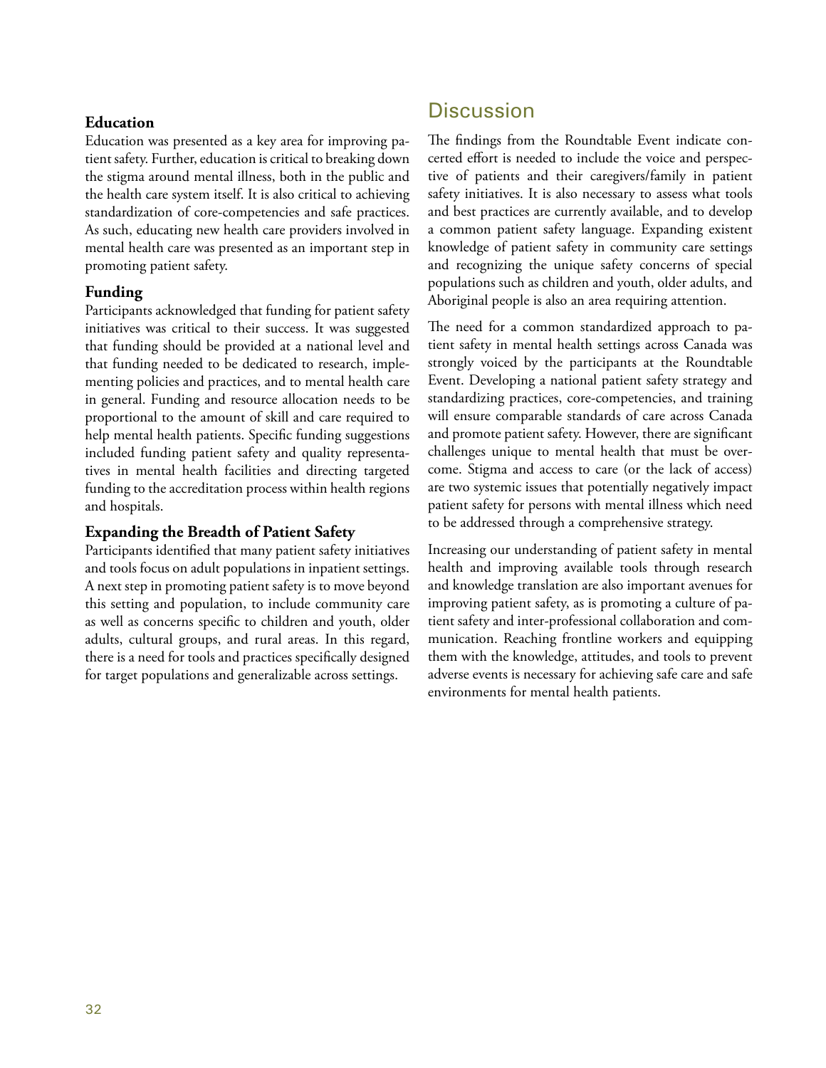#### **Education**

Education was presented as a key area for improving patient safety. Further, education is critical to breaking down the stigma around mental illness, both in the public and the health care system itself. It is also critical to achieving standardization of core-competencies and safe practices. As such, educating new health care providers involved in mental health care was presented as an important step in promoting patient safety.

#### **Funding**

Participants acknowledged that funding for patient safety initiatives was critical to their success. It was suggested that funding should be provided at a national level and that funding needed to be dedicated to research, implementing policies and practices, and to mental health care in general. Funding and resource allocation needs to be proportional to the amount of skill and care required to help mental health patients. Specific funding suggestions included funding patient safety and quality representatives in mental health facilities and directing targeted funding to the accreditation process within health regions and hospitals.

#### **Expanding the Breadth of Patient Safety**

Participants identified that many patient safety initiatives and tools focus on adult populations in inpatient settings. A next step in promoting patient safety is to move beyond this setting and population, to include community care as well as concerns specific to children and youth, older adults, cultural groups, and rural areas. In this regard, there is a need for tools and practices specifically designed for target populations and generalizable across settings.

## **Discussion**

The findings from the Roundtable Event indicate concerted effort is needed to include the voice and perspective of patients and their caregivers/family in patient safety initiatives. It is also necessary to assess what tools and best practices are currently available, and to develop a common patient safety language. Expanding existent knowledge of patient safety in community care settings and recognizing the unique safety concerns of special populations such as children and youth, older adults, and Aboriginal people is also an area requiring attention.

The need for a common standardized approach to patient safety in mental health settings across Canada was strongly voiced by the participants at the Roundtable Event. Developing a national patient safety strategy and standardizing practices, core-competencies, and training will ensure comparable standards of care across Canada and promote patient safety. However, there are significant challenges unique to mental health that must be overcome. Stigma and access to care (or the lack of access) are two systemic issues that potentially negatively impact patient safety for persons with mental illness which need to be addressed through a comprehensive strategy.

Increasing our understanding of patient safety in mental health and improving available tools through research and knowledge translation are also important avenues for improving patient safety, as is promoting a culture of patient safety and inter-professional collaboration and communication. Reaching frontline workers and equipping them with the knowledge, attitudes, and tools to prevent adverse events is necessary for achieving safe care and safe environments for mental health patients.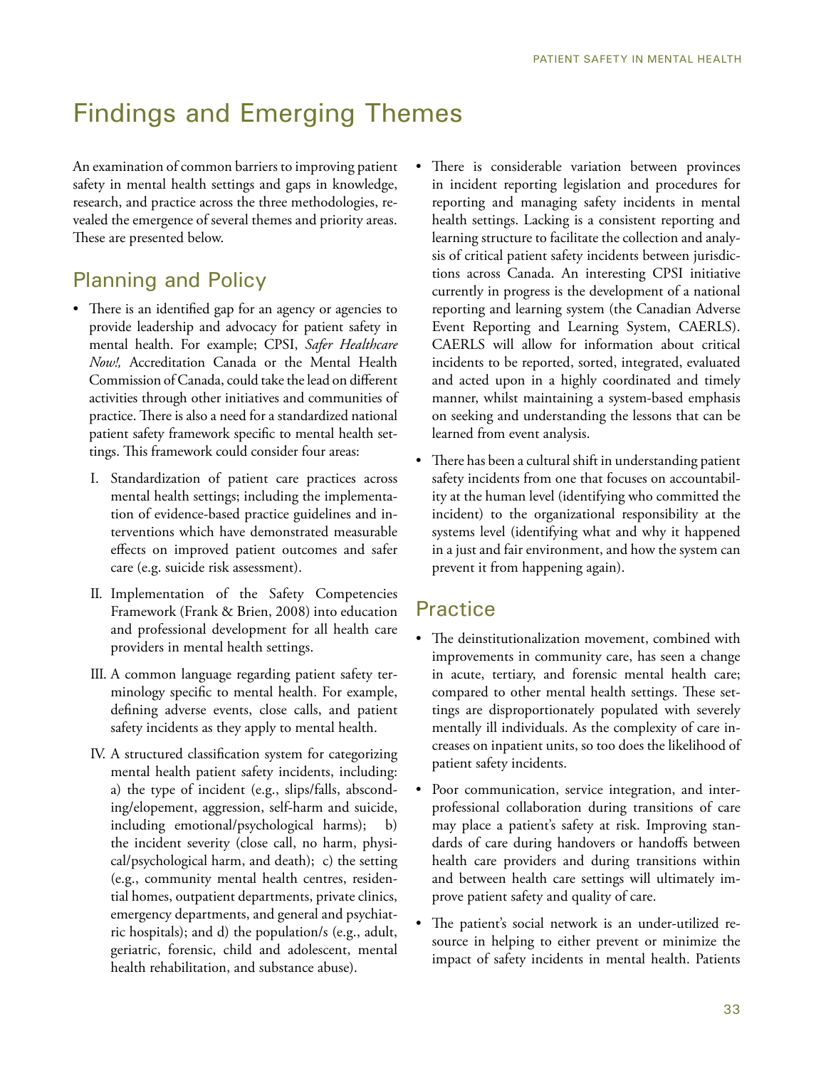# Findings and Emerging Themes

An examination of common barriers to improving patient safety in mental health settings and gaps in knowledge, research, and practice across the three methodologies, revealed the emergence of several themes and priority areas. These are presented below.

# Planning and Policy

- There is an identified gap for an agency or agencies to provide leadership and advocacy for patient safety in mental health. For example; CPSI, *Safer Healthcare Now!,* Accreditation Canada or the Mental Health Commission of Canada, could take the lead on different activities through other initiatives and communities of practice. There is also a need for a standardized national patient safety framework specific to mental health settings. This framework could consider four areas:
	- I. Standardization of patient care practices across mental health settings; including the implementation of evidence-based practice guidelines and interventions which have demonstrated measurable effects on improved patient outcomes and safer care (e.g. suicide risk assessment).
	- II. Implementation of the Safety Competencies Framework (Frank & Brien, 2008) into education and professional development for all health care providers in mental health settings.
	- III. A common language regarding patient safety terminology specific to mental health. For example, defining adverse events, close calls, and patient safety incidents as they apply to mental health.
	- IV. A structured classification system for categorizing mental health patient safety incidents, including: a) the type of incident (e.g., slips/falls, absconding/elopement, aggression, self-harm and suicide, including emotional/psychological harms); b) the incident severity (close call, no harm, physical/psychological harm, and death); c) the setting (e.g., community mental health centres, residential homes, outpatient departments, private clinics, emergency departments, and general and psychiatric hospitals); and d) the population/s (e.g., adult, geriatric, forensic, child and adolescent, mental health rehabilitation, and substance abuse).
- There is considerable variation between provinces in incident reporting legislation and procedures for reporting and managing safety incidents in mental health settings. Lacking is a consistent reporting and learning structure to facilitate the collection and analysis of critical patient safety incidents between jurisdictions across Canada. An interesting CPSI initiative currently in progress is the development of a national reporting and learning system (the Canadian Adverse Event Reporting and Learning System, CAERLS). CAERLS will allow for information about critical incidents to be reported, sorted, integrated, evaluated and acted upon in a highly coordinated and timely manner, whilst maintaining a system-based emphasis on seeking and understanding the lessons that can be learned from event analysis.
- There has been a cultural shift in understanding patient safety incidents from one that focuses on accountability at the human level (identifying who committed the incident) to the organizational responsibility at the systems level (identifying what and why it happened in a just and fair environment, and how the system can prevent it from happening again).

## **Practice**

- The deinstitutionalization movement, combined with improvements in community care, has seen a change in acute, tertiary, and forensic mental health care; compared to other mental health settings. These settings are disproportionately populated with severely mentally ill individuals. As the complexity of care increases on inpatient units, so too does the likelihood of patient safety incidents.
- Poor communication, service integration, and interprofessional collaboration during transitions of care may place a patient's safety at risk. Improving standards of care during handovers or handoffs between health care providers and during transitions within and between health care settings will ultimately improve patient safety and quality of care.
- The patient's social network is an under-utilized resource in helping to either prevent or minimize the impact of safety incidents in mental health. Patients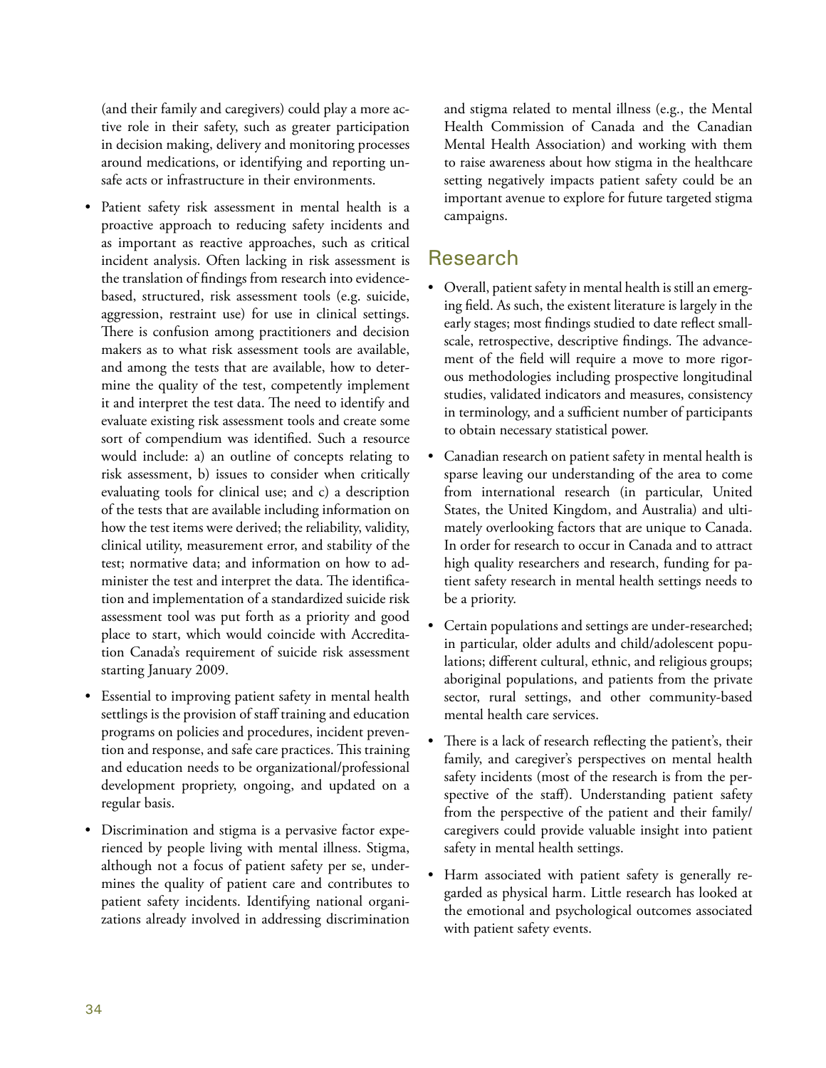(and their family and caregivers) could play a more active role in their safety, such as greater participation in decision making, delivery and monitoring processes around medications, or identifying and reporting unsafe acts or infrastructure in their environments.

- Patient safety risk assessment in mental health is a proactive approach to reducing safety incidents and as important as reactive approaches, such as critical incident analysis. Often lacking in risk assessment is the translation of findings from research into evidencebased, structured, risk assessment tools (e.g. suicide, aggression, restraint use) for use in clinical settings. There is confusion among practitioners and decision makers as to what risk assessment tools are available, and among the tests that are available, how to determine the quality of the test, competently implement it and interpret the test data. The need to identify and evaluate existing risk assessment tools and create some sort of compendium was identified. Such a resource would include: a) an outline of concepts relating to risk assessment, b) issues to consider when critically evaluating tools for clinical use; and c) a description of the tests that are available including information on how the test items were derived; the reliability, validity, clinical utility, measurement error, and stability of the test; normative data; and information on how to administer the test and interpret the data. The identification and implementation of a standardized suicide risk assessment tool was put forth as a priority and good place to start, which would coincide with Accreditation Canada's requirement of suicide risk assessment starting January 2009.
- Essential to improving patient safety in mental health settlings is the provision of staff training and education programs on policies and procedures, incident prevention and response, and safe care practices. This training and education needs to be organizational/professional development propriety, ongoing, and updated on a regular basis.
- Discrimination and stigma is a pervasive factor experienced by people living with mental illness. Stigma, although not a focus of patient safety per se, undermines the quality of patient care and contributes to patient safety incidents. Identifying national organizations already involved in addressing discrimination

and stigma related to mental illness (e.g., the Mental Health Commission of Canada and the Canadian Mental Health Association) and working with them to raise awareness about how stigma in the healthcare setting negatively impacts patient safety could be an important avenue to explore for future targeted stigma campaigns.

## Research

- Overall, patient safety in mental health is still an emerging field. As such, the existent literature is largely in the early stages; most findings studied to date reflect smallscale, retrospective, descriptive findings. The advancement of the field will require a move to more rigorous methodologies including prospective longitudinal studies, validated indicators and measures, consistency in terminology, and a sufficient number of participants to obtain necessary statistical power.
- Canadian research on patient safety in mental health is sparse leaving our understanding of the area to come from international research (in particular, United States, the United Kingdom, and Australia) and ultimately overlooking factors that are unique to Canada. In order for research to occur in Canada and to attract high quality researchers and research, funding for patient safety research in mental health settings needs to be a priority.
- Certain populations and settings are under-researched; in particular, older adults and child/adolescent populations; different cultural, ethnic, and religious groups; aboriginal populations, and patients from the private sector, rural settings, and other community-based mental health care services.
- There is a lack of research reflecting the patient's, their family, and caregiver's perspectives on mental health safety incidents (most of the research is from the perspective of the staff). Understanding patient safety from the perspective of the patient and their family/ caregivers could provide valuable insight into patient safety in mental health settings.
- Harm associated with patient safety is generally regarded as physical harm. Little research has looked at the emotional and psychological outcomes associated with patient safety events.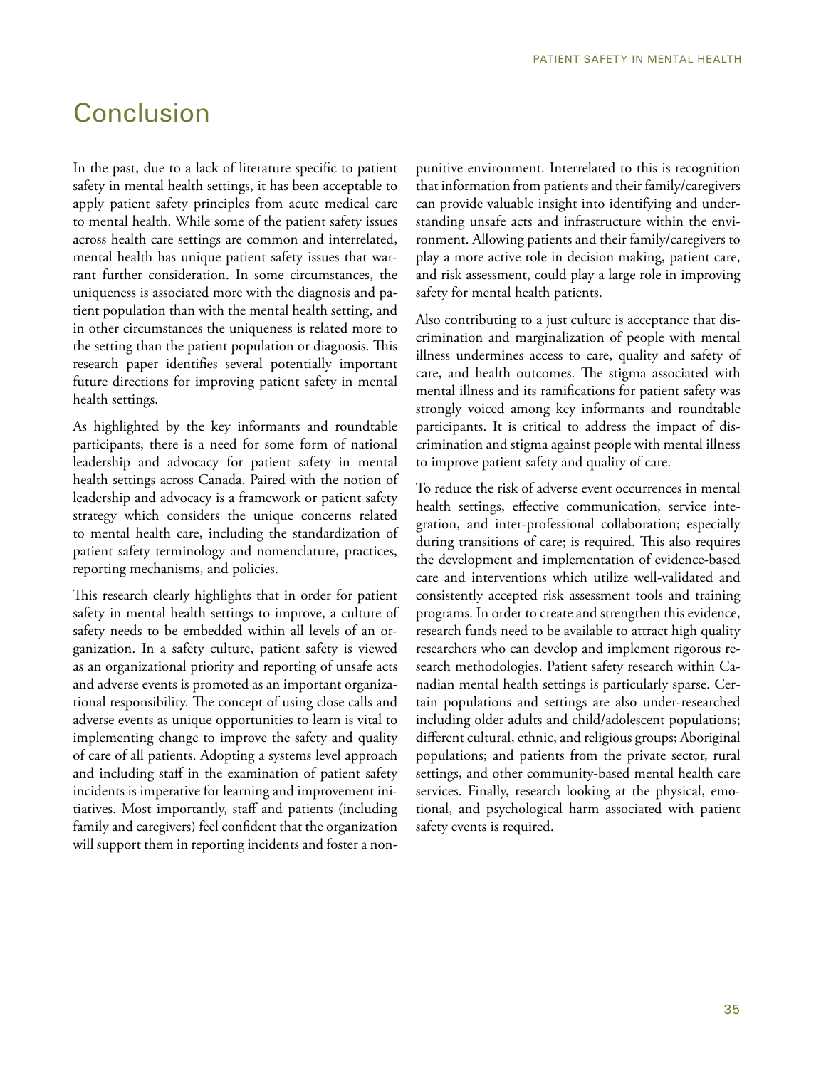# Conclusion

In the past, due to a lack of literature specific to patient safety in mental health settings, it has been acceptable to apply patient safety principles from acute medical care to mental health. While some of the patient safety issues across health care settings are common and interrelated, mental health has unique patient safety issues that warrant further consideration. In some circumstances, the uniqueness is associated more with the diagnosis and patient population than with the mental health setting, and in other circumstances the uniqueness is related more to the setting than the patient population or diagnosis. This research paper identifies several potentially important future directions for improving patient safety in mental health settings.

As highlighted by the key informants and roundtable participants, there is a need for some form of national leadership and advocacy for patient safety in mental health settings across Canada. Paired with the notion of leadership and advocacy is a framework or patient safety strategy which considers the unique concerns related to mental health care, including the standardization of patient safety terminology and nomenclature, practices, reporting mechanisms, and policies.

This research clearly highlights that in order for patient safety in mental health settings to improve, a culture of safety needs to be embedded within all levels of an organization. In a safety culture, patient safety is viewed as an organizational priority and reporting of unsafe acts and adverse events is promoted as an important organizational responsibility. The concept of using close calls and adverse events as unique opportunities to learn is vital to implementing change to improve the safety and quality of care of all patients. Adopting a systems level approach and including staff in the examination of patient safety incidents is imperative for learning and improvement initiatives. Most importantly, staff and patients (including family and caregivers) feel confident that the organization will support them in reporting incidents and foster a nonpunitive environment. Interrelated to this is recognition that information from patients and their family/caregivers can provide valuable insight into identifying and understanding unsafe acts and infrastructure within the environment. Allowing patients and their family/caregivers to play a more active role in decision making, patient care, and risk assessment, could play a large role in improving safety for mental health patients.

Also contributing to a just culture is acceptance that discrimination and marginalization of people with mental illness undermines access to care, quality and safety of care, and health outcomes. The stigma associated with mental illness and its ramifications for patient safety was strongly voiced among key informants and roundtable participants. It is critical to address the impact of discrimination and stigma against people with mental illness to improve patient safety and quality of care.

To reduce the risk of adverse event occurrences in mental health settings, effective communication, service integration, and inter-professional collaboration; especially during transitions of care; is required. This also requires the development and implementation of evidence-based care and interventions which utilize well-validated and consistently accepted risk assessment tools and training programs. In order to create and strengthen this evidence, research funds need to be available to attract high quality researchers who can develop and implement rigorous research methodologies. Patient safety research within Canadian mental health settings is particularly sparse. Certain populations and settings are also under-researched including older adults and child/adolescent populations; different cultural, ethnic, and religious groups; Aboriginal populations; and patients from the private sector, rural settings, and other community-based mental health care services. Finally, research looking at the physical, emotional, and psychological harm associated with patient safety events is required.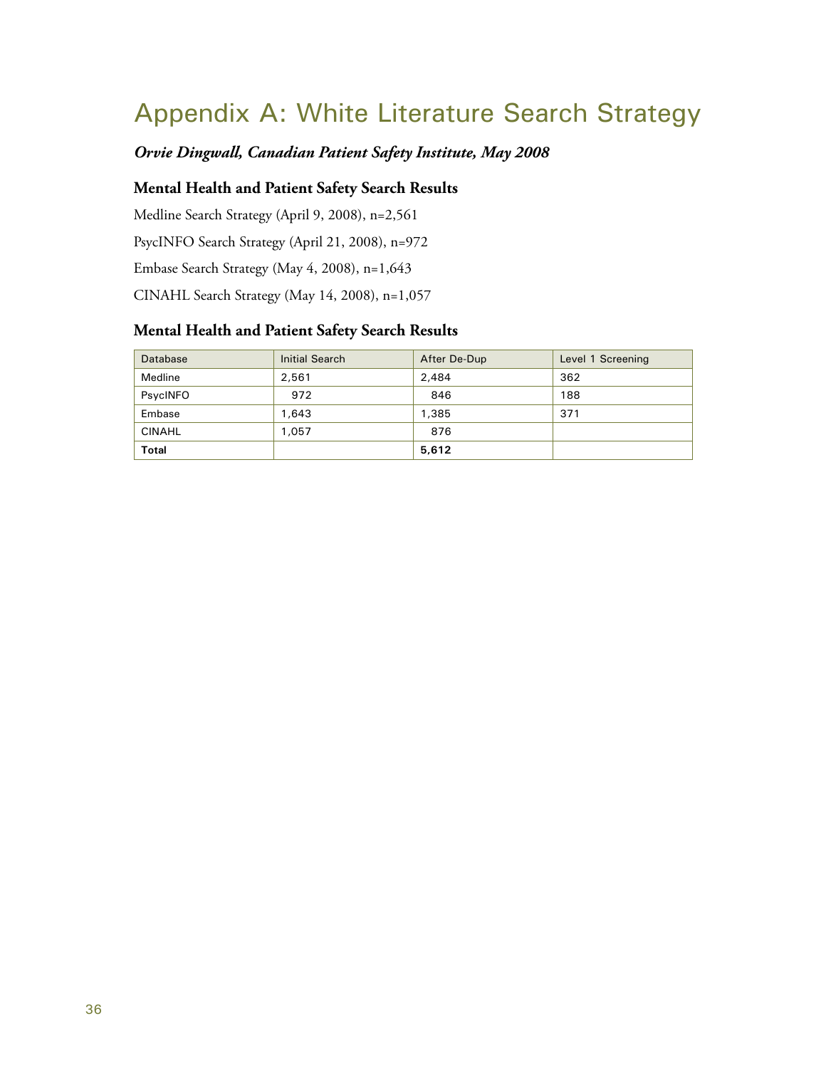# Appendix A: White Literature Search Strategy

## *Orvie Dingwall, Canadian Patient Safety Institute, May 2008*

#### **Mental Health and Patient Safety Search Results**

Medline Search Strategy (April 9, 2008), n=2,561 PsycINFO Search Strategy (April 21, 2008), n=972 Embase Search Strategy (May 4, 2008), n=1,643 CINAHL Search Strategy (May 14, 2008), n=1,057

#### **Mental Health and Patient Safety Search Results**

| Database      | Initial Search | After De-Dup | Level 1 Screening |
|---------------|----------------|--------------|-------------------|
| Medline       | 2,561          | 2,484        | 362               |
| PsycINFO      | 972            | 846          | 188               |
| Embase        | 1.643          | 1,385        | 371               |
| <b>CINAHL</b> | 1,057          | 876          |                   |
| <b>Total</b>  |                | 5,612        |                   |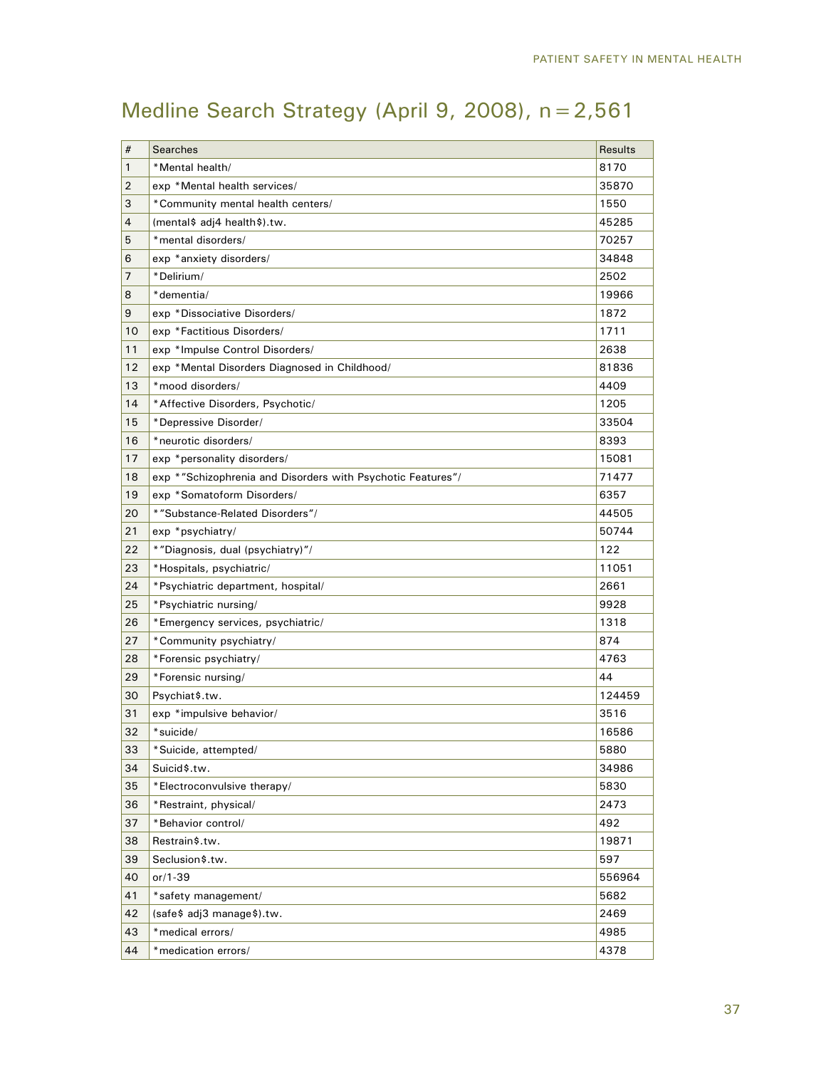# Medline Search Strategy (April 9, 2008), n=2,561

| #  | <b>Searches</b>                                             | Results |
|----|-------------------------------------------------------------|---------|
| 1  | *Mental health/                                             | 8170    |
| 2  | exp *Mental health services/                                | 35870   |
| 3  | *Community mental health centers/                           | 1550    |
| 4  | (mental\$ adj4 health\$).tw.                                | 45285   |
| 5  | *mental disorders/                                          | 70257   |
| 6  | exp *anxiety disorders/                                     | 34848   |
| 7  | *Delirium/                                                  | 2502    |
| 8  | *dementia/                                                  | 19966   |
| 9  | exp *Dissociative Disorders/                                | 1872    |
| 10 | exp *Factitious Disorders/                                  | 1711    |
| 11 | exp *Impulse Control Disorders/                             | 2638    |
| 12 | exp *Mental Disorders Diagnosed in Childhood/               | 81836   |
| 13 | *mood disorders/                                            | 4409    |
| 14 | *Affective Disorders, Psychotic/                            | 1205    |
| 15 | *Depressive Disorder/                                       | 33504   |
| 16 | *neurotic disorders/                                        | 8393    |
| 17 | exp *personality disorders/                                 | 15081   |
| 18 | exp *"Schizophrenia and Disorders with Psychotic Features"/ | 71477   |
| 19 | exp *Somatoform Disorders/                                  | 6357    |
| 20 | *"Substance-Related Disorders"/                             | 44505   |
| 21 | exp *psychiatry/                                            | 50744   |
| 22 | *"Diagnosis, dual (psychiatry)"/                            | 122     |
| 23 | *Hospitals, psychiatric/                                    | 11051   |
| 24 | *Psychiatric department, hospital/                          | 2661    |
| 25 | *Psychiatric nursing/                                       | 9928    |
| 26 | *Emergency services, psychiatric/                           | 1318    |
| 27 | *Community psychiatry/                                      | 874     |
| 28 | *Forensic psychiatry/                                       | 4763    |
| 29 | *Forensic nursing/                                          | 44      |
| 30 | Psychiat\$.tw.                                              | 124459  |
| 31 | exp *impulsive behavior/                                    | 3516    |
| 32 | *suicide/                                                   | 16586   |
| 33 | *Suicide, attempted/                                        | 5880    |
| 34 | Suicid\$.tw.                                                | 34986   |
| 35 | *Electroconvulsive therapy/                                 | 5830    |
| 36 | *Restraint, physical/                                       | 2473    |
| 37 | *Behavior control/                                          | 492     |
| 38 | Restrain\$.tw.                                              | 19871   |
| 39 | Seclusion\$.tw.                                             | 597     |
| 40 | or/1-39                                                     | 556964  |
| 41 | *safety management/                                         | 5682    |
| 42 | (safe\$ adj3 manage\$).tw.                                  | 2469    |
| 43 | *medical errors/                                            | 4985    |
| 44 | *medication errors/                                         | 4378    |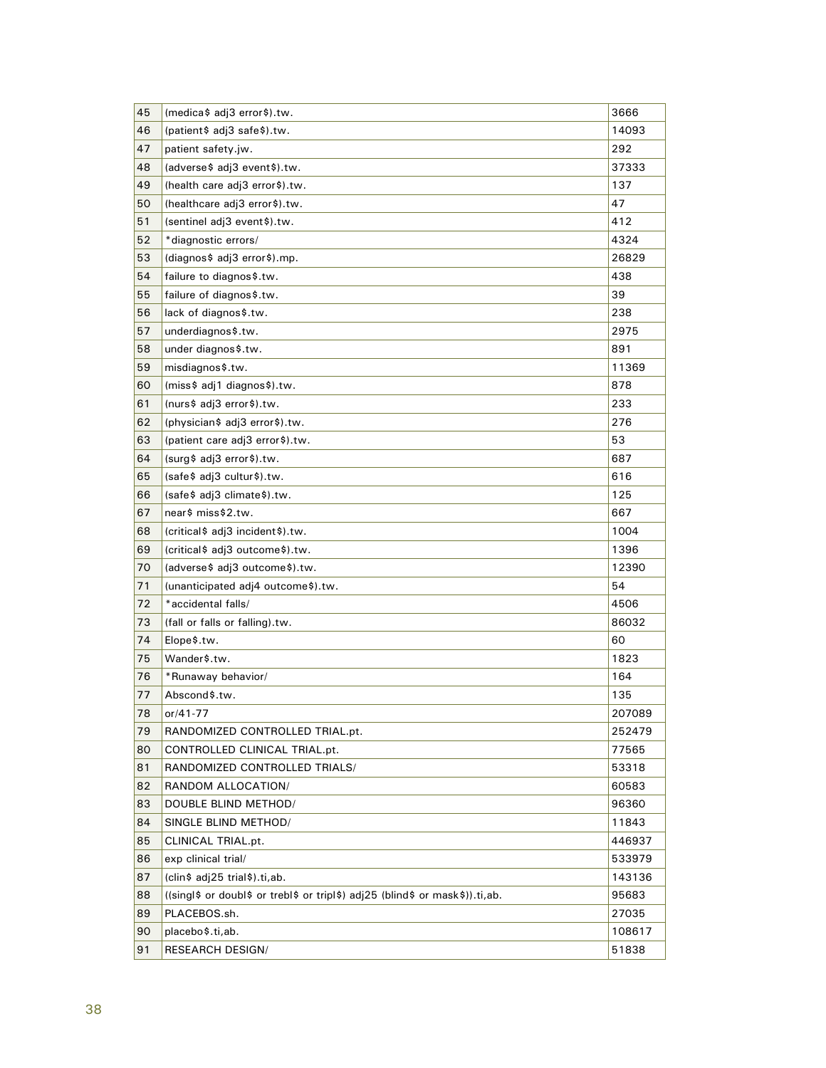| 45 | (medica\$ adj3 error\$).tw.                                                    | 3666   |
|----|--------------------------------------------------------------------------------|--------|
| 46 | (patient\$ adj3 safe\$).tw.                                                    | 14093  |
| 47 | patient safety.jw.                                                             | 292    |
| 48 | (adverse\$ adj3 event\$).tw.                                                   | 37333  |
| 49 | (health care adj3 error\$).tw.                                                 | 137    |
| 50 | (healthcare adj3 error\$).tw.                                                  | 47     |
| 51 | (sentinel adj3 event\$).tw.                                                    | 412    |
| 52 | *diagnostic errors/                                                            | 4324   |
| 53 | (diagnos\$ adj3 error\$).mp.                                                   | 26829  |
| 54 | failure to diagnos\$.tw.                                                       | 438    |
| 55 | failure of diagnos\$.tw.                                                       | 39     |
| 56 | lack of diagnos\$.tw.                                                          | 238    |
| 57 | underdiagnos\$.tw.                                                             | 2975   |
| 58 | under diagnos\$.tw.                                                            | 891    |
| 59 | misdiagnos\$.tw.                                                               | 11369  |
| 60 | (miss\$ adj1 diagnos\$).tw.                                                    | 878    |
| 61 | (nurs\$ adj3 error\$).tw.                                                      | 233    |
| 62 | (physician\$ adj3 error\$).tw.                                                 | 276    |
| 63 | (patient care adj3 error\$).tw.                                                | 53     |
| 64 | (surg\$ adj3 error\$).tw.                                                      | 687    |
| 65 | (safe\$ adj3 cultur\$).tw.                                                     | 616    |
| 66 | (safe\$ adj3 climate\$).tw.                                                    | 125    |
| 67 | near\$ miss\$2.tw.                                                             | 667    |
| 68 | (critical\$ adj3 incident\$).tw.                                               | 1004   |
| 69 | (critical\$ adj3 outcome\$).tw.                                                | 1396   |
| 70 | (adverse\$ adj3 outcome\$).tw.                                                 | 12390  |
| 71 | (unanticipated adj4 outcome\$).tw.                                             | 54     |
| 72 | *accidental falls/                                                             | 4506   |
| 73 | (fall or falls or falling).tw.                                                 | 86032  |
| 74 | Elope\$.tw.                                                                    | 60     |
| 75 | Wander\$.tw.                                                                   | 1823   |
| 76 | *Runaway behavior/                                                             | 164    |
| 77 | Abscond\$.tw.                                                                  | 135    |
| 78 | or/41-77                                                                       | 207089 |
| 79 | RANDOMIZED CONTROLLED TRIAL.pt.                                                | 252479 |
| 80 | CONTROLLED CLINICAL TRIAL.pt.                                                  | 77565  |
| 81 | RANDOMIZED CONTROLLED TRIALS/                                                  | 53318  |
| 82 | RANDOM ALLOCATION/                                                             | 60583  |
| 83 | DOUBLE BLIND METHOD/                                                           | 96360  |
| 84 | SINGLE BLIND METHOD/                                                           | 11843  |
| 85 | CLINICAL TRIAL.pt.                                                             | 446937 |
| 86 | exp clinical trial/                                                            | 533979 |
| 87 | (clin\$ adj25 trial\$).ti,ab.                                                  | 143136 |
| 88 | ((singl\$ or doubl\$ or trebl\$ or tripl\$) adj25 (blind\$ or mask\$)) ti, ab. | 95683  |
| 89 | PLACEBOS.sh.                                                                   | 27035  |
| 90 | placebo\$.ti,ab.                                                               | 108617 |
| 91 | <b>RESEARCH DESIGN/</b>                                                        | 51838  |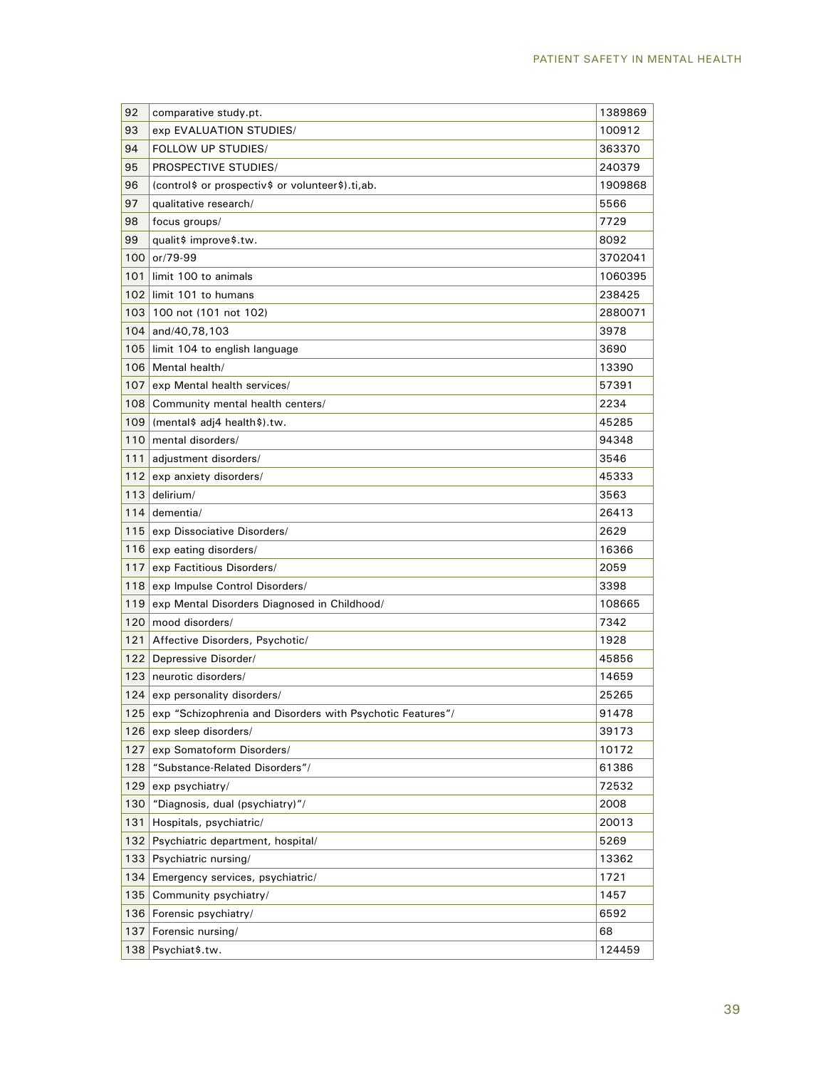| 92  | comparative study.pt.                                      | 1389869 |
|-----|------------------------------------------------------------|---------|
| 93  | exp EVALUATION STUDIES/                                    | 100912  |
| 94  | FOLLOW UP STUDIES/                                         | 363370  |
| 95  | PROSPECTIVE STUDIES/                                       | 240379  |
| 96  | (control\$ or prospectiv\$ or volunteer\$).ti,ab.          | 1909868 |
| 97  | qualitative research/                                      | 5566    |
| 98  | focus groups/                                              | 7729    |
| 99  | qualit\$ improve\$.tw.                                     | 8092    |
| 100 | $or / 79 - 99$                                             | 3702041 |
| 101 | limit 100 to animals                                       | 1060395 |
| 102 | limit 101 to humans                                        | 238425  |
| 103 | 100 not (101 not 102)                                      | 2880071 |
| 104 | and/40,78,103                                              | 3978    |
| 105 | limit 104 to english language                              | 3690    |
| 106 | Mental health/                                             | 13390   |
| 107 | exp Mental health services/                                | 57391   |
| 108 | Community mental health centers/                           | 2234    |
| 109 | (mental\$ adj4 health\$).tw.                               | 45285   |
| 110 | mental disorders/                                          | 94348   |
| 111 | adjustment disorders/                                      | 3546    |
| 112 | exp anxiety disorders/                                     | 45333   |
| 113 | delirium/                                                  | 3563    |
| 114 | dementia/                                                  | 26413   |
| 115 | exp Dissociative Disorders/                                | 2629    |
| 116 | exp eating disorders/                                      | 16366   |
| 117 | exp Factitious Disorders/                                  | 2059    |
| 118 | exp Impulse Control Disorders/                             | 3398    |
| 119 | exp Mental Disorders Diagnosed in Childhood/               | 108665  |
| 120 | mood disorders/                                            | 7342    |
| 121 | Affective Disorders, Psychotic/                            | 1928    |
| 122 | Depressive Disorder/                                       | 45856   |
| 123 | neurotic disorders/                                        | 14659   |
| 124 | exp personality disorders/                                 | 25265   |
| 125 | exp "Schizophrenia and Disorders with Psychotic Features"/ | 91478   |
| 126 | exp sleep disorders/                                       | 39173   |
| 127 | exp Somatoform Disorders/                                  | 10172   |
| 128 | "Substance-Related Disorders"/                             | 61386   |
| 129 | exp psychiatry/                                            | 72532   |
| 130 | "Diagnosis, dual (psychiatry)"/                            | 2008    |
| 131 | Hospitals, psychiatric/                                    | 20013   |
| 132 | Psychiatric department, hospital/                          | 5269    |
| 133 | Psychiatric nursing/                                       | 13362   |
| 134 | Emergency services, psychiatric/                           | 1721    |
| 135 | Community psychiatry/                                      | 1457    |
| 136 | Forensic psychiatry/                                       | 6592    |
| 137 | Forensic nursing/                                          | 68      |
| 138 | Psychiat\$.tw.                                             | 124459  |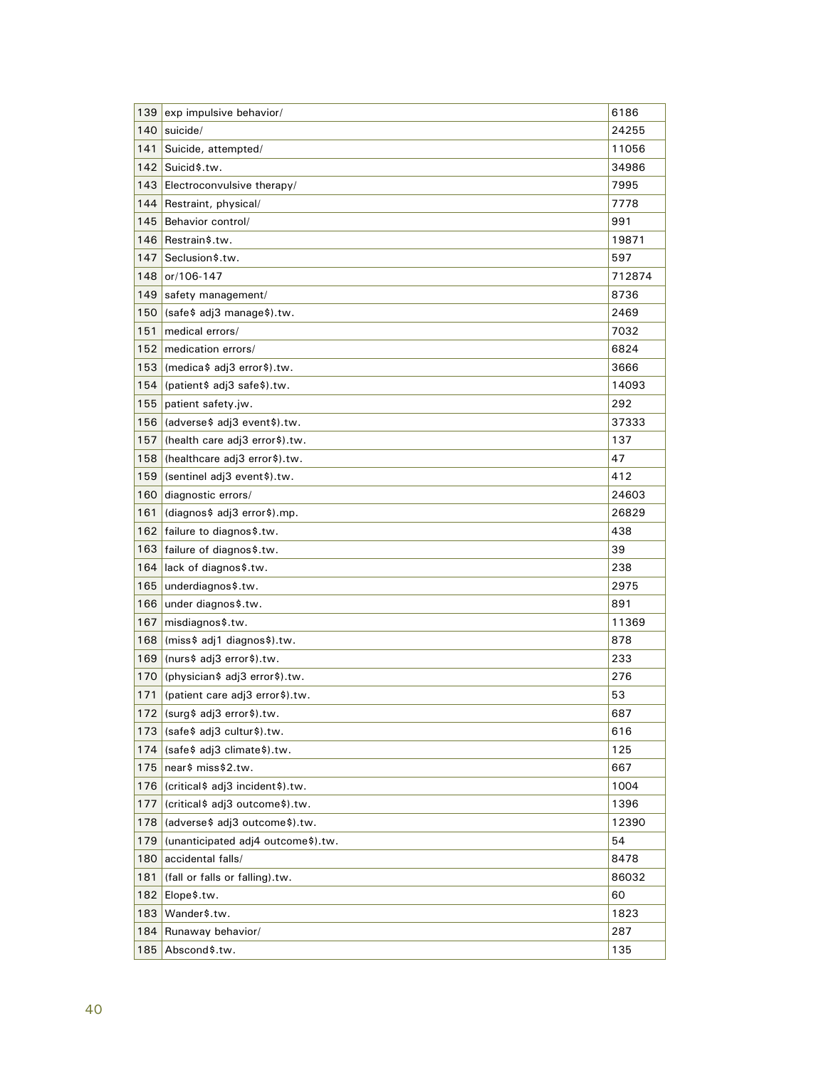| 139 | exp impulsive behavior/            | 6186   |
|-----|------------------------------------|--------|
| 140 | suicide/                           | 24255  |
| 141 | Suicide, attempted/                | 11056  |
| 142 | Suicid\$.tw.                       | 34986  |
| 143 | Electroconvulsive therapy/         | 7995   |
| 144 | Restraint, physical/               | 7778   |
| 145 | Behavior control/                  | 991    |
| 146 | Restrain\$.tw.                     | 19871  |
| 147 | Seclusion\$.tw.                    | 597    |
| 148 | or/106-147                         | 712874 |
| 149 | safety management/                 | 8736   |
| 150 | (safe\$ adj3 manage\$).tw.         | 2469   |
| 151 | medical errors/                    | 7032   |
| 152 | medication errors/                 | 6824   |
| 153 | (medica\$ adj3 error\$).tw.        | 3666   |
| 154 | (patient\$ adj3 safe\$).tw.        | 14093  |
| 155 | patient safety.jw.                 | 292    |
| 156 | (adverse\$ adj3 event\$).tw.       | 37333  |
| 157 | (health care adj3 error\$).tw.     | 137    |
| 158 | (healthcare adj3 error\$).tw.      | 47     |
| 159 | (sentinel adj3 event\$).tw.        | 412    |
| 160 | diagnostic errors/                 | 24603  |
| 161 | (diagnos\$ adj3 error\$).mp.       | 26829  |
| 162 | failure to diagnos\$.tw.           | 438    |
| 163 | failure of diagnos\$.tw.           | 39     |
| 164 | lack of diagnos\$.tw.              | 238    |
| 165 | underdiagnos\$.tw.                 | 2975   |
| 166 | under diagnos\$.tw.                | 891    |
| 167 | misdiagnos\$.tw.                   | 11369  |
| 168 | (miss\$ adj1 diagnos\$).tw.        | 878    |
| 169 | (nurs\$ adj3 error\$).tw.          | 233    |
| 170 | (physician\$ adj3 error\$).tw.     | 276    |
| 171 | (patient care adj3 error\$).tw.    | 53     |
| 172 | (surg\$ adj3 error\$).tw.          | 687    |
| 173 | (safe\$ adj3 cultur\$).tw.         | 616    |
| 174 | (safe\$ adj3 climate\$).tw.        | 125    |
| 175 | near\$ miss\$2.tw.                 | 667    |
| 176 | (critical\$ adj3 incident\$).tw.   | 1004   |
| 177 | (critical\$ adj3 outcome\$).tw.    | 1396   |
| 178 | (adverse\$ adj3 outcome\$).tw.     | 12390  |
| 179 | (unanticipated adj4 outcome\$).tw. | 54     |
| 180 | accidental falls/                  | 8478   |
| 181 | (fall or falls or falling).tw.     | 86032  |
| 182 | Elope\$.tw.                        | 60     |
| 183 | Wander\$.tw.                       | 1823   |
| 184 | Runaway behavior/                  | 287    |
| 185 | Abscond\$.tw.                      | 135    |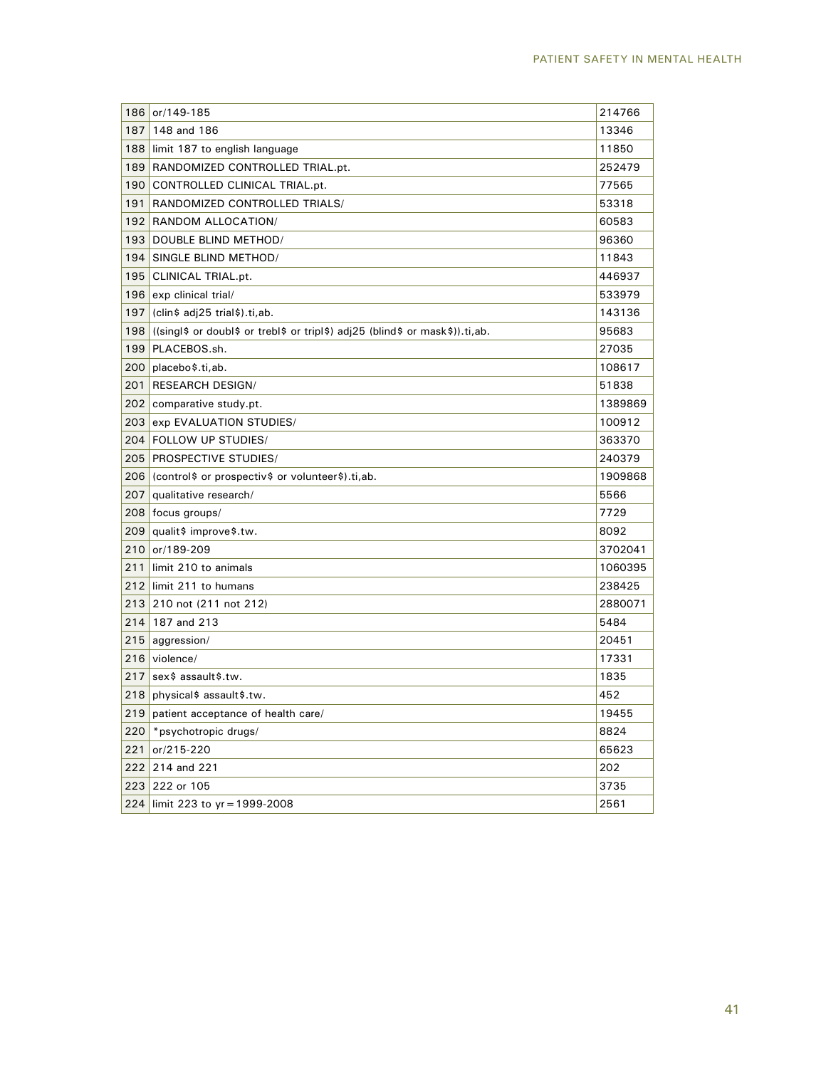| 186 | or/149-185                                                                    | 214766  |
|-----|-------------------------------------------------------------------------------|---------|
| 187 | 148 and 186                                                                   | 13346   |
| 188 | limit 187 to english language                                                 | 11850   |
| 189 | RANDOMIZED CONTROLLED TRIAL.pt.                                               | 252479  |
| 190 | CONTROLLED CLINICAL TRIAL.pt.                                                 | 77565   |
| 191 | RANDOMIZED CONTROLLED TRIALS/                                                 | 53318   |
| 192 | RANDOM ALLOCATION/                                                            | 60583   |
| 193 | DOUBLE BLIND METHOD/                                                          | 96360   |
| 194 | SINGLE BLIND METHOD/                                                          | 11843   |
| 195 | CLINICAL TRIAL.pt.                                                            | 446937  |
| 196 | exp clinical trial/                                                           | 533979  |
| 197 | (clin\$ adj25 trial\$).ti,ab.                                                 | 143136  |
| 198 | ((singl\$ or doubl\$ or trebl\$ or tripl\$) adj25 (blind\$ or mask\$)).ti,ab. | 95683   |
| 199 | PLACEBOS.sh.                                                                  | 27035   |
| 200 | placebo\$.ti,ab.                                                              | 108617  |
| 201 | <b>RESEARCH DESIGN/</b>                                                       | 51838   |
| 202 | comparative study.pt.                                                         | 1389869 |
| 203 | exp EVALUATION STUDIES/                                                       | 100912  |
| 204 | <b>FOLLOW UP STUDIES/</b>                                                     | 363370  |
| 205 | <b>PROSPECTIVE STUDIES/</b>                                                   | 240379  |
| 206 | (control\$ or prospectiv\$ or volunteer\$).ti,ab.                             | 1909868 |
| 207 | qualitative research/                                                         | 5566    |
| 208 | focus groups/                                                                 | 7729    |
| 209 | qualit\$ improve\$.tw.                                                        | 8092    |
| 210 | or/189-209                                                                    | 3702041 |
| 211 | limit 210 to animals                                                          | 1060395 |
| 212 | limit 211 to humans                                                           | 238425  |
| 213 | 210 not (211 not 212)                                                         | 2880071 |
| 214 | 187 and 213                                                                   | 5484    |
| 215 | aggression/                                                                   | 20451   |
| 216 | violence/                                                                     | 17331   |
| 217 | sex\$ assault\$.tw.                                                           | 1835    |
| 218 | physical\$ assault\$.tw.                                                      | 452     |
| 219 | patient acceptance of health care/                                            | 19455   |
| 220 | *psychotropic drugs/                                                          | 8824    |
| 221 | or/215-220                                                                    | 65623   |
| 222 | 214 and 221                                                                   | 202     |
| 223 | 222 or 105                                                                    | 3735    |
| 224 | limit 223 to $yr = 1999 - 2008$                                               | 2561    |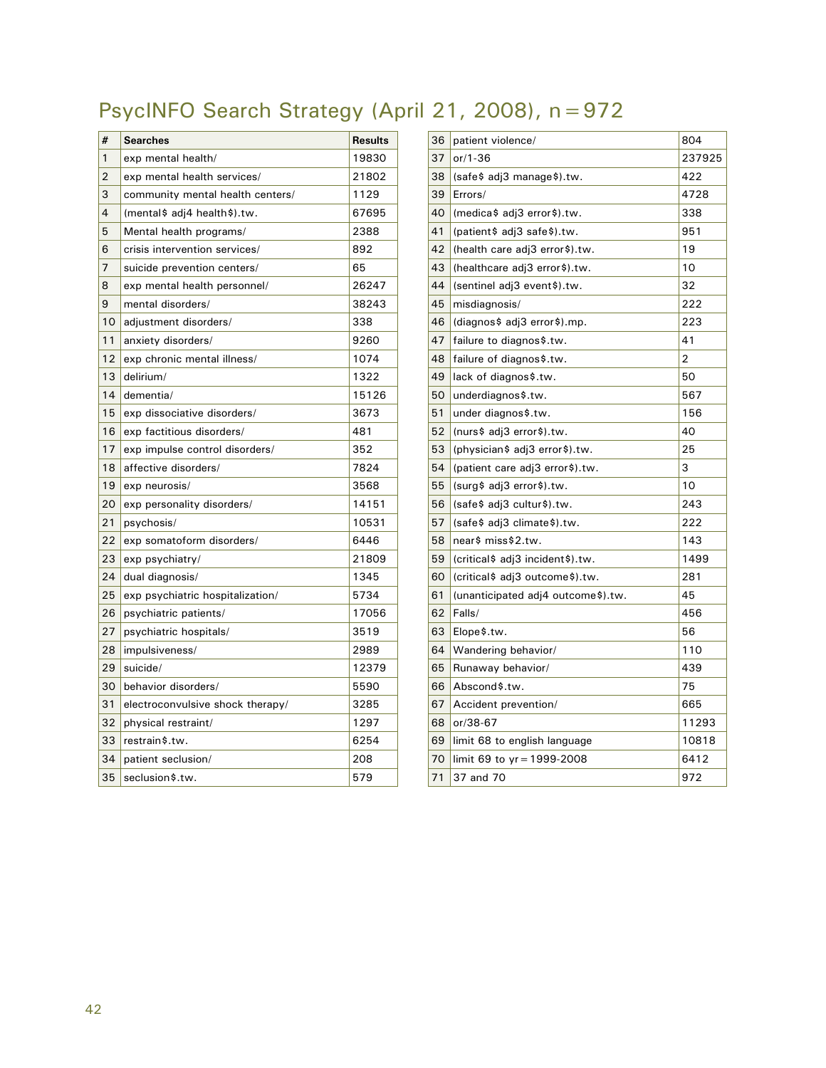# PsycINFO Search Strategy (April 21, 2008), n=972

| #  | <b>Searches</b>                  | <b>Results</b> |
|----|----------------------------------|----------------|
| 1  | exp mental health/               | 19830          |
| 2  | exp mental health services/      | 21802          |
| 3  | community mental health centers/ | 1129           |
| 4  | (mental\$ adj4 health\$).tw.     | 67695          |
| 5  | Mental health programs/          | 2388           |
| 6  | crisis intervention services/    | 892            |
| 7  | suicide prevention centers/      | 65             |
| 8  | exp mental health personnel/     | 26247          |
| 9  | mental disorders/                | 38243          |
| 10 | adjustment disorders/            | 338            |
| 11 | anxiety disorders/               | 9260           |
| 12 | exp chronic mental illness/      | 1074           |
| 13 | delirium/                        | 1322           |
| 14 | dementia/                        | 15126          |
| 15 | exp dissociative disorders/      | 3673           |
| 16 | exp factitious disorders/        | 481            |
| 17 | exp impulse control disorders/   | 352            |
| 18 | affective disorders/             | 7824           |
| 19 | exp neurosis/                    | 3568           |
| 20 | exp personality disorders/       | 14151          |
| 21 | psychosis/                       | 10531          |
| 22 | exp somatoform disorders/        | 6446           |
| 23 | exp psychiatry/                  | 21809          |
| 24 | dual diagnosis/                  | 1345           |
| 25 | exp psychiatric hospitalization/ | 5734           |
| 26 | psychiatric patients/            | 17056          |
| 27 | psychiatric hospitals/           | 3519           |
| 28 | impulsiveness/                   | 2989           |
| 29 | suicide/                         | 12379          |
| 30 | behavior disorders/              | 5590           |
| 31 | electroconvulsive shock therapy/ | 3285           |
| 32 | physical restraint/              | 1297           |
| 33 | restrain\$.tw.                   | 6254           |
| 34 | patient seclusion/               | 208            |
| 35 | seclusion\$.tw.                  | 579            |

| 36 | patient violence/                  | 804    |
|----|------------------------------------|--------|
| 37 | $or/1-36$                          | 237925 |
| 38 | (safe\$ adj3 manage\$).tw.         | 422    |
| 39 | Errors/                            | 4728   |
| 40 | (medica\$ adj3 error\$).tw.        | 338    |
| 41 | (patient\$ adj3 safe\$).tw.        | 951    |
| 42 | (health care adj3 error\$).tw.     | 19     |
| 43 | (healthcare adj3 error\$).tw.      | 10     |
| 44 | (sentinel adj3 event\$).tw.        | 32     |
| 45 | misdiagnosis/                      | 222    |
| 46 | (diagnos\$ adj3 error\$).mp.       | 223    |
| 47 | failure to diagnos\$.tw.           | 41     |
| 48 | failure of diagnos\$.tw.           | 2      |
| 49 | lack of diagnos\$.tw.              | 50     |
| 50 | underdiagnos\$.tw.                 | 567    |
| 51 | under diagnos\$.tw.                | 156    |
| 52 | (nurs\$ adj3 error\$).tw.          | 40     |
| 53 | (physician\$ adj3 error\$).tw.     | 25     |
| 54 | (patient care adj3 error\$).tw.    | 3      |
| 55 | (surg\$ adj3 error\$).tw.          | 10     |
| 56 | (safe\$ adj3 cultur\$).tw.         | 243    |
| 57 | (safe\$ adj3 climate\$).tw.        | 222    |
| 58 | near\$ miss\$2.tw.                 | 143    |
| 59 | (critical\$ adj3 incident\$).tw.   | 1499   |
| 60 | (critical\$ adj3 outcome\$).tw.    | 281    |
| 61 | (unanticipated adj4 outcome\$).tw. | 45     |
| 62 | Falls/                             | 456    |
| 63 | Elope\$.tw.                        | 56     |
| 64 | Wandering behavior/                | 110    |
| 65 | Runaway behavior/                  | 439    |
| 66 | Abscond\$.tw.                      | 75     |
| 67 | Accident prevention/               | 665    |
| 68 | or/38-67                           | 11293  |
| 69 | limit 68 to english language       | 10818  |
| 70 | limit 69 to yr = 1999-2008         | 6412   |
| 71 | 37 and 70                          | 972    |
|    |                                    |        |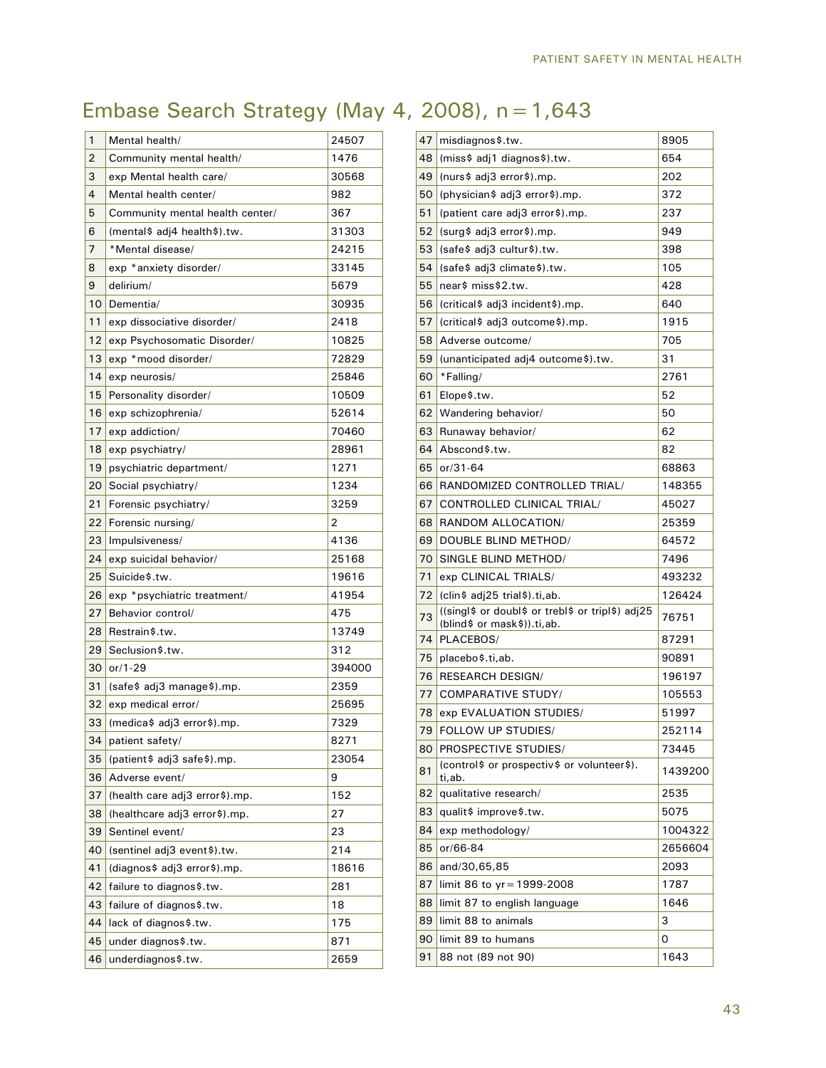# Embase Search Strategy (May 4, 2008), n=1,643

| 1              | Mental health/                     | 24507  |
|----------------|------------------------------------|--------|
| 2              | Community mental health/           | 1476   |
| 3              | exp Mental health care/            | 30568  |
| $\overline{4}$ | Mental health center/              | 982    |
| 5              | Community mental health center/    | 367    |
| 6              | (mental\$ adj4 health\$).tw.       | 31303  |
| 7              | *Mental disease/                   | 24215  |
| 8              | exp *anxiety disorder/             | 33145  |
| 9              | delirium/                          | 5679   |
| 10             | Dementia/                          | 30935  |
| 11             | exp dissociative disorder/         | 2418   |
| 12             | exp Psychosomatic Disorder/        | 10825  |
| 13             | exp *mood disorder/                | 72829  |
| 14             | exp neurosis/                      | 25846  |
| 15             | Personality disorder/              | 10509  |
| 16             | exp schizophrenia/                 | 52614  |
| 17             | exp addiction/                     | 70460  |
| 18             | exp psychiatry/                    | 28961  |
| 19             | psychiatric department/            | 1271   |
| 20             | Social psychiatry/                 | 1234   |
| 21             | Forensic psychiatry/               | 3259   |
| 22             | Forensic nursing/                  | 2      |
| 23             | Impulsiveness/                     | 4136   |
| 24             | exp suicidal behavior/             | 25168  |
| 25             | Suicide\$.tw.                      | 19616  |
| 26             | exp *psychiatric treatment/        | 41954  |
| 27             | Behavior control/                  | 475    |
| 28             | Restrain\$.tw.                     | 13749  |
| 29             | Seclusion\$.tw.                    | 312    |
| 30             | $or/1-29$                          | 394000 |
| 31             | (safe\$ adj3 manage\$).mp.         | 2359   |
| 32             | exp medical error/                 | 25695  |
| 33             | (medica\$ adj3 error\$).mp.        | 7329   |
| 34             | patient safety/                    | 8271   |
| 35             | (patient\$ adj3 safe\$).mp.        | 23054  |
| 36             | Adverse event/                     | 9      |
| 37             | (health care adj3 error\$).mp.     | 152    |
| 38             | (healthcare adj3 error\$).mp.      | 27     |
| 39             | Sentinel event/                    | 23     |
| 40             | (sentinel adj3 event\$).tw.<br>214 |        |
| 41             | (diagnos\$ adj3 error\$).mp.       | 18616  |
| 42             | failure to diagnos\$.tw.           | 281    |
| 43             | failure of diagnos\$.tw.           | 18     |
| 44             | lack of diagnos\$.tw.              | 175    |
| 45             | under diagnos\$.tw.                | 871    |
|                |                                    |        |

| 47 | misdiagnos\$.tw.                                                                 | 8905    |
|----|----------------------------------------------------------------------------------|---------|
| 48 | (miss\$ adj1 diagnos\$).tw.                                                      | 654     |
| 49 | (nurs\$ adj3 error\$).mp.                                                        | 202     |
| 50 | (physician\$ adj3 error\$).mp.                                                   | 372     |
| 51 | (patient care adj3 error\$).mp.                                                  | 237     |
| 52 | (surg\$ adj3 error\$).mp.                                                        | 949     |
| 53 | (safe\$ adj3 cultur\$).tw.                                                       | 398     |
| 54 | (safe\$ adj3 climate\$).tw.                                                      | 105     |
| 55 | near\$ miss\$2.tw.                                                               | 428     |
| 56 | (critical\$ adj3 incident\$).mp.                                                 | 640     |
| 57 | (critical \$ adj3 outcome \$).mp.                                                | 1915    |
| 58 | Adverse outcome/                                                                 | 705     |
| 59 | (unanticipated adj4 outcome\$).tw.                                               | 31      |
| 60 | *Falling/                                                                        | 2761    |
| 61 | Elope\$.tw.                                                                      | 52      |
| 62 | Wandering behavior/                                                              | 50      |
| 63 | Runaway behavior/                                                                | 62      |
| 64 | Abscond\$.tw.                                                                    | 82      |
| 65 | $or/31 - 64$                                                                     | 68863   |
| 66 | RANDOMIZED CONTROLLED TRIAL/                                                     | 148355  |
| 67 | <b>CONTROLLED CLINICAL TRIAL/</b>                                                | 45027   |
| 68 | RANDOM ALLOCATION/                                                               | 25359   |
| 69 | DOUBLE BLIND METHOD/                                                             | 64572   |
| 70 | SINGLE BLIND METHOD/                                                             | 7496    |
| 71 | exp CLINICAL TRIALS/                                                             | 493232  |
| 72 | (clin\$ adj25 trial\$).ti,ab.                                                    | 126424  |
| 73 | ((singl\$ or doubl\$ or trebl\$ or tripl\$) adj25<br>(blind\$ or mask\$)).ti,ab. | 76751   |
| 74 | PLACEBOS/                                                                        | 87291   |
| 75 | placebo\$.ti,ab.                                                                 | 90891   |
| 76 | <b>RESEARCH DESIGN/</b>                                                          | 196197  |
| 77 | <b>COMPARATIVE STUDY/</b>                                                        | 105553  |
| 78 | exp EVALUATION STUDIES/                                                          | 51997   |
|    | 79 FOLLOW UP STUDIES/                                                            | 252114  |
| 80 | PROSPECTIVE STUDIES/                                                             | 73445   |
| 81 | (control\$ or prospectiv\$ or volunteer\$).<br>ti,ab.                            | 1439200 |
| 82 | qualitative research/                                                            | 2535    |
| 83 | qualit\$ improve\$.tw.                                                           | 5075    |
| 84 | exp methodology/                                                                 | 1004322 |
| 85 | or/66-84                                                                         | 2656604 |
| 86 | and/30,65,85                                                                     | 2093    |
| 87 | limit 86 to $yr = 1999 - 2008$                                                   | 1787    |
| 88 | limit 87 to english language                                                     | 1646    |
| 89 | limit 88 to animals                                                              | 3       |
| 90 | limit 89 to humans                                                               | 0       |
| 91 | 88 not (89 not 90)                                                               | 1643    |
|    |                                                                                  |         |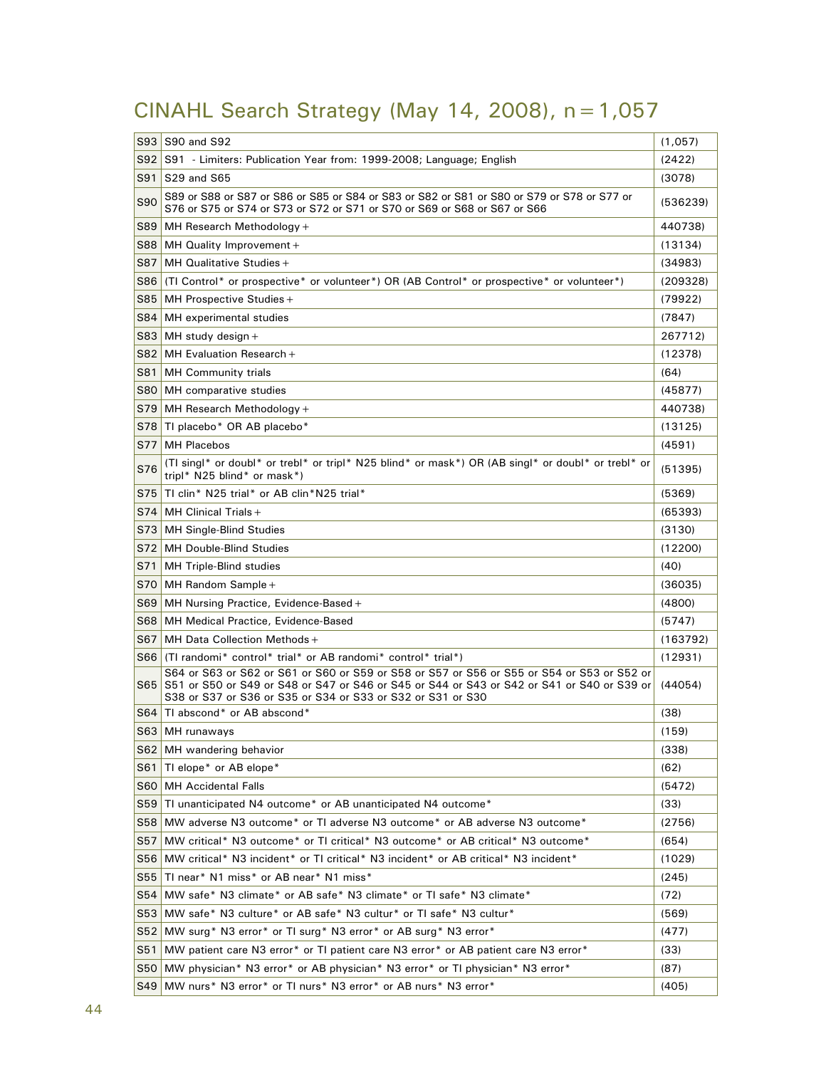# CINAHL Search Strategy (May 14, 2008), n=1,057

|                 |                                                                                                                                                                                                                                                             | (1,057)      |  |  |
|-----------------|-------------------------------------------------------------------------------------------------------------------------------------------------------------------------------------------------------------------------------------------------------------|--------------|--|--|
|                 | S93 S90 and S92                                                                                                                                                                                                                                             |              |  |  |
|                 | S92 S91 - Limiters: Publication Year from: 1999-2008; Language; English                                                                                                                                                                                     |              |  |  |
|                 | S91 S29 and S65                                                                                                                                                                                                                                             |              |  |  |
| S90             | S89 or S88 or S87 or S86 or S85 or S84 or S83 or S82 or S81 or S80 or S79 or S78 or S77 or<br>S76 or S75 or S74 or S73 or S72 or S71 or S70 or S69 or S68 or S67 or S66                                                                                     | (536239)     |  |  |
|                 | S89 MH Research Methodology +                                                                                                                                                                                                                               | 440738)      |  |  |
| S88             | MH Quality Improvement +                                                                                                                                                                                                                                    | (13134)      |  |  |
| S87             | MH Qualitative Studies +                                                                                                                                                                                                                                    | (34983)      |  |  |
| S86             | (TI Control* or prospective* or volunteer*) OR (AB Control* or prospective* or volunteer*)                                                                                                                                                                  | (209328)     |  |  |
| S85             | MH Prospective Studies +                                                                                                                                                                                                                                    | (79922)      |  |  |
| S84             | MH experimental studies                                                                                                                                                                                                                                     | (7847)       |  |  |
| S83             | MH study design +                                                                                                                                                                                                                                           | 267712)      |  |  |
|                 | $S82$ MH Evaluation Research +                                                                                                                                                                                                                              | (12378)      |  |  |
| S81             | <b>MH Community trials</b>                                                                                                                                                                                                                                  | (64)         |  |  |
| S80             | MH comparative studies                                                                                                                                                                                                                                      | (45877)      |  |  |
| S79             | MH Research Methodology +                                                                                                                                                                                                                                   | 440738)      |  |  |
|                 | S78 Tl placebo* OR AB placebo*                                                                                                                                                                                                                              | (13125)      |  |  |
| S77 l           | <b>MH Placebos</b>                                                                                                                                                                                                                                          | (4591)       |  |  |
| S76             | (TI singl* or doubl* or trebl* or tripl* N25 blind* or mask*) OR (AB singl* or doubl* or trebl* or<br>tripl* N25 blind* or mask*)                                                                                                                           | (51395)      |  |  |
|                 | S75 TI clin* N25 trial* or AB clin*N25 trial*                                                                                                                                                                                                               | (5369)       |  |  |
|                 | $S74$ MH Clinical Trials +                                                                                                                                                                                                                                  | (65393)      |  |  |
| S73             | <b>MH Single-Blind Studies</b>                                                                                                                                                                                                                              | (3130)       |  |  |
|                 | S72 MH Double-Blind Studies                                                                                                                                                                                                                                 | (12200)      |  |  |
| S71             | MH Triple-Blind studies                                                                                                                                                                                                                                     | (40)         |  |  |
| S70             | MH Random Sample +                                                                                                                                                                                                                                          | (36035)      |  |  |
| S69             | MH Nursing Practice, Evidence-Based +                                                                                                                                                                                                                       | (4800)       |  |  |
|                 | S68 MH Medical Practice, Evidence-Based                                                                                                                                                                                                                     | (5747)       |  |  |
| S67             | MH Data Collection Methods +                                                                                                                                                                                                                                | (163792)     |  |  |
|                 | S66 (TI randomi* control* trial* or AB randomi* control* trial*)                                                                                                                                                                                            | (12931)      |  |  |
|                 | S64 or S63 or S62 or S61 or S60 or S59 or S58 or S57 or S56 or S55 or S54 or S53 or S52 or<br>S65 S51 or S50 or S49 or S48 or S47 or S46 or S45 or S44 or S43 or S42 or S41 or S40 or S39 or<br>S38 or S37 or S36 or S35 or S34 or S33 or S32 or S31 or S30 | (44054)      |  |  |
|                 | S64 Tl abscond* or AB abscond*                                                                                                                                                                                                                              | (38)         |  |  |
|                 | S63 MH runaways                                                                                                                                                                                                                                             | (159)        |  |  |
|                 | S62 MH wandering behavior                                                                                                                                                                                                                                   | (338)        |  |  |
| S61             | TI elope* or AB elope*                                                                                                                                                                                                                                      | (62)         |  |  |
| S60             | <b>MH Accidental Falls</b>                                                                                                                                                                                                                                  | (5472)       |  |  |
| S59             | TI unanticipated N4 outcome* or AB unanticipated N4 outcome*                                                                                                                                                                                                | (33)         |  |  |
|                 | S58 MW adverse N3 outcome* or TI adverse N3 outcome* or AB adverse N3 outcome*                                                                                                                                                                              | (2756)       |  |  |
| S57             | MW critical* N3 outcome* or TI critical* N3 outcome* or AB critical* N3 outcome*                                                                                                                                                                            | (654)        |  |  |
| S56             | MW critical* N3 incident* or TI critical* N3 incident* or AB critical* N3 incident*                                                                                                                                                                         | (1029)       |  |  |
| S55             | TI near* N1 miss* or AB near* N1 miss*                                                                                                                                                                                                                      | (245)        |  |  |
| S54             | MW safe* N3 climate* or AB safe* N3 climate* or TI safe* N3 climate*                                                                                                                                                                                        | (72)         |  |  |
|                 | S53 MW safe* N3 culture* or AB safe* N3 cultur* or TI safe* N3 cultur*                                                                                                                                                                                      | (569)        |  |  |
| S52             | MW surg* N3 error* or TI surg* N3 error* or AB surg* N3 error*                                                                                                                                                                                              |              |  |  |
| S <sub>51</sub> | MW patient care N3 error* or TI patient care N3 error* or AB patient care N3 error*                                                                                                                                                                         |              |  |  |
|                 | S50 MW physician* N3 error* or AB physician* N3 error* or TI physician* N3 error*                                                                                                                                                                           | (33)<br>(87) |  |  |
|                 | S49 MW nurs* N3 error* or TI nurs* N3 error* or AB nurs* N3 error*                                                                                                                                                                                          | (405)        |  |  |
|                 |                                                                                                                                                                                                                                                             |              |  |  |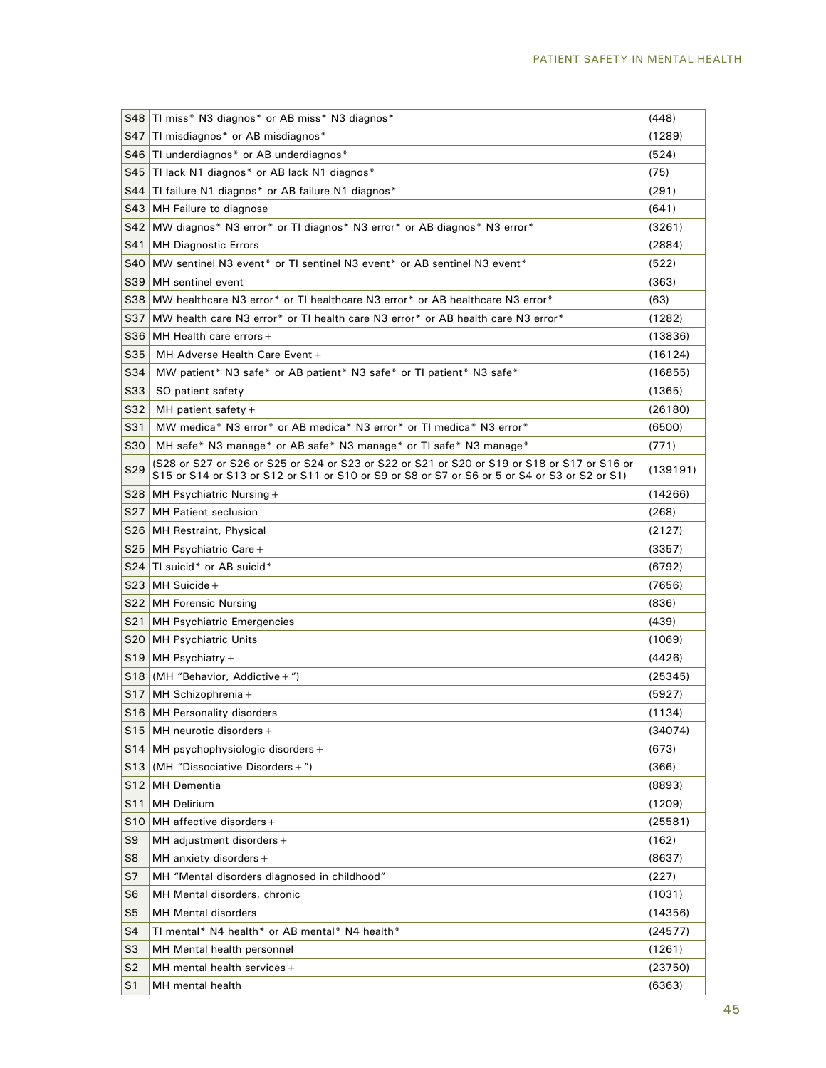|                 | S48 TI miss* N3 diagnos* or AB miss* N3 diagnos*                                                                                                                                            |          |  |  |  |
|-----------------|---------------------------------------------------------------------------------------------------------------------------------------------------------------------------------------------|----------|--|--|--|
| S47             | TI misdiagnos* or AB misdiagnos*                                                                                                                                                            |          |  |  |  |
| S46             | TI underdiagnos* or AB underdiagnos*                                                                                                                                                        |          |  |  |  |
| S45             | TI lack N1 diagnos* or AB lack N1 diagnos*                                                                                                                                                  |          |  |  |  |
| S44             | TI failure N1 diagnos* or AB failure N1 diagnos*                                                                                                                                            |          |  |  |  |
| S43             | MH Failure to diagnose                                                                                                                                                                      |          |  |  |  |
|                 | S42 MW diagnos* N3 error* or TI diagnos* N3 error* or AB diagnos* N3 error*                                                                                                                 |          |  |  |  |
| S41             | <b>MH Diagnostic Errors</b>                                                                                                                                                                 | (2884)   |  |  |  |
| S40             | MW sentinel N3 event* or TI sentinel N3 event* or AB sentinel N3 event*                                                                                                                     | (522)    |  |  |  |
| S39             | MH sentinel event                                                                                                                                                                           | (363)    |  |  |  |
|                 | S38   MW healthcare N3 error* or TI healthcare N3 error* or AB healthcare N3 error*                                                                                                         | (63)     |  |  |  |
| S37             | MW health care N3 error* or TI health care N3 error* or AB health care N3 error*                                                                                                            | (1282)   |  |  |  |
|                 | $S36$ MH Health care errors +                                                                                                                                                               | (13836)  |  |  |  |
| S35             | MH Adverse Health Care Event +                                                                                                                                                              | (16124)  |  |  |  |
| S34             | MW patient* N3 safe* or AB patient* N3 safe* or TI patient* N3 safe*                                                                                                                        | (16855)  |  |  |  |
| S33             | SO patient safety                                                                                                                                                                           | (1365)   |  |  |  |
| S32             | MH patient safety $+$                                                                                                                                                                       | (26180)  |  |  |  |
| S31             | MW medica* N3 error* or AB medica* N3 error* or TI medica* N3 error*                                                                                                                        | (6500)   |  |  |  |
| S30             | MH safe* N3 manage* or AB safe* N3 manage* or TI safe* N3 manage*                                                                                                                           | (771)    |  |  |  |
| S29             | (S28 or S27 or S26 or S25 or S24 or S23 or S22 or S21 or S20 or S19 or S18 or S17 or S16 or<br>S15 or S14 or S13 or S12 or S11 or S10 or S9 or S8 or S7 or S6 or 5 or S4 or S3 or S2 or S1) | (139191) |  |  |  |
|                 | S28 MH Psychiatric Nursing $+$                                                                                                                                                              | (14266)  |  |  |  |
| S27             | <b>MH</b> Patient seclusion                                                                                                                                                                 | (268)    |  |  |  |
|                 | S26 MH Restraint, Physical                                                                                                                                                                  | (2127)   |  |  |  |
| S25             | MH Psychiatric Care +                                                                                                                                                                       | (3357)   |  |  |  |
| S24             | TI suicid* or AB suicid*                                                                                                                                                                    | (6792)   |  |  |  |
|                 | $S23$ MH Suicide +                                                                                                                                                                          | (7656)   |  |  |  |
|                 | S22 MH Forensic Nursing                                                                                                                                                                     |          |  |  |  |
| S21             | MH Psychiatric Emergencies                                                                                                                                                                  | (439)    |  |  |  |
|                 | S20 MH Psychiatric Units                                                                                                                                                                    | (1069)   |  |  |  |
| S19             | $\mathsf{MH}$ Psychiatry +                                                                                                                                                                  | (4426)   |  |  |  |
|                 | $S18$ (MH "Behavior, Addictive + ")                                                                                                                                                         | (25345)  |  |  |  |
|                 | S17 MH Schizophrenia +                                                                                                                                                                      | (5927)   |  |  |  |
|                 | S16 MH Personality disorders                                                                                                                                                                | (1134)   |  |  |  |
| S <sub>15</sub> | MH neurotic disorders +                                                                                                                                                                     | (34074)  |  |  |  |
| S14             | MH psychophysiologic disorders +                                                                                                                                                            | (673)    |  |  |  |
| S <sub>13</sub> | (MH "Dissociative Disorders +")                                                                                                                                                             | (366)    |  |  |  |
| S12             | <b>MH</b> Dementia                                                                                                                                                                          | (8893)   |  |  |  |
| S11             | <b>MH Delirium</b>                                                                                                                                                                          | (1209)   |  |  |  |
| S <sub>10</sub> | MH affective disorders $+$                                                                                                                                                                  | (25581)  |  |  |  |
| S9              | MH adjustment disorders +                                                                                                                                                                   | (162)    |  |  |  |
| S8              | MH anxiety disorders +                                                                                                                                                                      | (8637)   |  |  |  |
| S7              | MH "Mental disorders diagnosed in childhood"                                                                                                                                                | (227)    |  |  |  |
| S6              | MH Mental disorders, chronic                                                                                                                                                                | (1031)   |  |  |  |
| S5              | <b>MH Mental disorders</b>                                                                                                                                                                  | (14356)  |  |  |  |
| S4              | TI mental* N4 health* or AB mental* N4 health*                                                                                                                                              | (24577)  |  |  |  |
| S3              | MH Mental health personnel                                                                                                                                                                  | (1261)   |  |  |  |
| S2              | MH mental health services +                                                                                                                                                                 | (23750)  |  |  |  |
| S1              | MH mental health                                                                                                                                                                            | (6363)   |  |  |  |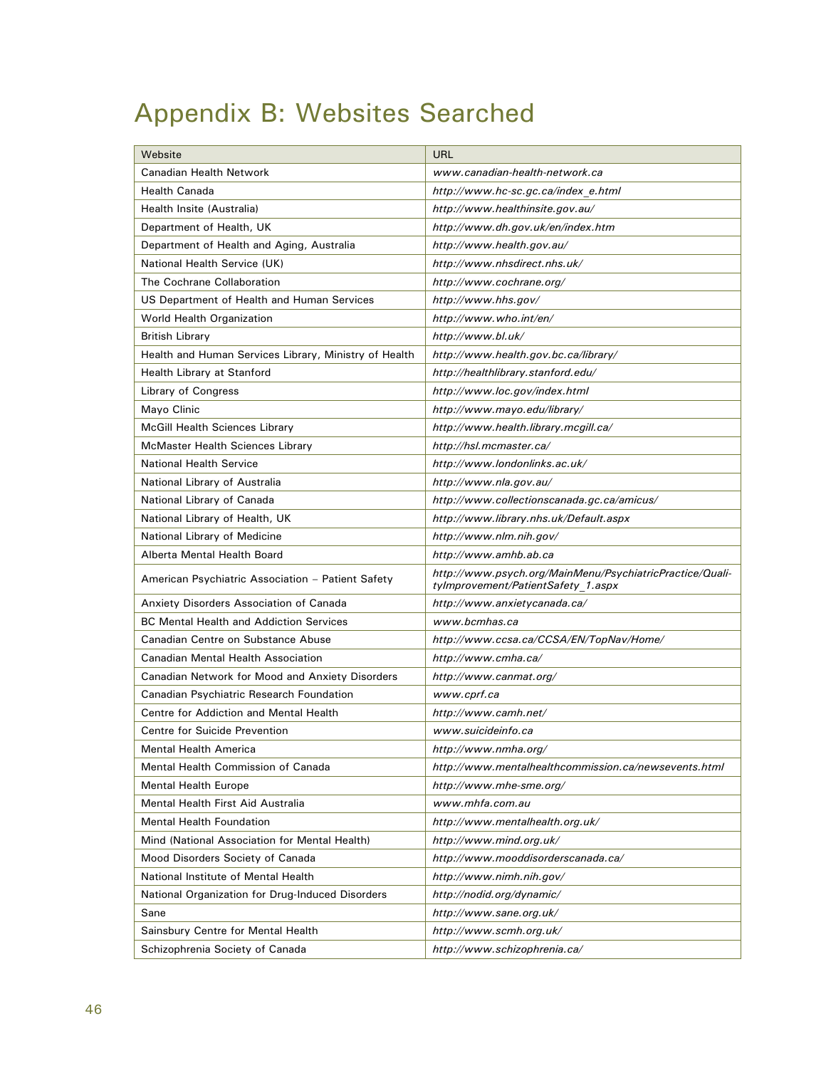# Appendix B: Websites Searched

| Website                                               | <b>URL</b>                                                                                     |  |  |
|-------------------------------------------------------|------------------------------------------------------------------------------------------------|--|--|
| Canadian Health Network                               | www.canadian-health-network.ca                                                                 |  |  |
| Health Canada                                         | http://www.hc-sc.gc.ca/index e.html                                                            |  |  |
| Health Insite (Australia)                             | http://www.healthinsite.gov.au/                                                                |  |  |
| Department of Health, UK                              | http://www.dh.gov.uk/en/index.htm                                                              |  |  |
| Department of Health and Aging, Australia             | http://www.health.gov.au/                                                                      |  |  |
| National Health Service (UK)                          | http://www.nhsdirect.nhs.uk/                                                                   |  |  |
| The Cochrane Collaboration                            | http://www.cochrane.org/                                                                       |  |  |
| US Department of Health and Human Services            | http://www.hhs.gov/                                                                            |  |  |
| World Health Organization                             | http://www.who.int/en/                                                                         |  |  |
| <b>British Library</b>                                | http://www.bl.uk/                                                                              |  |  |
| Health and Human Services Library, Ministry of Health | http://www.health.gov.bc.ca/library/                                                           |  |  |
| Health Library at Stanford                            | http://healthlibrary.stanford.edu/                                                             |  |  |
| Library of Congress                                   | http://www.loc.gov/index.html                                                                  |  |  |
| Mayo Clinic                                           | http://www.mayo.edu/library/                                                                   |  |  |
| <b>McGill Health Sciences Library</b>                 | http://www.health.library.mcgill.ca/                                                           |  |  |
| McMaster Health Sciences Library                      | http://hsl.mcmaster.ca/                                                                        |  |  |
| National Health Service                               | http://www.londonlinks.ac.uk/                                                                  |  |  |
| National Library of Australia                         | http://www.nla.gov.au/                                                                         |  |  |
| National Library of Canada                            | http://www.collectionscanada.gc.ca/amicus/                                                     |  |  |
| National Library of Health, UK                        | http://www.library.nhs.uk/Default.aspx                                                         |  |  |
| National Library of Medicine                          | http://www.nlm.nih.gov/                                                                        |  |  |
| Alberta Mental Health Board                           | http://www.amhb.ab.ca                                                                          |  |  |
| American Psychiatric Association - Patient Safety     | http://www.psych.org/MainMenu/PsychiatricPractice/Quali-<br>tylmprovement/PatientSafety 1.aspx |  |  |
| Anxiety Disorders Association of Canada               | http://www.anxietycanada.ca/                                                                   |  |  |
| <b>BC Mental Health and Addiction Services</b>        | www.bcmhas.ca                                                                                  |  |  |
| Canadian Centre on Substance Abuse                    | http://www.ccsa.ca/CCSA/EN/TopNav/Home/                                                        |  |  |
| Canadian Mental Health Association                    | http://www.cmha.ca/                                                                            |  |  |
| Canadian Network for Mood and Anxiety Disorders       | http://www.canmat.org/                                                                         |  |  |
| Canadian Psychiatric Research Foundation              | www.cprf.ca                                                                                    |  |  |
| Centre for Addiction and Mental Health                | http://www.camh.net/                                                                           |  |  |
| <b>Centre for Suicide Prevention</b>                  | www.suicideinfo.ca                                                                             |  |  |
| Mental Health America                                 | http://www.nmha.org/                                                                           |  |  |
| Mental Health Commission of Canada                    | http://www.mentalhealthcommission.ca/newsevents.html                                           |  |  |
| <b>Mental Health Europe</b>                           | http://www.mhe-sme.org/                                                                        |  |  |
| Mental Health First Aid Australia                     | www.mhfa.com.au                                                                                |  |  |
| <b>Mental Health Foundation</b>                       | http://www.mentalhealth.org.uk/                                                                |  |  |
| Mind (National Association for Mental Health)         | http://www.mind.org.uk/                                                                        |  |  |
| Mood Disorders Society of Canada                      | http://www.mooddisorderscanada.ca/                                                             |  |  |
| National Institute of Mental Health                   | http://www.nimh.nih.gov/                                                                       |  |  |
| National Organization for Drug-Induced Disorders      | http://nodid.org/dynamic/                                                                      |  |  |
| Sane                                                  | http://www.sane.org.uk/                                                                        |  |  |
| Sainsbury Centre for Mental Health                    | http://www.scmh.org.uk/                                                                        |  |  |
| Schizophrenia Society of Canada                       | http://www.schizophrenia.ca/                                                                   |  |  |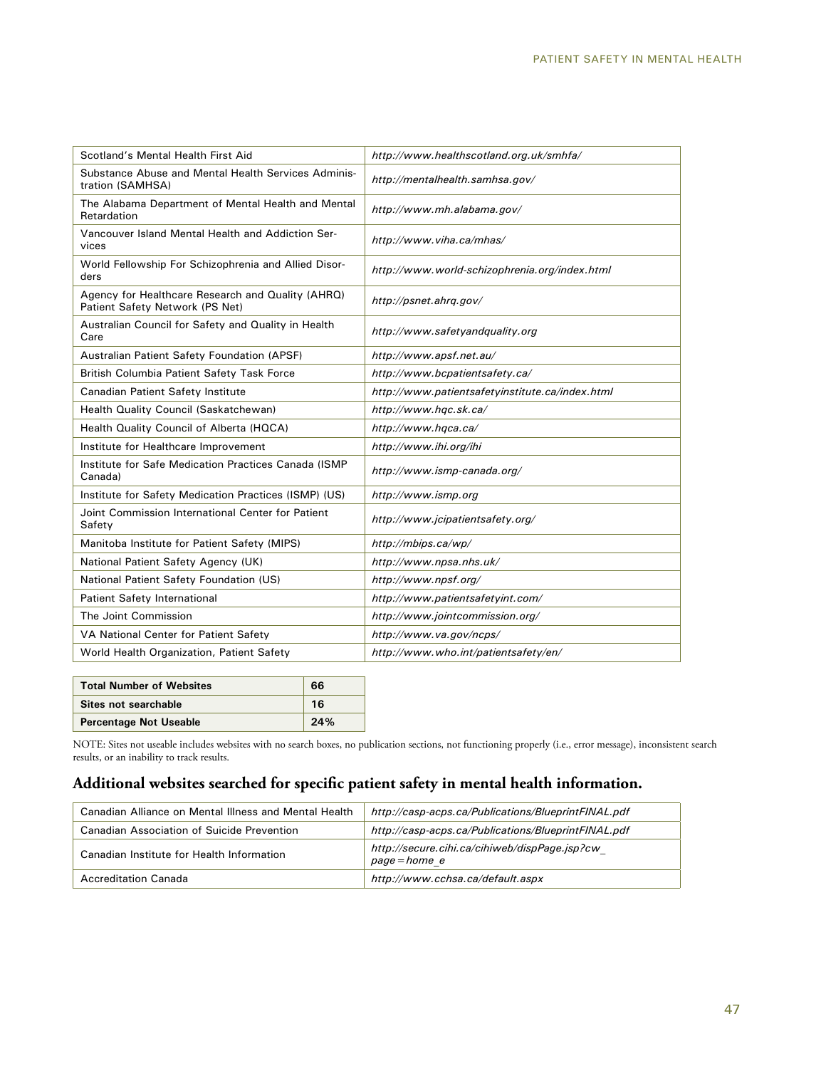| Scotland's Mental Health First Aid                                                   | http://www.healthscotland.org.uk/smhfa/         |
|--------------------------------------------------------------------------------------|-------------------------------------------------|
| Substance Abuse and Mental Health Services Adminis-<br>tration (SAMHSA)              | http://mentalhealth.samhsa.gov/                 |
| The Alabama Department of Mental Health and Mental<br>Retardation                    | http://www.mh.alabama.gov/                      |
| Vancouver Island Mental Health and Addiction Ser-<br>vices                           | http://www.viha.ca/mhas/                        |
| World Fellowship For Schizophrenia and Allied Disor-<br>ders                         | http://www.world-schizophrenia.org/index.html   |
| Agency for Healthcare Research and Quality (AHRQ)<br>Patient Safety Network (PS Net) | http://psnet.ahrq.gov/                          |
| Australian Council for Safety and Quality in Health<br>Care                          | http://www.safetyandquality.org                 |
| Australian Patient Safety Foundation (APSF)                                          | http://www.apsf.net.au/                         |
| British Columbia Patient Safety Task Force                                           | http://www.bcpatientsafety.ca/                  |
| Canadian Patient Safety Institute                                                    | http://www.patientsafetyinstitute.ca/index.html |
| Health Quality Council (Saskatchewan)                                                | http://www.hqc.sk.ca/                           |
| Health Quality Council of Alberta (HQCA)                                             | http://www.hqca.ca/                             |
| Institute for Healthcare Improvement                                                 | http://www.ihi.org/ihi                          |
| Institute for Safe Medication Practices Canada (ISMP)<br>Canada)                     | http://www.ismp-canada.org/                     |
| Institute for Safety Medication Practices (ISMP) (US)                                | http://www.ismp.org                             |
| Joint Commission International Center for Patient<br>Safety                          | http://www.jcipatientsafety.org/                |
| Manitoba Institute for Patient Safety (MIPS)                                         | http://mbips.ca/wp/                             |
| National Patient Safety Agency (UK)                                                  | http://www.npsa.nhs.uk/                         |
| National Patient Safety Foundation (US)                                              | http://www.npsf.org/                            |
| Patient Safety International                                                         | http://www.patientsafetyint.com/                |
| The Joint Commission                                                                 | http://www.jointcommission.org/                 |
| VA National Center for Patient Safety                                                | http://www.va.gov/ncps/                         |
| World Health Organization, Patient Safety                                            | http://www.who.int/patientsafety/en/            |
|                                                                                      |                                                 |

| <b>Total Number of Websites</b> | 66  |
|---------------------------------|-----|
| Sites not searchable            | 16  |
| <b>Percentage Not Useable</b>   | 24% |

NOTE: Sites not useable includes websites with no search boxes, no publication sections, not functioning properly (i.e., error message), inconsistent search results, or an inability to track results.

## **Additional websites searched for specific patient safety in mental health information.**

| Canadian Alliance on Mental Illness and Mental Health | http://casp-acps.ca/Publications/BlueprintFINAL.pdf            |
|-------------------------------------------------------|----------------------------------------------------------------|
| Canadian Association of Suicide Prevention            | http://casp-acps.ca/Publications/BlueprintFINAL.pdf            |
| Canadian Institute for Health Information             | http://secure.cihi.ca/cihiweb/dispPage.jsp?cw<br>page = home e |
| Accreditation Canada                                  | http://www.cchsa.ca/default.aspx                               |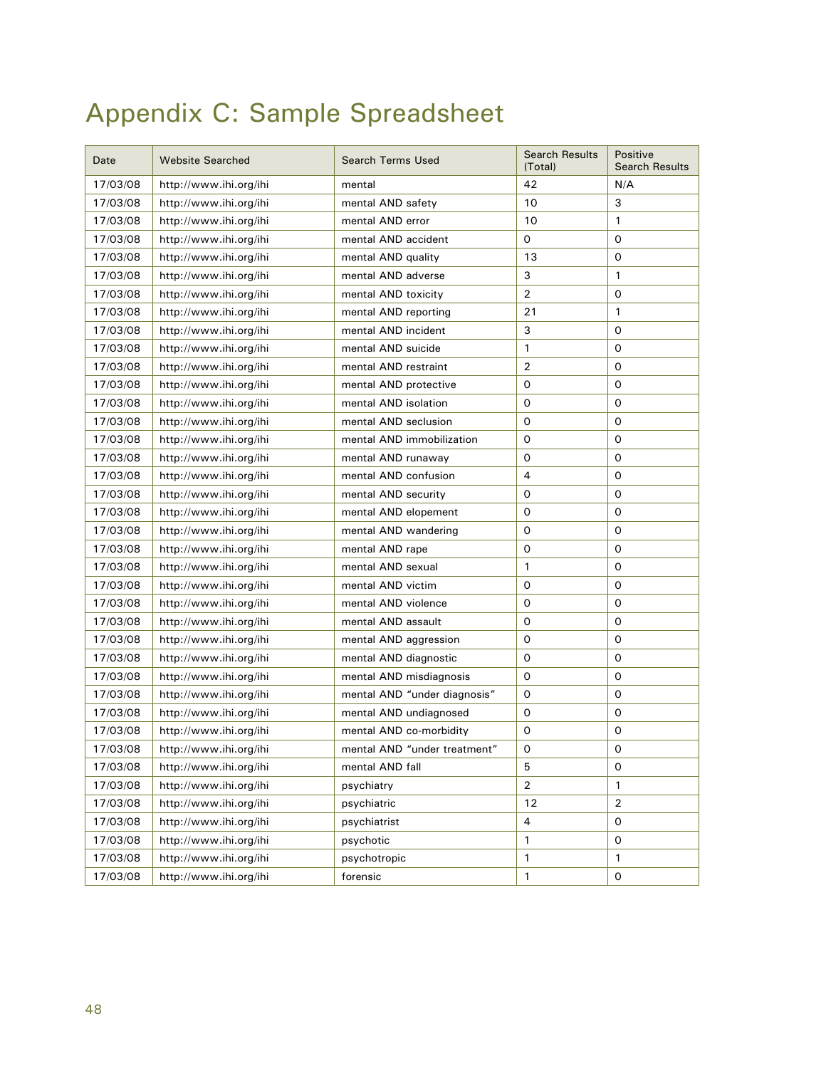# Appendix C: Sample Spreadsheet

| Date     | <b>Website Searched</b> | <b>Search Terms Used</b>     | <b>Search Results</b><br>(Total) | Positive<br><b>Search Results</b> |
|----------|-------------------------|------------------------------|----------------------------------|-----------------------------------|
| 17/03/08 | http://www.ihi.org/ihi  | mental                       | 42                               | N/A                               |
| 17/03/08 | http://www.ihi.org/ihi  | mental AND safety            | 10                               | 3                                 |
| 17/03/08 | http://www.ihi.org/ihi  | mental AND error             | 10                               | 1                                 |
| 17/03/08 | http://www.ihi.org/ihi  | mental AND accident          | 0                                | 0                                 |
| 17/03/08 | http://www.ihi.org/ihi  | mental AND quality           | 13                               | 0                                 |
| 17/03/08 | http://www.ihi.org/ihi  | mental AND adverse           | 3                                | 1                                 |
| 17/03/08 | http://www.ihi.org/ihi  | mental AND toxicity          | 2                                | 0                                 |
| 17/03/08 | http://www.ihi.org/ihi  | mental AND reporting         | 21                               | 1                                 |
| 17/03/08 | http://www.ihi.org/ihi  | mental AND incident          | 3                                | 0                                 |
| 17/03/08 | http://www.ihi.org/ihi  | mental AND suicide           | 1                                | 0                                 |
| 17/03/08 | http://www.ihi.org/ihi  | mental AND restraint         | 2                                | 0                                 |
| 17/03/08 | http://www.ihi.org/ihi  | mental AND protective        | 0                                | 0                                 |
| 17/03/08 | http://www.ihi.org/ihi  | mental AND isolation         | 0                                | 0                                 |
| 17/03/08 | http://www.ihi.org/ihi  | mental AND seclusion         | 0                                | 0                                 |
| 17/03/08 | http://www.ihi.org/ihi  | mental AND immobilization    | 0                                | 0                                 |
| 17/03/08 | http://www.ihi.org/ihi  | mental AND runaway           | 0                                | 0                                 |
| 17/03/08 | http://www.ihi.org/ihi  | mental AND confusion         | 4                                | 0                                 |
| 17/03/08 | http://www.ihi.org/ihi  | mental AND security          | 0                                | 0                                 |
| 17/03/08 | http://www.ihi.org/ihi  | mental AND elopement         | 0                                | 0                                 |
| 17/03/08 | http://www.ihi.org/ihi  | mental AND wandering         | 0                                | 0                                 |
| 17/03/08 | http://www.ihi.org/ihi  | mental AND rape              | 0                                | 0                                 |
| 17/03/08 | http://www.ihi.org/ihi  | mental AND sexual            | 1                                | 0                                 |
| 17/03/08 | http://www.ihi.org/ihi  | mental AND victim            | 0                                | 0                                 |
| 17/03/08 | http://www.ihi.org/ihi  | mental AND violence          | 0                                | 0                                 |
| 17/03/08 | http://www.ihi.org/ihi  | mental AND assault           | 0                                | 0                                 |
| 17/03/08 | http://www.ihi.org/ihi  | mental AND aggression        | 0                                | 0                                 |
| 17/03/08 | http://www.ihi.org/ihi  | mental AND diagnostic        | 0                                | 0                                 |
| 17/03/08 | http://www.ihi.org/ihi  | mental AND misdiagnosis      | 0                                | 0                                 |
| 17/03/08 | http://www.ihi.org/ihi  | mental AND "under diagnosis" | 0                                | 0                                 |
| 17/03/08 | http://www.ihi.org/ihi  | mental AND undiagnosed       | 0                                | 0                                 |
| 17/03/08 | http://www.ihi.org/ihi  | mental AND co-morbidity      | 0                                | 0                                 |
| 17/03/08 | http://www.ihi.org/ihi  | mental AND "under treatment" | 0                                | 0                                 |
| 17/03/08 | http://www.ihi.org/ihi  | mental AND fall              | 5                                | 0                                 |
| 17/03/08 | http://www.ihi.org/ihi  | psychiatry                   | $\overline{2}$                   | 1                                 |
| 17/03/08 | http://www.ihi.org/ihi  | psychiatric                  | 12                               | 2                                 |
| 17/03/08 | http://www.ihi.org/ihi  | psychiatrist                 | 4                                | 0                                 |
| 17/03/08 | http://www.ihi.org/ihi  | psychotic                    | 1                                | 0                                 |
| 17/03/08 | http://www.ihi.org/ihi  | psychotropic                 | 1                                | 1                                 |
| 17/03/08 | http://www.ihi.org/ihi  | forensic                     | 1                                | 0                                 |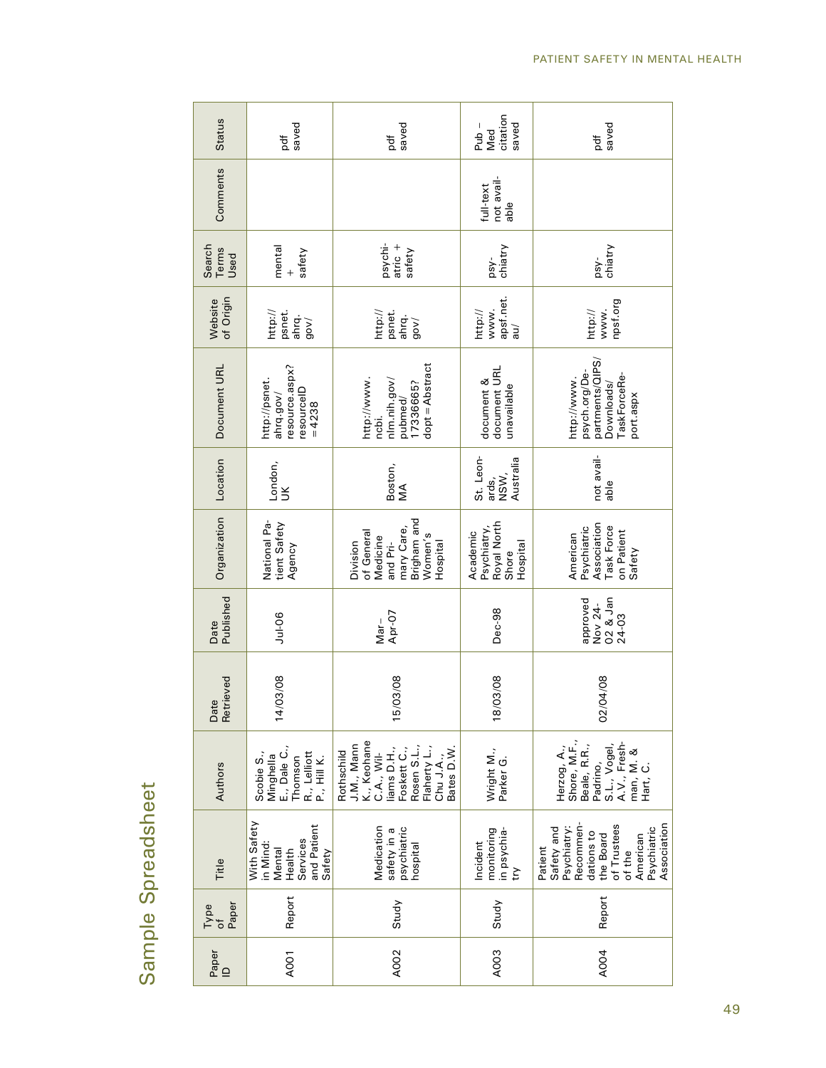| <b>Status</b>                        | saved<br>đ                                                                        | saved<br>pdf                                                                                                                                   | citation<br>saved<br>$Pub -$<br>Med                         | saved<br>pdf                                                                                                                                    |
|--------------------------------------|-----------------------------------------------------------------------------------|------------------------------------------------------------------------------------------------------------------------------------------------|-------------------------------------------------------------|-------------------------------------------------------------------------------------------------------------------------------------------------|
| Comments                             |                                                                                   |                                                                                                                                                | not avail-<br>full-text<br>able                             |                                                                                                                                                 |
| Search<br>Terms<br>Used              | mental<br>safety<br>$\ddot{}$                                                     | psychi-<br>atric +<br>safety                                                                                                                   | chiatry<br>psy-                                             | psy-<br>chiatry                                                                                                                                 |
| of Origin<br>Website                 | http://<br>psnet.<br>ahrq.<br>gov/                                                | psnet.<br>http://<br>ahrq.<br>(vop                                                                                                             | apsf.net.<br>http://<br>www.<br>ine                         | npsf.org<br>www.<br>http://                                                                                                                     |
| Document URL                         | resource.aspx?<br>http://psnet.<br>resourceID<br>ahrq.gov/<br>$= 4238$            | dopt = Abstract<br>http://www.<br>nlm.nih.gov/<br>17336665?<br>pubmed/<br>ncbi.                                                                | document URL<br>document &<br>unavailable                   | partments/QIPS,<br>psych.org/De-<br>TaskForceRe-<br>http://www.<br>Downloads/<br>port.aspx                                                      |
| Location                             | London,<br>UK                                                                     | Boston,<br>ŃМ                                                                                                                                  | St. Leon-<br>Australia<br>ards,<br>NSW,                     | not avail-<br>able                                                                                                                              |
| Organization                         | National Pa-<br>tient Safety<br>Agency                                            | Brigham and<br>mary Care,<br>of General<br>Women's<br>Medicine<br>Division<br>and Pri-<br>Hospital                                             | Royal North<br>Shore<br>Psychiatry,<br>Academic<br>Hospital | Association<br>Task Force<br>Psychiatric<br>on Patient<br>American<br>Safety                                                                    |
| Published<br>Date                    | $Jul-06$                                                                          | Apr-07<br>$Mar -$                                                                                                                              | Dec-98                                                      | O2 & Jan<br>approved<br>Nov 24-<br>24-03                                                                                                        |
| Retrieved<br>Date                    | /03/08<br>$\frac{4}{3}$                                                           | /03/08<br>$\overline{5}$                                                                                                                       | /03/08<br>$\frac{8}{2}$                                     | /04/08<br>$\widetilde{\mathrm{S}}$                                                                                                              |
| Authors                              | E., Dale C.,<br>R., Lelliott<br>P., Hill K.<br>Scobie S.,<br>Minghella<br>Thomson | K., Keohane<br>J.M., Mann<br>Rosen S.L.,<br>Flaherty L.,<br>liams D.H.,<br>Rothschild<br>Foskett C.,<br>Bates D.W<br>$C.A.,$ Wil-<br>Chu J.A., | Wright M.,<br>Parker <sub>G</sub> .                         | Shore, M.F.,<br>A.V., Fresh-<br>S.L., Vogel,<br>Beale, R.R.,<br>Herzog, A.,<br>man, M. &<br>Padrino,<br>Hart, C.                                |
| Title                                | With Safety<br>and Patient<br>Services<br>in Mind:<br>Mental<br>Health<br>Safety  | Medication<br>psychiatric<br>safety in a<br>hospital                                                                                           | monitoring<br>in psychia-<br>Incident<br>try                | of Trustees<br>Association<br>Recommen-<br>Psychiatry:<br>Psychiatric<br>Safety and<br>dations to<br>the Board<br>American<br>Patient<br>of the |
| Paper<br>Type<br>$\overline{\sigma}$ | Report                                                                            | Study                                                                                                                                          | Study                                                       | Report                                                                                                                                          |
| Paper<br>$\supseteq$                 | A <sub>001</sub>                                                                  | A002                                                                                                                                           | A <sub>O</sub> O3                                           | A004                                                                                                                                            |

# Sample Spreadsheet Sample Spreadsheet

49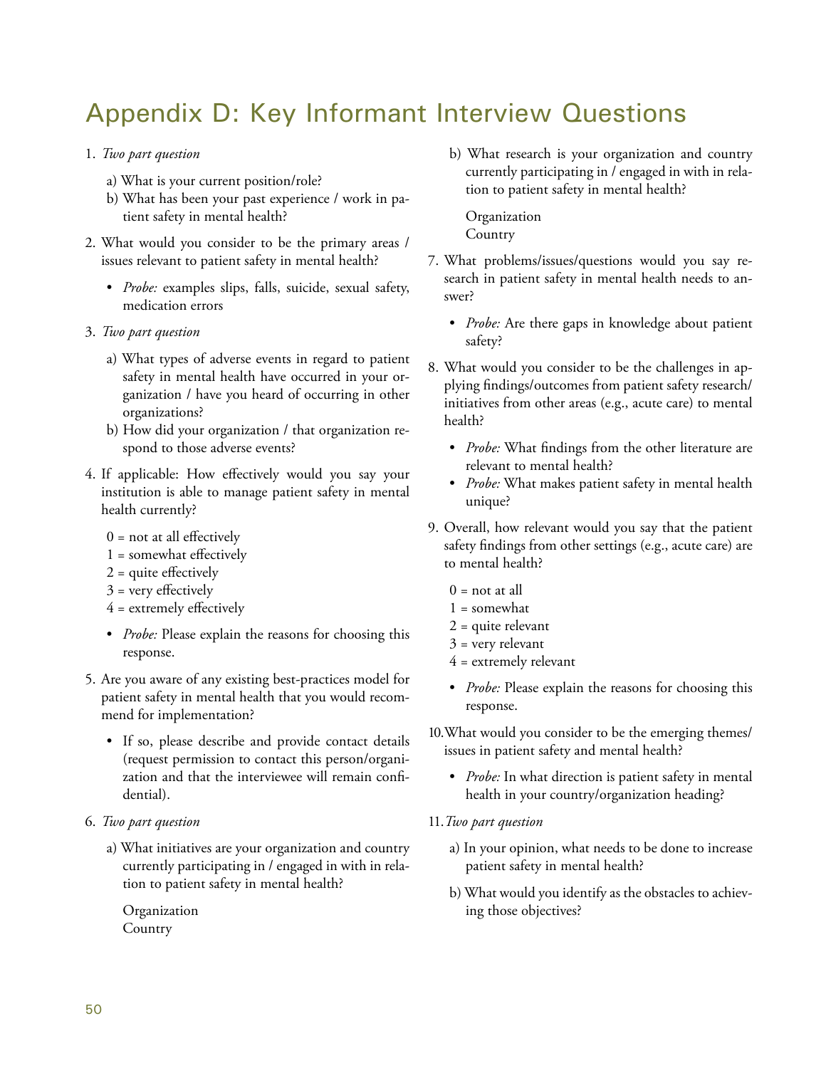# Appendix D: Key Informant Interview Questions

- 1. *Two part question*
	- a) What is your current position/role?
	- b) What has been your past experience / work in patient safety in mental health?
- 2. What would you consider to be the primary areas / issues relevant to patient safety in mental health?
	- *Probe:* examples slips, falls, suicide, sexual safety, medication errors
- 3. *Two part question*
	- a) What types of adverse events in regard to patient safety in mental health have occurred in your organization / have you heard of occurring in other organizations?
	- b) How did your organization / that organization respond to those adverse events?
- 4. If applicable: How effectively would you say your institution is able to manage patient safety in mental health currently?
	- $0 =$  not at all effectively
	- 1 = somewhat effectively
	- 2 = quite effectively
	- $3$  = very effectively
	- 4 = extremely effectively
	- *Probe:* Please explain the reasons for choosing this response.
- 5. Are you aware of any existing best-practices model for patient safety in mental health that you would recommend for implementation?
	- If so, please describe and provide contact details (request permission to contact this person/organization and that the interviewee will remain confidential).
- 6. *Two part question*
	- a) What initiatives are your organization and country currently participating in / engaged in with in relation to patient safety in mental health?

Organization **Country** 

b) What research is your organization and country currently participating in / engaged in with in relation to patient safety in mental health?

Organization Country

- 7. What problems/issues/questions would you say research in patient safety in mental health needs to answer?
	- *Probe:* Are there gaps in knowledge about patient safety?
- 8. What would you consider to be the challenges in applying findings/outcomes from patient safety research/ initiatives from other areas (e.g., acute care) to mental health?
	- *Probe:* What findings from the other literature are relevant to mental health?
	- *Probe:* What makes patient safety in mental health unique?
- 9. Overall, how relevant would you say that the patient safety findings from other settings (e.g., acute care) are to mental health?
	- $0 =$  not at all
	- 1 = somewhat
	- $2$  = quite relevant
	- 3 = very relevant
	- $4$  = extremely relevant
	- *Probe:* Please explain the reasons for choosing this response.
- 10.What would you consider to be the emerging themes/ issues in patient safety and mental health?
	- *Probe:* In what direction is patient safety in mental health in your country/organization heading?
- 11.*Two part question*
	- a) In your opinion, what needs to be done to increase patient safety in mental health?
	- b) What would you identify as the obstacles to achieving those objectives?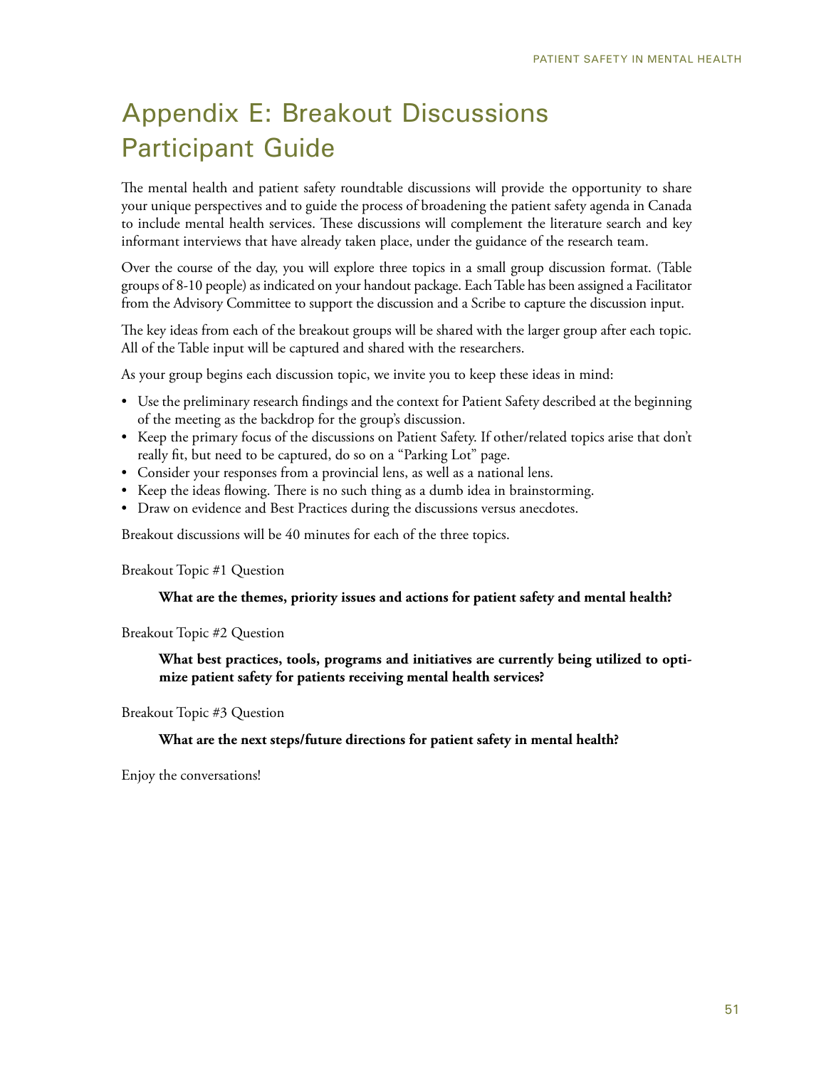# Appendix E: Breakout Discussions Participant Guide

The mental health and patient safety roundtable discussions will provide the opportunity to share your unique perspectives and to guide the process of broadening the patient safety agenda in Canada to include mental health services. These discussions will complement the literature search and key informant interviews that have already taken place, under the guidance of the research team.

Over the course of the day, you will explore three topics in a small group discussion format. (Table groups of 8-10 people) as indicated on your handout package. Each Table has been assigned a Facilitator from the Advisory Committee to support the discussion and a Scribe to capture the discussion input.

The key ideas from each of the breakout groups will be shared with the larger group after each topic. All of the Table input will be captured and shared with the researchers.

As your group begins each discussion topic, we invite you to keep these ideas in mind:

- Use the preliminary research findings and the context for Patient Safety described at the beginning of the meeting as the backdrop for the group's discussion.
- Keep the primary focus of the discussions on Patient Safety. If other/related topics arise that don't really fit, but need to be captured, do so on a "Parking Lot" page.
- Consider your responses from a provincial lens, as well as a national lens.
- Keep the ideas flowing. There is no such thing as a dumb idea in brainstorming.
- Draw on evidence and Best Practices during the discussions versus anecdotes.

Breakout discussions will be 40 minutes for each of the three topics.

Breakout Topic #1 Question

#### **What are the themes, priority issues and actions for patient safety and mental health?**

Breakout Topic #2 Question

**What best practices, tools, programs and initiatives are currently being utilized to optimize patient safety for patients receiving mental health services?** 

Breakout Topic #3 Question

**What are the next steps/future directions for patient safety in mental health?** 

Enjoy the conversations!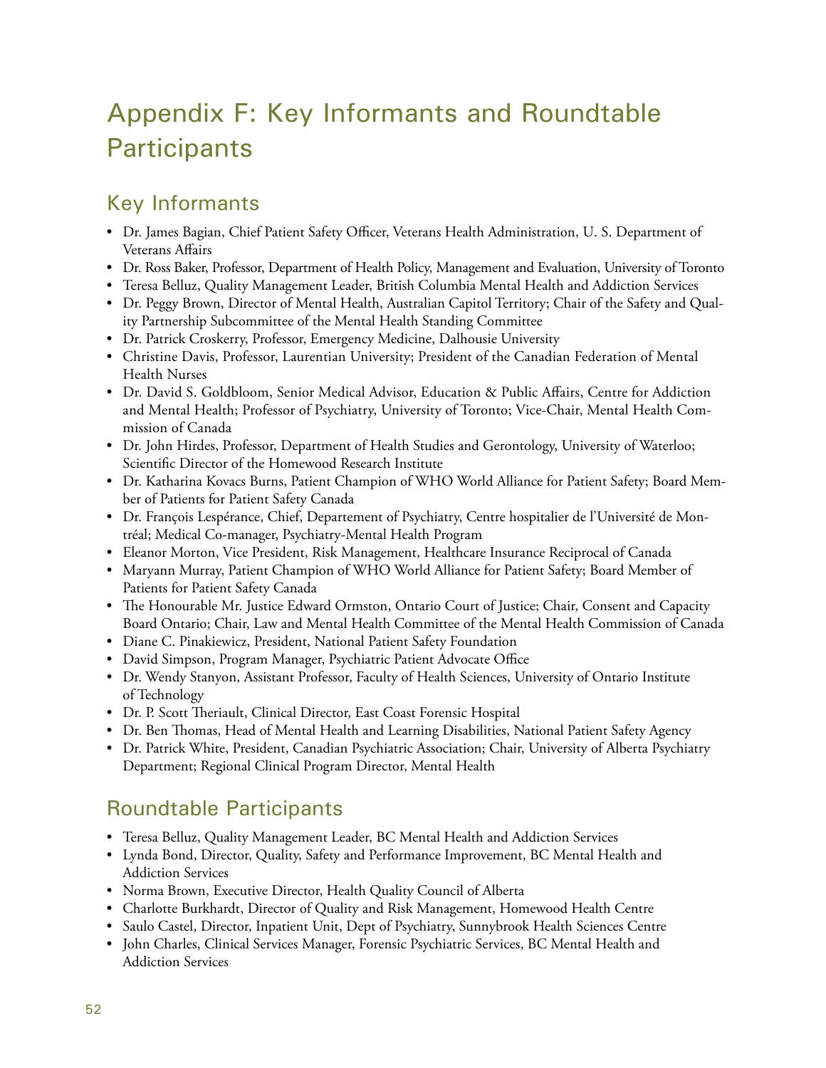# Appendix F: Key Informants and Roundtable **Participants**

# Key Informants

- Dr. James Bagian, Chief Patient Safety Officer, Veterans Health Administration, U. S. Department of Veterans Affairs
- Dr. Ross Baker, Professor, Department of Health Policy, Management and Evaluation, University of Toronto
- Teresa Belluz, Quality Management Leader, British Columbia Mental Health and Addiction Services
- Dr. Peggy Brown, Director of Mental Health, Australian Capitol Territory; Chair of the Safety and Quality Partnership Subcommittee of the Mental Health Standing Committee
- Dr. Patrick Croskerry, Professor, Emergency Medicine, Dalhousie University
- Christine Davis, Professor, Laurentian University; President of the Canadian Federation of Mental Health Nurses
- Dr. David S. Goldbloom, Senior Medical Advisor, Education & Public Affairs, Centre for Addiction and Mental Health; Professor of Psychiatry, University of Toronto; Vice-Chair, Mental Health Commission of Canada
- Dr. John Hirdes, Professor, Department of Health Studies and Gerontology, University of Waterloo; Scientific Director of the Homewood Research Institute
- Dr. Katharina Kovacs Burns, Patient Champion of WHO World Alliance for Patient Safety; Board Member of Patients for Patient Safety Canada
- Dr. François Lespérance, Chief, Departement of Psychiatry, Centre hospitalier de l'Université de Montréal; Medical Co-manager, Psychiatry-Mental Health Program
- Eleanor Morton, Vice President, Risk Management, Healthcare Insurance Reciprocal of Canada
- Maryann Murray, Patient Champion of WHO World Alliance for Patient Safety; Board Member of Patients for Patient Safety Canada
- The Honourable Mr. Justice Edward Ormston, Ontario Court of Justice; Chair, Consent and Capacity Board Ontario; Chair, Law and Mental Health Committee of the Mental Health Commission of Canada
- Diane C. Pinakiewicz, President, National Patient Safety Foundation
- David Simpson, Program Manager, Psychiatric Patient Advocate Office
- Dr. Wendy Stanyon, Assistant Professor, Faculty of Health Sciences, University of Ontario Institute of Technology
- Dr. P. Scott Theriault, Clinical Director, East Coast Forensic Hospital
- Dr. Ben Thomas, Head of Mental Health and Learning Disabilities, National Patient Safety Agency
- Dr. Patrick White, President, Canadian Psychiatric Association; Chair, University of Alberta Psychiatry Department; Regional Clinical Program Director, Mental Health

# Roundtable Participants

- Teresa Belluz, Quality Management Leader, BC Mental Health and Addiction Services
- Lynda Bond, Director, Quality, Safety and Performance Improvement, BC Mental Health and Addiction Services
- Norma Brown, Executive Director, Health Quality Council of Alberta
- Charlotte Burkhardt, Director of Quality and Risk Management, Homewood Health Centre
- Saulo Castel, Director, Inpatient Unit, Dept of Psychiatry, Sunnybrook Health Sciences Centre
- John Charles, Clinical Services Manager, Forensic Psychiatric Services, BC Mental Health and Addiction Services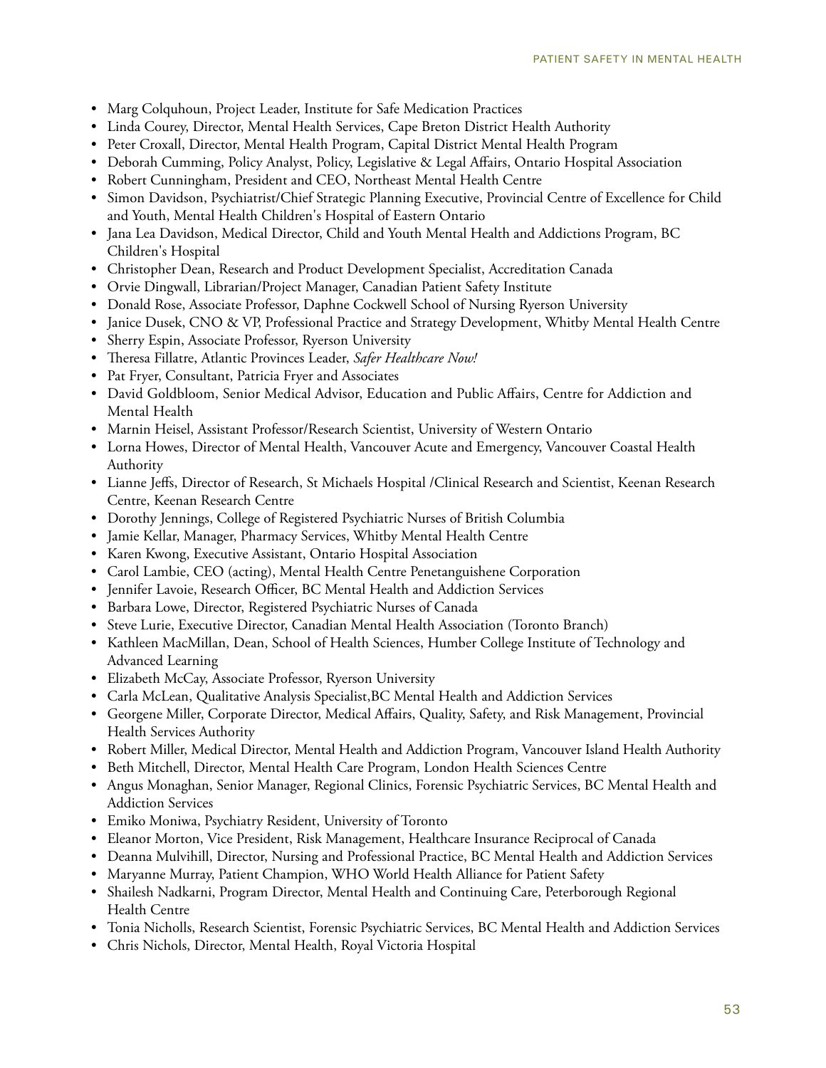- Marg Colquhoun, Project Leader, Institute for Safe Medication Practices
- Linda Courey, Director, Mental Health Services, Cape Breton District Health Authority
- Peter Croxall, Director, Mental Health Program, Capital District Mental Health Program
- Deborah Cumming, Policy Analyst, Policy, Legislative & Legal Affairs, Ontario Hospital Association
- Robert Cunningham, President and CEO, Northeast Mental Health Centre
- Simon Davidson, Psychiatrist/Chief Strategic Planning Executive, Provincial Centre of Excellence for Child and Youth, Mental Health Children's Hospital of Eastern Ontario
- Jana Lea Davidson, Medical Director, Child and Youth Mental Health and Addictions Program, BC Children's Hospital
- Christopher Dean, Research and Product Development Specialist, Accreditation Canada
- Orvie Dingwall, Librarian/Project Manager, Canadian Patient Safety Institute
- Donald Rose, Associate Professor, Daphne Cockwell School of Nursing Ryerson University
- Janice Dusek, CNO & VP, Professional Practice and Strategy Development, Whitby Mental Health Centre
- Sherry Espin, Associate Professor, Ryerson University
- Theresa Fillatre, Atlantic Provinces Leader, *Safer Healthcare Now!*
- Pat Fryer, Consultant, Patricia Fryer and Associates
- David Goldbloom, Senior Medical Advisor, Education and Public Affairs, Centre for Addiction and Mental Health
- Marnin Heisel, Assistant Professor/Research Scientist, University of Western Ontario
- Lorna Howes, Director of Mental Health, Vancouver Acute and Emergency, Vancouver Coastal Health Authority
- Lianne Jeffs, Director of Research, St Michaels Hospital /Clinical Research and Scientist, Keenan Research Centre, Keenan Research Centre
- Dorothy Jennings, College of Registered Psychiatric Nurses of British Columbia
- Jamie Kellar, Manager, Pharmacy Services, Whitby Mental Health Centre
- Karen Kwong, Executive Assistant, Ontario Hospital Association
- Carol Lambie, CEO (acting), Mental Health Centre Penetanguishene Corporation
- Jennifer Lavoie, Research Officer, BC Mental Health and Addiction Services
- Barbara Lowe, Director, Registered Psychiatric Nurses of Canada
- Steve Lurie, Executive Director, Canadian Mental Health Association (Toronto Branch)
- Kathleen MacMillan, Dean, School of Health Sciences, Humber College Institute of Technology and Advanced Learning
- Elizabeth McCay, Associate Professor, Ryerson University
- Carla McLean, Qualitative Analysis Specialist,BC Mental Health and Addiction Services
- Georgene Miller, Corporate Director, Medical Affairs, Quality, Safety, and Risk Management, Provincial Health Services Authority
- Robert Miller, Medical Director, Mental Health and Addiction Program, Vancouver Island Health Authority
- Beth Mitchell, Director, Mental Health Care Program, London Health Sciences Centre
- Angus Monaghan, Senior Manager, Regional Clinics, Forensic Psychiatric Services, BC Mental Health and Addiction Services
- Emiko Moniwa, Psychiatry Resident, University of Toronto
- Eleanor Morton, Vice President, Risk Management, Healthcare Insurance Reciprocal of Canada
- Deanna Mulvihill, Director, Nursing and Professional Practice, BC Mental Health and Addiction Services
- Maryanne Murray, Patient Champion, WHO World Health Alliance for Patient Safety
- Shailesh Nadkarni, Program Director, Mental Health and Continuing Care, Peterborough Regional Health Centre
- Tonia Nicholls, Research Scientist, Forensic Psychiatric Services, BC Mental Health and Addiction Services
- Chris Nichols, Director, Mental Health, Royal Victoria Hospital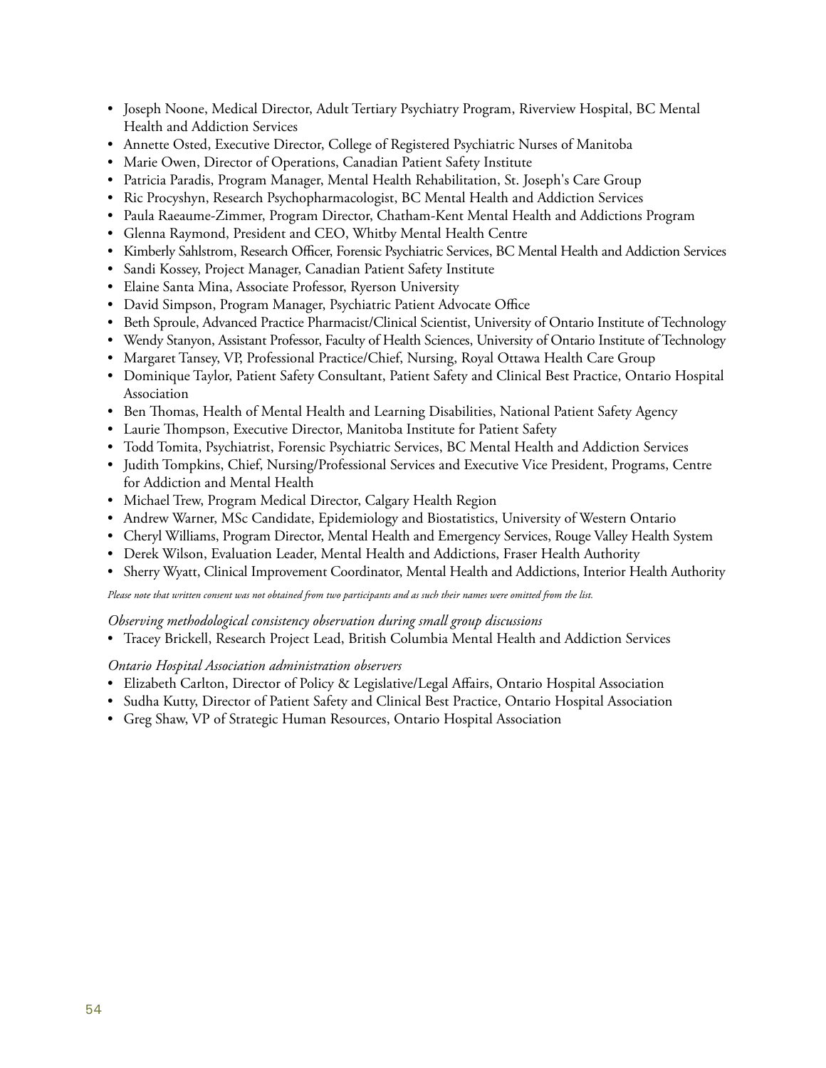- Joseph Noone, Medical Director, Adult Tertiary Psychiatry Program, Riverview Hospital, BC Mental Health and Addiction Services
- Annette Osted, Executive Director, College of Registered Psychiatric Nurses of Manitoba
- Marie Owen, Director of Operations, Canadian Patient Safety Institute
- Patricia Paradis, Program Manager, Mental Health Rehabilitation, St. Joseph's Care Group
- Ric Procyshyn, Research Psychopharmacologist, BC Mental Health and Addiction Services
- Paula Raeaume-Zimmer, Program Director, Chatham-Kent Mental Health and Addictions Program
- Glenna Raymond, President and CEO, Whitby Mental Health Centre
- Kimberly Sahlstrom, Research Officer, Forensic Psychiatric Services, BC Mental Health and Addiction Services
- Sandi Kossey, Project Manager, Canadian Patient Safety Institute
- Elaine Santa Mina, Associate Professor, Ryerson University
- David Simpson, Program Manager, Psychiatric Patient Advocate Office
- Beth Sproule, Advanced Practice Pharmacist/Clinical Scientist, University of Ontario Institute of Technology
- Wendy Stanyon, Assistant Professor, Faculty of Health Sciences, University of Ontario Institute of Technology
- Margaret Tansey, VP, Professional Practice/Chief, Nursing, Royal Ottawa Health Care Group
- Dominique Taylor, Patient Safety Consultant, Patient Safety and Clinical Best Practice, Ontario Hospital Association
- Ben Thomas, Health of Mental Health and Learning Disabilities, National Patient Safety Agency
- Laurie Thompson, Executive Director, Manitoba Institute for Patient Safety
- Todd Tomita, Psychiatrist, Forensic Psychiatric Services, BC Mental Health and Addiction Services
- Judith Tompkins, Chief, Nursing/Professional Services and Executive Vice President, Programs, Centre for Addiction and Mental Health
- Michael Trew, Program Medical Director, Calgary Health Region
- Andrew Warner, MSc Candidate, Epidemiology and Biostatistics, University of Western Ontario
- Cheryl Williams, Program Director, Mental Health and Emergency Services, Rouge Valley Health System
- Derek Wilson, Evaluation Leader, Mental Health and Addictions, Fraser Health Authority
- Sherry Wyatt, Clinical Improvement Coordinator, Mental Health and Addictions, Interior Health Authority

*Please note that written consent was not obtained from two participants and as such their names were omitted from the list.*

#### *Observing methodological consistency observation during small group discussions*

• Tracey Brickell, Research Project Lead, British Columbia Mental Health and Addiction Services

#### *Ontario Hospital Association administration observers*

- Elizabeth Carlton, Director of Policy & Legislative/Legal Affairs, Ontario Hospital Association
- Sudha Kutty, Director of Patient Safety and Clinical Best Practice, Ontario Hospital Association
- Greg Shaw, VP of Strategic Human Resources, Ontario Hospital Association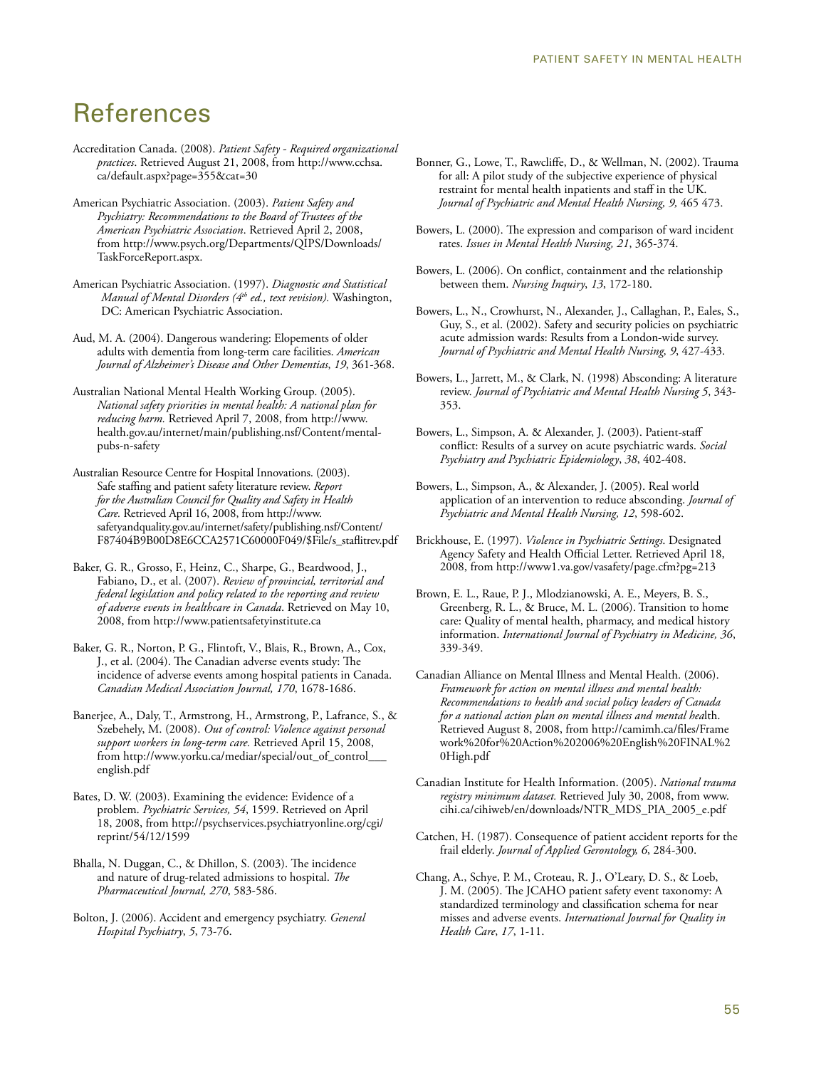# References

- Accreditation Canada. (2008). *Patient Safety Required organizational practices*. Retrieved August 21, 2008, from http://www.cchsa. ca/default.aspx?page=355&cat=30
- American Psychiatric Association. (2003). *Patient Safety and Psychiatry: Recommendations to the Board of Trustees of the American Psychiatric Association*. Retrieved April 2, 2008, from http://www.psych.org/Departments/QIPS/Downloads/ TaskForceReport.aspx.
- American Psychiatric Association. (1997). *Diagnostic and Statistical Manual of Mental Disorders (4th ed., text revision).* Washington, DC: American Psychiatric Association.
- Aud, M. A. (2004). Dangerous wandering: Elopements of older adults with dementia from long-term care facilities. *American Journal of Alzheimer's Disease and Other Dementias*, *19*, 361-368.
- Australian National Mental Health Working Group. (2005). *National safety priorities in mental health: A national plan for reducing harm.* Retrieved April 7, 2008, from http://www. health.gov.au/internet/main/publishing.nsf/Content/mentalpubs-n-safety
- Australian Resource Centre for Hospital Innovations. (2003). Safe staffing and patient safety literature review. *Report for the Australian Council for Quality and Safety in Health Care.* Retrieved April 16, 2008, from http://www. safetyandquality.gov.au/internet/safety/publishing.nsf/Content/ F87404B9B00D8E6CCA2571C60000F049/\$File/s\_staflitrev.pdf
- Baker, G. R., Grosso, F., Heinz, C., Sharpe, G., Beardwood, J., Fabiano, D., et al. (2007). *Review of provincial, territorial and federal legislation and policy related to the reporting and review of adverse events in healthcare in Canada*. Retrieved on May 10, 2008, from http://www.patientsafetyinstitute.ca
- Baker, G. R., Norton, P. G., Flintoft, V., Blais, R., Brown, A., Cox, J., et al. (2004). The Canadian adverse events study: The incidence of adverse events among hospital patients in Canada. *Canadian Medical Association Journal, 170*, 1678-1686.
- Banerjee, A., Daly, T., Armstrong, H., Armstrong, P., Lafrance, S., & Szebehely, M. (2008). *Out of control: Violence against personal support workers in long-term care.* Retrieved April 15, 2008, from http://www.yorku.ca/mediar/special/out\_of\_control\_\_\_ english.pdf
- Bates, D. W. (2003). Examining the evidence: Evidence of a problem. *Psychiatric Services, 54*, 1599. Retrieved on April 18, 2008, from http://psychservices.psychiatryonline.org/cgi/ reprint/54/12/1599
- Bhalla, N. Duggan, C., & Dhillon, S. (2003). The incidence and nature of drug-related admissions to hospital. *The Pharmaceutical Journal, 270*, 583-586.
- Bolton, J. (2006). Accident and emergency psychiatry. *General Hospital Psychiatry*, *5*, 73-76.
- Bonner, G., Lowe, T., Rawcliffe, D., & Wellman, N. (2002). Trauma for all: A pilot study of the subjective experience of physical restraint for mental health inpatients and staff in the UK. *Journal of Psychiatric and Mental Health Nursing, 9,* 465 473.
- Bowers, L. (2000). The expression and comparison of ward incident rates. *Issues in Mental Health Nursing, 21*, 365-374.
- Bowers, L. (2006). On conflict, containment and the relationship between them. *Nursing Inquiry*, *13*, 172-180.
- Bowers, L., N., Crowhurst, N., Alexander, J., Callaghan, P., Eales, S., Guy, S., et al. (2002). Safety and security policies on psychiatric acute admission wards: Results from a London-wide survey. *Journal of Psychiatric and Mental Health Nursing, 9*, 427-433.
- Bowers, L., Jarrett, M., & Clark, N. (1998) Absconding: A literature review. *Journal of Psychiatric and Mental Health Nursing 5*, 343- 353.
- Bowers, L., Simpson, A. & Alexander, J. (2003). Patient-staff conflict: Results of a survey on acute psychiatric wards. *Social Psychiatry and Psychiatric Epidemiology*, *38*, 402-408.
- Bowers, L., Simpson, A., & Alexander, J. (2005). Real world application of an intervention to reduce absconding. *Journal of Psychiatric and Mental Health Nursing, 12*, 598-602.
- Brickhouse, E. (1997). *Violence in Psychiatric Settings*. Designated Agency Safety and Health Official Letter. Retrieved April 18, 2008, from http://www1.va.gov/vasafety/page.cfm?pg=213
- Brown, E. L., Raue, P. J., Mlodzianowski, A. E., Meyers, B. S., Greenberg, R. L., & Bruce, M. L. (2006). Transition to home care: Quality of mental health, pharmacy, and medical history information. *International Journal of Psychiatry in Medicine, 36*, 339-349.
- Canadian Alliance on Mental Illness and Mental Health. (2006). *Framework for action on mental illness and mental health: Recommendations to health and social policy leaders of Canada for a national action plan on mental illness and mental hea*lth. Retrieved August 8, 2008, from http://camimh.ca/files/Frame work%20for%20Action%202006%20English%20FINAL%2 0High.pdf
- Canadian Institute for Health Information. (2005). *National trauma registry minimum dataset.* Retrieved July 30, 2008, from www. cihi.ca/cihiweb/en/downloads/NTR\_MDS\_PIA\_2005\_e.pdf
- Catchen, H. (1987). Consequence of patient accident reports for the frail elderly. *Journal of Applied Gerontology, 6*, 284-300.
- Chang, A., Schye, P. M., Croteau, R. J., O'Leary, D. S., & Loeb, J. M. (2005). The JCAHO patient safety event taxonomy: A standardized terminology and classification schema for near misses and adverse events. *International Journal for Quality in Health Care*, *17*, 1-11.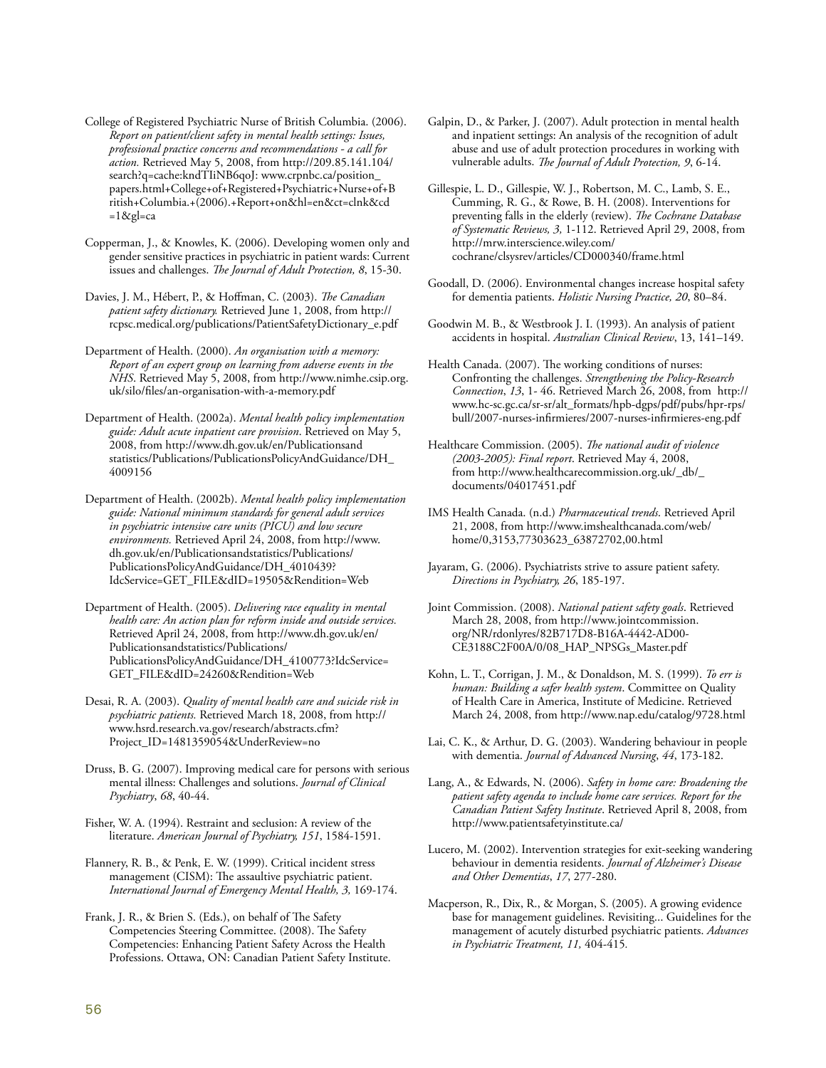- College of Registered Psychiatric Nurse of British Columbia. (2006). *Report on patient/client safety in mental health settings: Issues, professional practice concerns and recommendations - a call for action.* Retrieved May 5, 2008, from http://209.85.141.104/ search?q=cache:kndTIiNB6qoJ: www.crpnbc.ca/position\_ papers.html+College+of+Registered+Psychiatric+Nurse+of+B ritish+Columbia.+(2006).+Report+on&hl=en&ct=clnk&cd  $=1$ &gl=ca
- Copperman, J., & Knowles, K. (2006). Developing women only and gender sensitive practices in psychiatric in patient wards: Current issues and challenges. *The Journal of Adult Protection, 8*, 15-30.
- Davies, J. M., Hébert, P., & Hoffman, C. (2003). *The Canadian patient safety dictionary.* Retrieved June 1, 2008, from http:// rcpsc.medical.org/publications/PatientSafetyDictionary\_e.pdf
- Department of Health. (2000). *An organisation with a memory: Report of an expert group on learning from adverse events in the NHS*. Retrieved May 5, 2008, from http://www.nimhe.csip.org. uk/silo/files/an-organisation-with-a-memory.pdf
- Department of Health. (2002a). *Mental health policy implementation guide: Adult acute inpatient care provision*. Retrieved on May 5, 2008, from http://www.dh.gov.uk/en/Publicationsand statistics/Publications/PublicationsPolicyAndGuidance/DH\_ 4009156

Department of Health. (2002b). *Mental health policy implementation guide: National minimum standards for general adult services in psychiatric intensive care units (PICU) and low secure environments.* Retrieved April 24, 2008, from http://www. dh.gov.uk/en/Publicationsandstatistics/Publications/ PublicationsPolicyAndGuidance/DH\_4010439? IdcService=GET\_FILE&dID=19505&Rendition=Web

Department of Health. (2005). *Delivering race equality in mental health care: An action plan for reform inside and outside services.* Retrieved April 24, 2008, from http://www.dh.gov.uk/en/ Publicationsandstatistics/Publications/ PublicationsPolicyAndGuidance/DH\_4100773?IdcService= GET\_FILE&dID=24260&Rendition=Web

Desai, R. A. (2003). *Quality of mental health care and suicide risk in psychiatric patients.* Retrieved March 18, 2008, from http:// www.hsrd.research.va.gov/research/abstracts.cfm? Project\_ID=1481359054&UnderReview=no

Druss, B. G. (2007). Improving medical care for persons with serious mental illness: Challenges and solutions. *Journal of Clinical Psychiatry*, *68*, 40-44.

Fisher, W. A. (1994). Restraint and seclusion: A review of the literature. *American Journal of Psychiatry, 151*, 1584-1591.

Flannery, R. B., & Penk, E. W. (1999). Critical incident stress management (CISM): The assaultive psychiatric patient. *International Journal of Emergency Mental Health, 3,* 169-174.

Frank, J. R., & Brien S. (Eds.), on behalf of The Safety Competencies Steering Committee. (2008). The Safety Competencies: Enhancing Patient Safety Across the Health Professions. Ottawa, ON: Canadian Patient Safety Institute.

- Galpin, D., & Parker, J. (2007). Adult protection in mental health and inpatient settings: An analysis of the recognition of adult abuse and use of adult protection procedures in working with vulnerable adults. *The Journal of Adult Protection, 9*, 6-14.
- Gillespie, L. D., Gillespie, W. J., Robertson, M. C., Lamb, S. E., Cumming, R. G., & Rowe, B. H. (2008). Interventions for preventing falls in the elderly (review). *The Cochrane Database of Systematic Reviews, 3,* 1-112. Retrieved April 29, 2008, from http://mrw.interscience.wiley.com/ cochrane/clsysrev/articles/CD000340/frame.html
- Goodall, D. (2006). Environmental changes increase hospital safety for dementia patients. *Holistic Nursing Practice, 20*, 80–84.
- Goodwin M. B., & Westbrook J. I. (1993). An analysis of patient accidents in hospital. *Australian Clinical Review*, 13, 141–149.
- Health Canada. (2007). The working conditions of nurses: Confronting the challenges. *Strengthening the Policy-Research Connection*, *13*, 1- 46. Retrieved March 26, 2008, from http:// www.hc-sc.gc.ca/sr-sr/alt\_formats/hpb-dgps/pdf/pubs/hpr-rps/ bull/2007-nurses-infirmieres/2007-nurses-infirmieres-eng.pdf

- IMS Health Canada. (n.d.) *Pharmaceutical trends*. Retrieved April 21, 2008, from http://www.imshealthcanada.com/web/ home/0,3153,77303623\_63872702,00.html
- Jayaram, G. (2006). Psychiatrists strive to assure patient safety. *Directions in Psychiatry, 26*, 185-197.
- Joint Commission. (2008). *National patient safety goals*. Retrieved March 28, 2008, from http://www.jointcommission. org/NR/rdonlyres/82B717D8-B16A-4442-AD00- CE3188C2F00A/0/08\_HAP\_NPSGs\_Master.pdf

Kohn, L. T., Corrigan, J. M., & Donaldson, M. S. (1999). *To err is human: Building a safer health system*. Committee on Quality of Health Care in America, Institute of Medicine. Retrieved March 24, 2008, from http://www.nap.edu/catalog/9728.html

- Lai, C. K., & Arthur, D. G. (2003). Wandering behaviour in people with dementia. *Journal of Advanced Nursing*, *44*, 173-182.
- Lang, A., & Edwards, N. (2006). *Safety in home care: Broadening the patient safety agenda to include home care services. Report for the Canadian Patient Safety Institute*. Retrieved April 8, 2008, from http://www.patientsafetyinstitute.ca/
- Lucero, M. (2002). Intervention strategies for exit-seeking wandering behaviour in dementia residents. *Journal of Alzheimer's Disease and Other Dementias*, *17*, 277-280.
- Macperson, R., Dix, R., & Morgan, S. (2005). A growing evidence base for management guidelines. Revisiting... Guidelines for the management of acutely disturbed psychiatric patients. *Advances in Psychiatric Treatment, 11,* 404-415*.*

Healthcare Commission. (2005). *The national audit of violence (2003-2005): Final report*. Retrieved May 4, 2008, from http://www.healthcarecommission.org.uk/\_db/\_ documents/04017451.pdf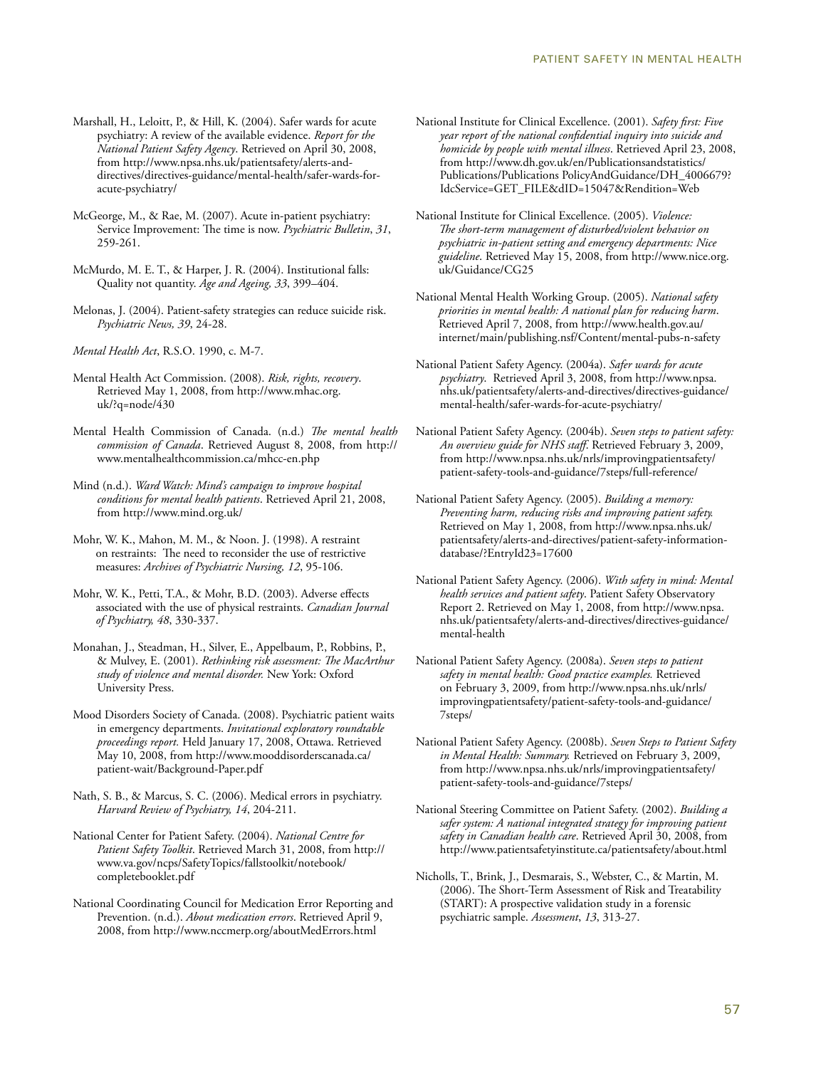- Marshall, H., Leloitt, P., & Hill, K. (2004). Safer wards for acute psychiatry: A review of the available evidence. *Report for the National Patient Safety Agency*. Retrieved on April 30, 2008, from http://www.npsa.nhs.uk/patientsafety/alerts-anddirectives/directives-guidance/mental-health/safer-wards-foracute-psychiatry/
- McGeorge, M., & Rae, M. (2007). Acute in-patient psychiatry: Service Improvement: The time is now. *Psychiatric Bulletin*, *31*, 259-261.
- McMurdo, M. E. T., & Harper, J. R. (2004). Institutional falls: Quality not quantity. *Age and Ageing, 33*, 399–404.
- Melonas, J. (2004). Patient-safety strategies can reduce suicide risk. *Psychiatric News, 39*, 24-28.
- *Mental Health Act*, R.S.O. 1990, c. M-7.
- Mental Health Act Commission. (2008). *Risk, rights, recovery*. Retrieved May 1, 2008, from http://www.mhac.org. uk/?q=node/430
- Mental Health Commission of Canada. (n.d.) *The mental health commission of Canada*. Retrieved August 8, 2008, from http:// www.mentalhealthcommission.ca/mhcc-en.php
- Mind (n.d.). *Ward Watch: Mind's campaign to improve hospital conditions for mental health patients*. Retrieved April 21, 2008, from http://www.mind.org.uk/
- Mohr, W. K., Mahon, M. M., & Noon. J. (1998). A restraint on restraints: The need to reconsider the use of restrictive measures: *Archives of Psychiatric Nursing, 12*, 95-106.
- Mohr, W. K., Petti, T.A., & Mohr, B.D. (2003). Adverse effects associated with the use of physical restraints. *Canadian Journal of Psychiatry, 48*, 330-337.
- Monahan, J., Steadman, H., Silver, E., Appelbaum, P., Robbins, P., & Mulvey, E. (2001). *Rethinking risk assessment: The MacArthur study of violence and mental disorder.* New York: Oxford University Press.
- Mood Disorders Society of Canada. (2008). Psychiatric patient waits in emergency departments. *Invitational exploratory roundtable proceedings report.* Held January 17, 2008, Ottawa. Retrieved May 10, 2008, from http://www.mooddisorderscanada.ca/ patient-wait/Background-Paper.pdf
- Nath, S. B., & Marcus, S. C. (2006). Medical errors in psychiatry. *Harvard Review of Psychiatry, 14*, 204-211.
- National Center for Patient Safety. (2004). *National Centre for Patient Safety Toolkit*. Retrieved March 31, 2008, from http:// www.va.gov/ncps/SafetyTopics/fallstoolkit/notebook/ completebooklet.pdf
- National Coordinating Council for Medication Error Reporting and Prevention. (n.d.). *About medication errors*. Retrieved April 9, 2008, from http://www.nccmerp.org/aboutMedErrors.html
- National Institute for Clinical Excellence. (2001). *Safety first: Five year report of the national confidential inquiry into suicide and homicide by people with mental illness*. Retrieved April 23, 2008, from http://www.dh.gov.uk/en/Publicationsandstatistics/ Publications/Publications PolicyAndGuidance/DH\_4006679? IdcService=GET\_FILE&dID=15047&Rendition=Web
- National Institute for Clinical Excellence. (2005). *Violence: The short-term management of disturbed/violent behavior on psychiatric in-patient setting and emergency departments: Nice guideline*. Retrieved May 15, 2008, from http://www.nice.org. uk/Guidance/CG25
- National Mental Health Working Group. (2005). *National safety priorities in mental health: A national plan for reducing harm*. Retrieved April 7, 2008, from http://www.health.gov.au/ internet/main/publishing.nsf/Content/mental-pubs-n-safety
- National Patient Safety Agency. (2004a). *Safer wards for acute psychiatry*. Retrieved April 3, 2008, from http://www.npsa. nhs.uk/patientsafety/alerts-and-directives/directives-guidance/ mental-health/safer-wards-for-acute-psychiatry/
- National Patient Safety Agency. (2004b). *Seven steps to patient safety: An overview guide for NHS staff*. Retrieved February 3, 2009, from http://www.npsa.nhs.uk/nrls/improvingpatientsafety/ patient-safety-tools-and-guidance/7steps/full-reference/
- National Patient Safety Agency. (2005). *Building a memory: Preventing harm, reducing risks and improving patient safety.* Retrieved on May 1, 2008, from http://www.npsa.nhs.uk/ patientsafety/alerts-and-directives/patient-safety-informationdatabase/?EntryId23=17600
- National Patient Safety Agency. (2006). *With safety in mind: Mental health services and patient safety*. Patient Safety Observatory Report 2. Retrieved on May 1, 2008, from http://www.npsa. nhs.uk/patientsafety/alerts-and-directives/directives-guidance/ mental-health
- National Patient Safety Agency. (2008a). *Seven steps to patient safety in mental health: Good practice examples.* Retrieved on February 3, 2009, from http://www.npsa.nhs.uk/nrls/ improvingpatientsafety/patient-safety-tools-and-guidance/ 7steps/
- National Patient Safety Agency. (2008b). *Seven Steps to Patient Safety in Mental Health: Summary.* Retrieved on February 3, 2009, from http://www.npsa.nhs.uk/nrls/improvingpatientsafety/ patient-safety-tools-and-guidance/7steps/
- National Steering Committee on Patient Safety. (2002). *Building a safer system: A national integrated strategy for improving patient safety in Canadian health care*. Retrieved April 30, 2008, from http://www.patientsafetyinstitute.ca/patientsafety/about.html
- Nicholls, T., Brink, J., Desmarais, S., Webster, C., & Martin, M. (2006). The Short-Term Assessment of Risk and Treatability (START): A prospective validation study in a forensic psychiatric sample. *Assessment*, *13*, 313-27.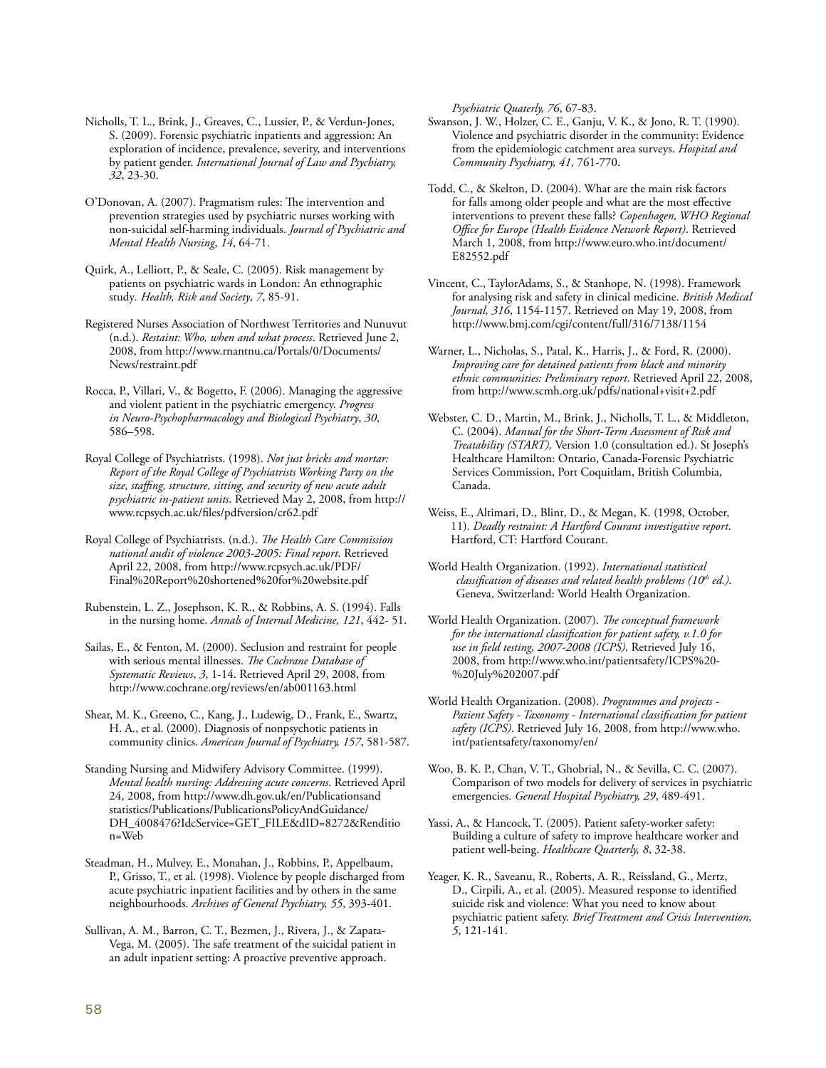Nicholls, T. L., Brink, J., Greaves, C., Lussier, P., & Verdun-Jones, S. (2009). Forensic psychiatric inpatients and aggression: An exploration of incidence, prevalence, severity, and interventions by patient gender. *International Journal of Law and Psychiatry, 32*, 23-30.

O'Donovan, A. (2007). Pragmatism rules: The intervention and prevention strategies used by psychiatric nurses working with non-suicidal self-harming individuals. *Journal of Psychiatric and Mental Health Nursing*, *14*, 64-71.

Quirk, A., Lelliott, P., & Seale, C. (2005). Risk management by patients on psychiatric wards in London: An ethnographic study*. Health, Risk and Society*, *7*, 85-91.

Registered Nurses Association of Northwest Territories and Nunuvut (n.d.). *Restaint: Who, when and what process*. Retrieved June 2, 2008, from http://www.rnantnu.ca/Portals/0/Documents/ News/restraint.pdf

Rocca, P., Villari, V., & Bogetto, F. (2006). Managing the aggressive and violent patient in the psychiatric emergency. *Progress in Neuro-Psychopharmacology and Biological Psychiatry*, *30*, 586–598.

Royal College of Psychiatrists. (1998). *Not just bricks and mortar: Report of the Royal College of Psychiatrists Working Party on the size, staffing, structure, sitting, and security of new acute adult psychiatric in-patient units*. Retrieved May 2, 2008, from http:// www.rcpsych.ac.uk/files/pdfversion/cr62.pdf

Royal College of Psychiatrists. (n.d.). *The Health Care Commission national audit of violence 2003-2005: Final report*. Retrieved April 22, 2008, from http://www.rcpsych.ac.uk/PDF/ Final%20Report%20shortened%20for%20website.pdf

Rubenstein, L. Z., Josephson, K. R., & Robbins, A. S. (1994). Falls in the nursing home. *Annals of Internal Medicine, 121*, 442- 51.

Sailas, E., & Fenton, M. (2000). Seclusion and restraint for people with serious mental illnesses. *The Cochrane Database of Systematic Reviews*, *3*, 1-14. Retrieved April 29, 2008, from http://www.cochrane.org/reviews/en/ab001163.html

Shear, M. K., Greeno, C., Kang, J., Ludewig, D., Frank, E., Swartz, H. A., et al. (2000). Diagnosis of nonpsychotic patients in community clinics. *American Journal of Psychiatry, 157*, 581-587.

Standing Nursing and Midwifery Advisory Committee. (1999). *Mental health nursing: Addressing acute concerns*. Retrieved April 24, 2008, from http://www.dh.gov.uk/en/Publicationsand statistics/Publications/PublicationsPolicyAndGuidance/ DH\_4008476?IdcService=GET\_FILE&dID=8272&Renditio n=Web

Steadman, H., Mulvey, E., Monahan, J., Robbins, P., Appelbaum, P., Grisso, T., et al. (1998). Violence by people discharged from acute psychiatric inpatient facilities and by others in the same neighbourhoods. *Archives of General Psychiatry, 55*, 393-401.

Sullivan, A. M., Barron, C. T., Bezmen, J., Rivera, J., & Zapata-Vega, M. (2005). The safe treatment of the suicidal patient in an adult inpatient setting: A proactive preventive approach.

*Psychiatric Quaterly, 76*, 67-83.

Swanson, J. W., Holzer, C. E., Ganju, V. K., & Jono, R. T. (1990). Violence and psychiatric disorder in the community: Evidence from the epidemiologic catchment area surveys. *Hospital and Community Psychiatry, 41,* 761-770.

Todd, C., & Skelton, D. (2004). What are the main risk factors for falls among older people and what are the most effective interventions to prevent these falls? *Copenhagen, WHO Regional Office for Europe (Health Evidence Network Report)*. Retrieved March 1, 2008, from http://www.euro.who.int/document/ E82552.pdf

Vincent, C., TaylorAdams, S., & Stanhope, N. (1998). Framework for analysing risk and safety in clinical medicine. *British Medical Journal, 316*, 1154-1157. Retrieved on May 19, 2008, from http://www.bmj.com/cgi/content/full/316/7138/1154

Warner, L., Nicholas, S., Patal, K., Harris, J., & Ford, R. (2000). *Improving care for detained patients from black and minority ethnic communities: Preliminary report*. Retrieved April 22, 2008, from http://www.scmh.org.uk/pdfs/national+visit+2.pdf

Webster, C. D., Martin, M., Brink, J., Nicholls, T. L., & Middleton, C. (2004). *Manual for the Short-Term Assessment of Risk and Treatability (START),* Version 1.0 (consultation ed.). St Joseph's Healthcare Hamilton: Ontario, Canada-Forensic Psychiatric Services Commission, Port Coquitlam, British Columbia, Canada.

Weiss, E., Altimari, D., Blint, D., & Megan, K. (1998, October, 11). *Deadly restraint: A Hartford Courant investigative report*. Hartford, CT: Hartford Courant.

World Health Organization. (1992). *International statistical classification of diseases and related health problems (10<sup>th</sup> ed.).* Geneva, Switzerland: World Health Organization.

World Health Organization. (2007). *The conceptual framework for the international classification for patient safety, v.1.0 for use in field testing, 2007-2008 (ICPS)*. Retrieved July 16, 2008, from http://www.who.int/patientsafety/ICPS%20- %20July%202007.pdf

World Health Organization. (2008). *Programmes and projects - Patient Safety - Taxonomy - International classification for patient safety (ICPS)*. Retrieved July 16, 2008, from http://www.who. int/patientsafety/taxonomy/en/

Woo, B. K. P., Chan, V. T., Ghobrial, N., & Sevilla, C. C. (2007). Comparison of two models for delivery of services in psychiatric emergencies. *General Hospital Psychiatry, 29*, 489-491.

Yassi, A., & Hancock, T. (2005). Patient safety-worker safety: Building a culture of safety to improve healthcare worker and patient well-being. *Healthcare Quarterly, 8*, 32-38.

Yeager, K. R., Saveanu, R., Roberts, A. R., Reissland, G., Mertz, D., Cirpili, A., et al. (2005). Measured response to identified suicide risk and violence: What you need to know about psychiatric patient safety. *Brief Treatment and Crisis Intervention, 5*, 121-141.